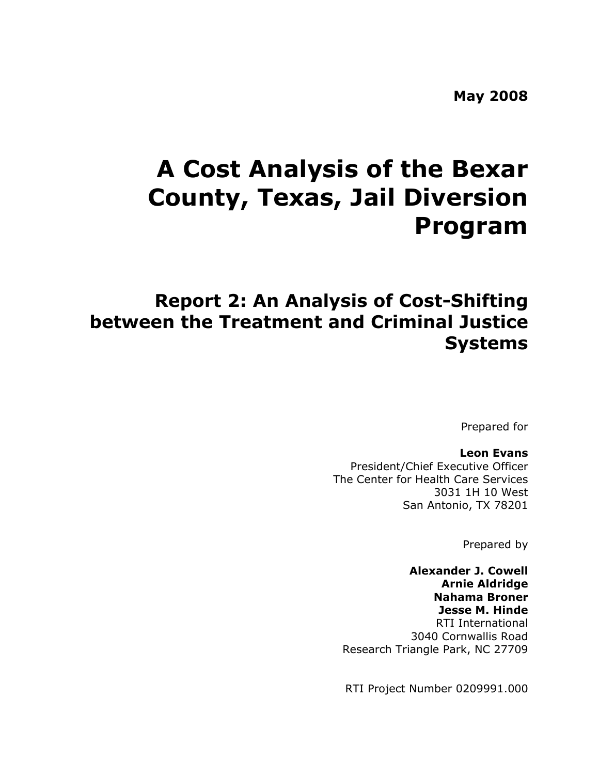**May 2008** 

# **A Cost Analysis of the Bexar County, Texas, Jail Diversion Program**

## **Report 2: An Analysis of Cost-Shifting between the Treatment and Criminal Justice Systems**

Prepared for

**Leon Evans**  President/Chief Executive Officer The Center for Health Care Services 3031 1H 10 West San Antonio, TX 78201

Prepared by

**Alexander J. Cowell Arnie Aldridge Nahama Broner Jesse M. Hinde**  RTI International 3040 Cornwallis Road Research Triangle Park, NC 27709

RTI Project Number 0209991.000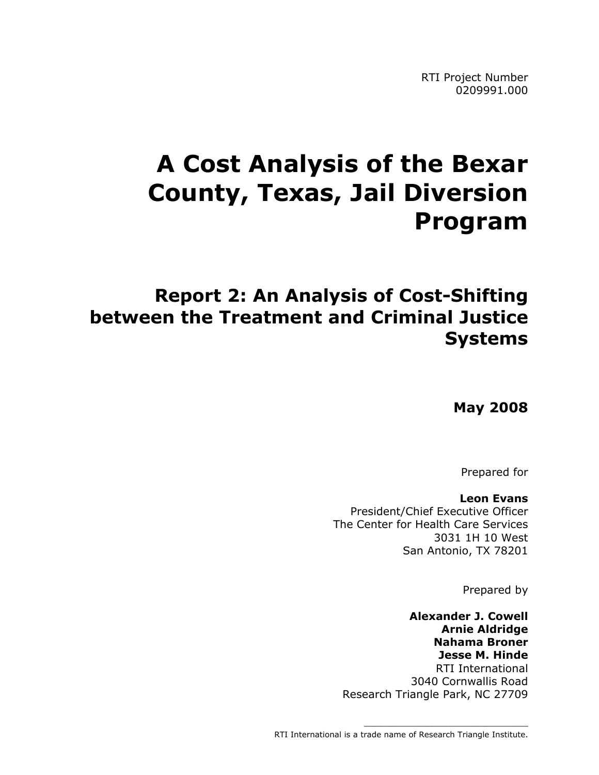RTI Project Number 0209991.000

# **A Cost Analysis of the Bexar County, Texas, Jail Diversion Program**

## **Report 2: An Analysis of Cost-Shifting between the Treatment and Criminal Justice Systems**

**May 2008**

Prepared for

**Leon Evans**  President/Chief Executive Officer The Center for Health Care Services 3031 1H 10 West San Antonio, TX 78201

Prepared by

**Alexander J. Cowell Arnie Aldridge Nahama Broner Jesse M. Hinde**  RTI International 3040 Cornwallis Road Research Triangle Park, NC 27709

\_\_\_\_\_\_\_\_\_\_\_\_\_\_\_\_\_\_\_\_\_\_\_\_\_\_\_\_\_\_\_\_\_

RTI International is a trade name of Research Triangle Institute.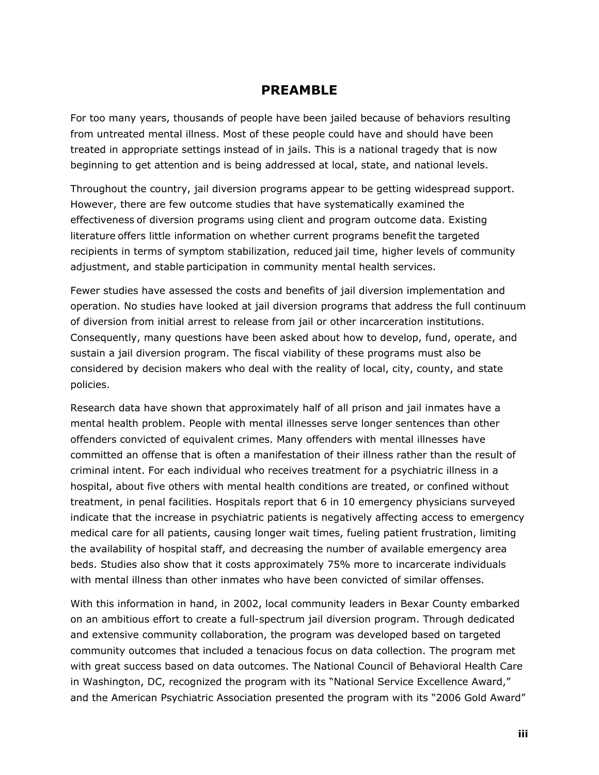## **PREAMBLE**

For too many years, thousands of people have been jailed because of behaviors resulting from untreated mental illness. Most of these people could have and should have been treated in appropriate settings instead of in jails. This is a national tragedy that is now beginning to get attention and is being addressed at local, state, and national levels.

Throughout the country, jail diversion programs appear to be getting widespread support. However, there are few outcome studies that have systematically examined the effectiveness of diversion programs using client and program outcome data. Existing literature offers little information on whether current programs benefit the targeted recipients in terms of symptom stabilization, reduced jail time, higher levels of community adjustment, and stable participation in community mental health services.

Fewer studies have assessed the costs and benefits of jail diversion implementation and operation. No studies have looked at jail diversion programs that address the full continuum of diversion from initial arrest to release from jail or other incarceration institutions. Consequently, many questions have been asked about how to develop, fund, operate, and sustain a jail diversion program. The fiscal viability of these programs must also be considered by decision makers who deal with the reality of local, city, county, and state policies.

Research data have shown that approximately half of all prison and jail inmates have a mental health problem. People with mental illnesses serve longer sentences than other offenders convicted of equivalent crimes. Many offenders with mental illnesses have committed an offense that is often a manifestation of their illness rather than the result of criminal intent. For each individual who receives treatment for a psychiatric illness in a hospital, about five others with mental health conditions are treated, or confined without treatment, in penal facilities. Hospitals report that 6 in 10 emergency physicians surveyed indicate that the increase in psychiatric patients is negatively affecting access to emergency medical care for all patients, causing longer wait times, fueling patient frustration, limiting the availability of hospital staff, and decreasing the number of available emergency area beds. Studies also show that it costs approximately 75% more to incarcerate individuals with mental illness than other inmates who have been convicted of similar offenses.

With this information in hand, in 2002, local community leaders in Bexar County embarked on an ambitious effort to create a full-spectrum jail diversion program. Through dedicated and extensive community collaboration, the program was developed based on targeted community outcomes that included a tenacious focus on data collection. The program met with great success based on data outcomes. The National Council of Behavioral Health Care in Washington, DC, recognized the program with its "National Service Excellence Award," and the American Psychiatric Association presented the program with its "2006 Gold Award"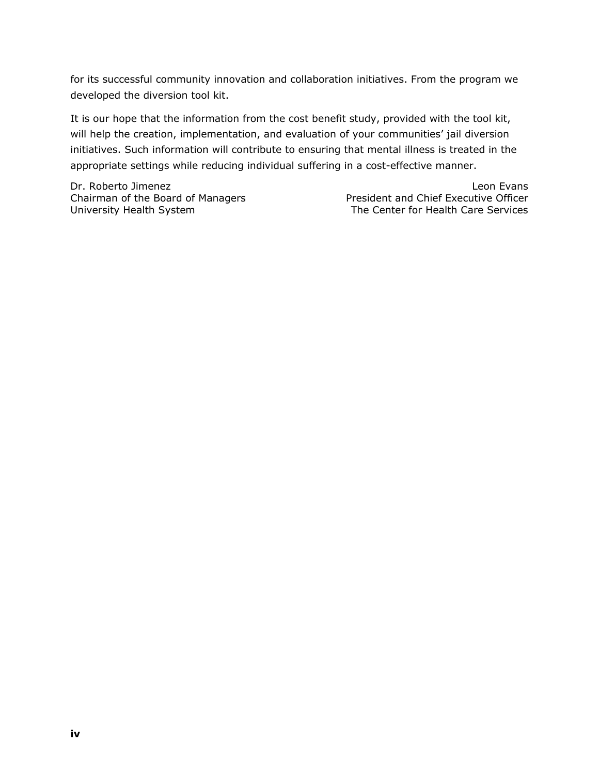for its successful community innovation and collaboration initiatives. From the program we developed the diversion tool kit.

It is our hope that the information from the cost benefit study, provided with the tool kit, will help the creation, implementation, and evaluation of your communities' jail diversion initiatives. Such information will contribute to ensuring that mental illness is treated in the appropriate settings while reducing individual suffering in a cost-effective manner.

Dr. Roberto Jimenez Leon Evans

Chairman of the Board of Managers President and Chief Executive Officer University Health System The Center for Health Care Services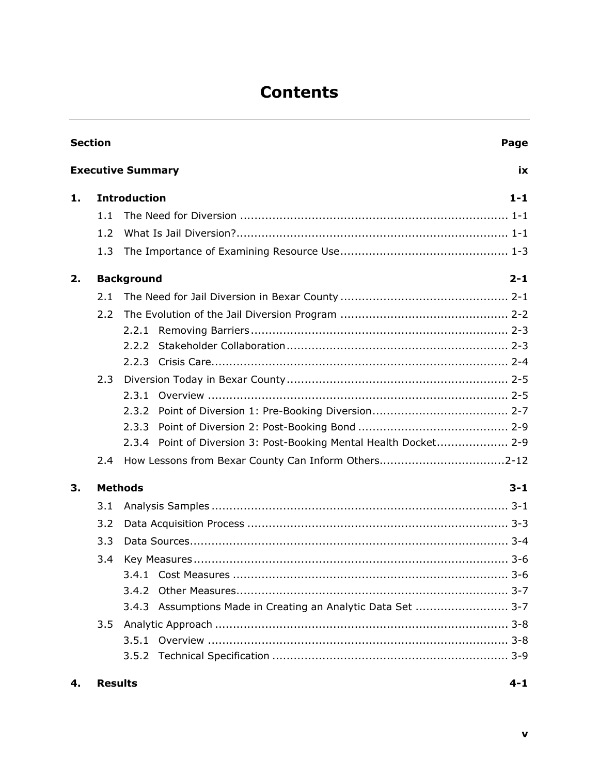## **Contents**

|    | <b>Section</b><br>Page       |                                                                   |  |  |
|----|------------------------------|-------------------------------------------------------------------|--|--|
|    |                              | <b>Executive Summary</b><br>ix                                    |  |  |
| 1. |                              | <b>Introduction</b><br>$1 - 1$                                    |  |  |
|    | 1.1                          |                                                                   |  |  |
|    | 1.2                          |                                                                   |  |  |
|    | 1.3                          |                                                                   |  |  |
| 2. | <b>Background</b><br>$2 - 1$ |                                                                   |  |  |
|    | 2.1                          |                                                                   |  |  |
|    | 2.2                          |                                                                   |  |  |
|    |                              |                                                                   |  |  |
|    |                              | 2.2.2                                                             |  |  |
|    |                              |                                                                   |  |  |
|    | 2.3                          |                                                                   |  |  |
|    |                              | 2.3.1                                                             |  |  |
|    |                              | 2.3.2                                                             |  |  |
|    |                              | 2.3.3                                                             |  |  |
|    |                              | 2.3.4 Point of Diversion 3: Post-Booking Mental Health Docket 2-9 |  |  |
|    | 2.4                          |                                                                   |  |  |
| 3. | <b>Methods</b>               | $3 - 1$                                                           |  |  |
|    | 3.1                          |                                                                   |  |  |
|    | 3.2                          |                                                                   |  |  |
|    | 3.3                          |                                                                   |  |  |
|    | 3.4                          |                                                                   |  |  |
|    |                              |                                                                   |  |  |
|    |                              | 3.4.2                                                             |  |  |
|    |                              | 3.4.3 Assumptions Made in Creating an Analytic Data Set  3-7      |  |  |
|    | 3.5                          |                                                                   |  |  |
|    |                              |                                                                   |  |  |
|    |                              |                                                                   |  |  |
|    |                              |                                                                   |  |  |

**4. Results 4-1**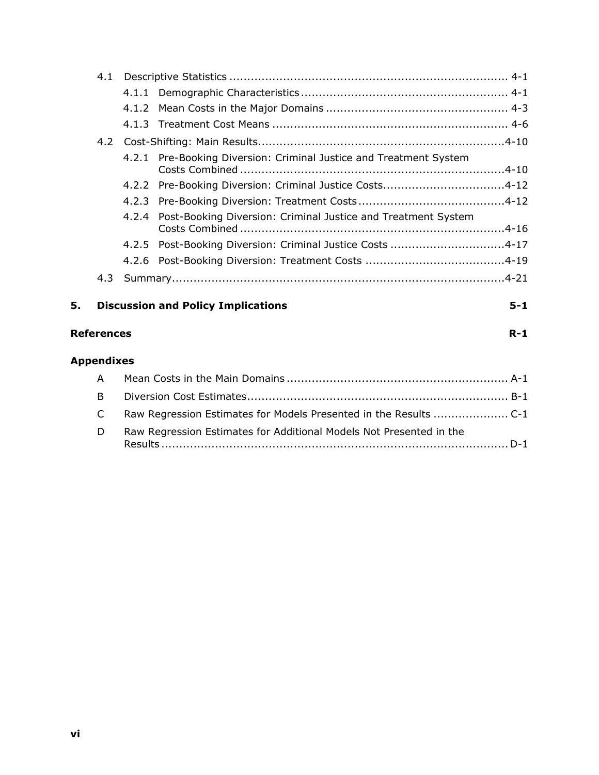|    | 4.1                        |       |                                                                    |         |
|----|----------------------------|-------|--------------------------------------------------------------------|---------|
|    |                            |       |                                                                    |         |
|    |                            |       |                                                                    |         |
|    |                            |       |                                                                    |         |
|    |                            |       |                                                                    |         |
|    |                            |       | 4.2.1 Pre-Booking Diversion: Criminal Justice and Treatment System |         |
|    |                            |       | 4.2.2 Pre-Booking Diversion: Criminal Justice Costs4-12            |         |
|    |                            |       |                                                                    |         |
|    |                            | 4.2.4 | Post-Booking Diversion: Criminal Justice and Treatment System      |         |
|    |                            |       | 4.2.5 Post-Booking Diversion: Criminal Justice Costs 4-17          |         |
|    |                            |       |                                                                    |         |
|    | 4.3                        |       |                                                                    |         |
| 5. |                            |       | <b>Discussion and Policy Implications</b>                          | $5 - 1$ |
|    | $R-1$<br><b>References</b> |       |                                                                    |         |

#### **Appendixes**

| D | Raw Regression Estimates for Additional Models Not Presented in the |
|---|---------------------------------------------------------------------|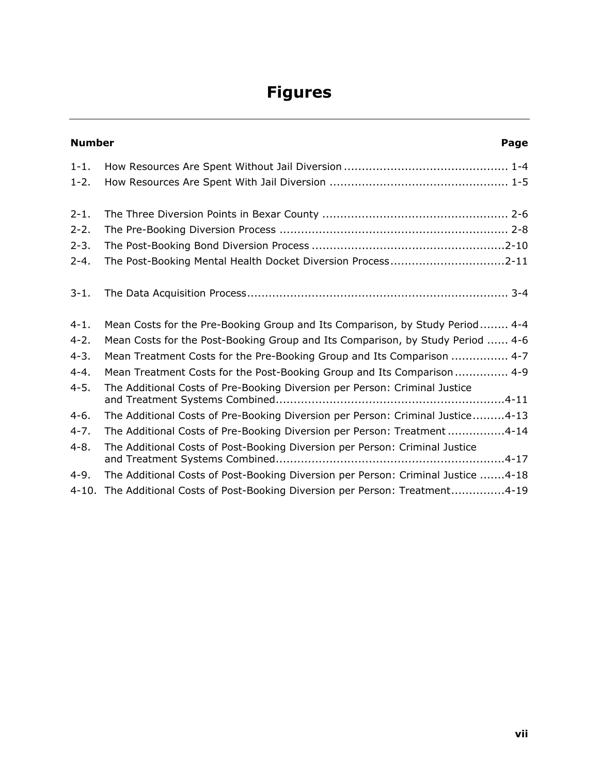## **Figures**

|           | <b>Number</b><br>Page                                                            |  |  |
|-----------|----------------------------------------------------------------------------------|--|--|
| $1 - 1$ . |                                                                                  |  |  |
| $1 - 2.$  |                                                                                  |  |  |
| $2 - 1$ . |                                                                                  |  |  |
| $2 - 2$ . |                                                                                  |  |  |
| $2 - 3$ . |                                                                                  |  |  |
| $2 - 4.$  | The Post-Booking Mental Health Docket Diversion Process2-11                      |  |  |
| $3 - 1$ . |                                                                                  |  |  |
| $4 - 1$ . | Mean Costs for the Pre-Booking Group and Its Comparison, by Study Period 4-4     |  |  |
| $4 - 2.$  | Mean Costs for the Post-Booking Group and Its Comparison, by Study Period  4-6   |  |  |
| $4 - 3.$  | Mean Treatment Costs for the Pre-Booking Group and Its Comparison  4-7           |  |  |
| $4 - 4.$  | Mean Treatment Costs for the Post-Booking Group and Its Comparison 4-9           |  |  |
| $4 - 5.$  | The Additional Costs of Pre-Booking Diversion per Person: Criminal Justice       |  |  |
| $4-6.$    | The Additional Costs of Pre-Booking Diversion per Person: Criminal Justice4-13   |  |  |
| $4 - 7.$  | The Additional Costs of Pre-Booking Diversion per Person: Treatment4-14          |  |  |
| $4 - 8.$  | The Additional Costs of Post-Booking Diversion per Person: Criminal Justice      |  |  |
| $4-9.$    | The Additional Costs of Post-Booking Diversion per Person: Criminal Justice 4-18 |  |  |
| $4 - 10.$ | The Additional Costs of Post-Booking Diversion per Person: Treatment4-19         |  |  |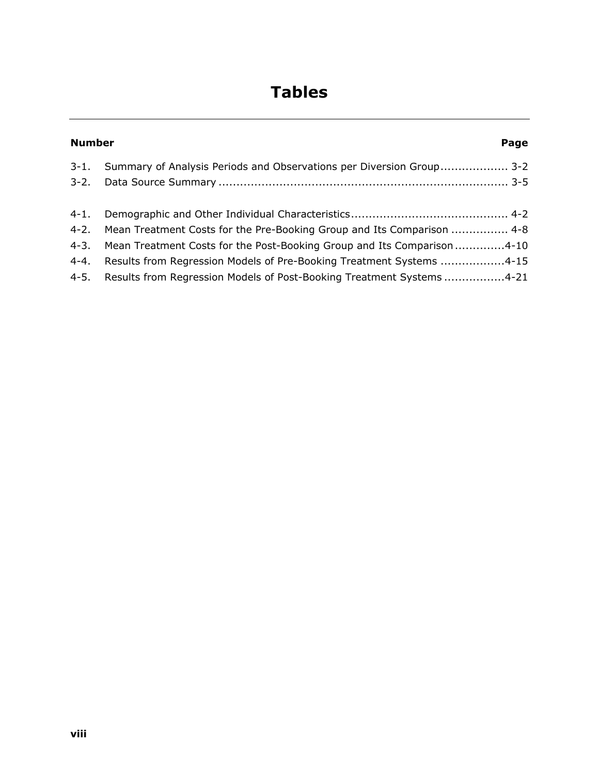## **Tables**

|          | <b>Number</b><br>Page                                                                                                                                                                                                                                                                                            |  |  |
|----------|------------------------------------------------------------------------------------------------------------------------------------------------------------------------------------------------------------------------------------------------------------------------------------------------------------------|--|--|
|          | 3-1. Summary of Analysis Periods and Observations per Diversion Group 3-2                                                                                                                                                                                                                                        |  |  |
| $4 - 4.$ | 4-2. Mean Treatment Costs for the Pre-Booking Group and Its Comparison  4-8<br>4-3. Mean Treatment Costs for the Post-Booking Group and Its Comparison4-10<br>Results from Regression Models of Pre-Booking Treatment Systems 4-15<br>4-5. Results from Regression Models of Post-Booking Treatment Systems 4-21 |  |  |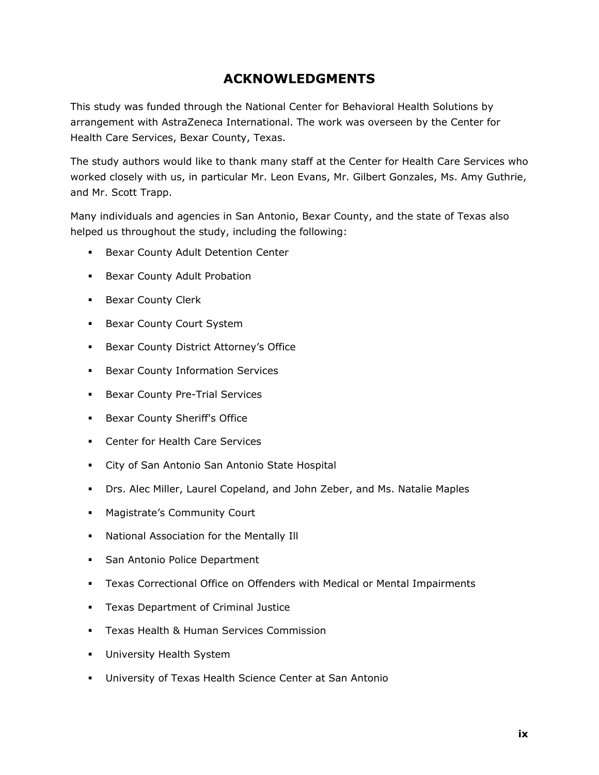## **ACKNOWLEDGMENTS**

This study was funded through the National Center for Behavioral Health Solutions by arrangement with AstraZeneca International. The work was overseen by the Center for Health Care Services, Bexar County, Texas.

The study authors would like to thank many staff at the Center for Health Care Services who worked closely with us, in particular Mr. Leon Evans, Mr. Gilbert Gonzales, Ms. Amy Guthrie, and Mr. Scott Trapp.

Many individuals and agencies in San Antonio, Bexar County, and the state of Texas also helped us throughout the study, including the following:

- **Bexar County Adult Detention Center**
- **Bexar County Adult Probation**
- **Bexar County Clerk**
- **Bexar County Court System**
- **Bexar County District Attorney's Office**
- **Bexar County Information Services**
- **Bexar County Pre-Trial Services**
- **Bexar County Sheriff's Office**
- **Center for Health Care Services**
- City of San Antonio San Antonio State Hospital
- Drs. Alec Miller, Laurel Copeland, and John Zeber, and Ms. Natalie Maples
- Magistrate's Community Court
- National Association for the Mentally Ill
- **San Antonio Police Department**
- Texas Correctional Office on Offenders with Medical or Mental Impairments
- **Texas Department of Criminal Justice**
- **Texas Health & Human Services Commission**
- University Health System
- University of Texas Health Science Center at San Antonio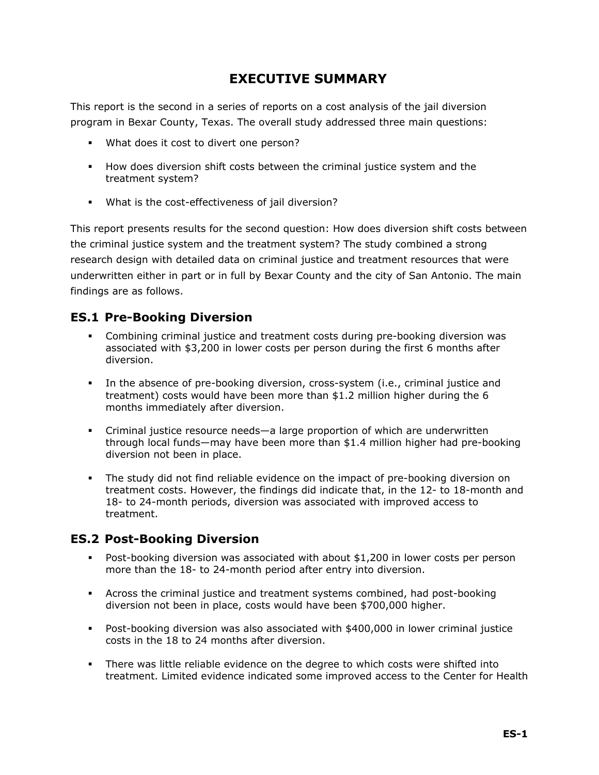## **EXECUTIVE SUMMARY**

This report is the second in a series of reports on a cost analysis of the jail diversion program in Bexar County, Texas. The overall study addressed three main questions:

- What does it cost to divert one person?
- How does diversion shift costs between the criminal justice system and the treatment system?
- What is the cost-effectiveness of jail diversion?

This report presents results for the second question: How does diversion shift costs between the criminal justice system and the treatment system? The study combined a strong research design with detailed data on criminal justice and treatment resources that were underwritten either in part or in full by Bexar County and the city of San Antonio. The main findings are as follows.

### **ES.1 Pre-Booking Diversion**

- Combining criminal justice and treatment costs during pre-booking diversion was associated with \$3,200 in lower costs per person during the first 6 months after diversion.
- In the absence of pre-booking diversion, cross-system (i.e., criminal justice and treatment) costs would have been more than \$1.2 million higher during the 6 months immediately after diversion.
- Criminal justice resource needs—a large proportion of which are underwritten through local funds—may have been more than \$1.4 million higher had pre-booking diversion not been in place.
- The study did not find reliable evidence on the impact of pre-booking diversion on treatment costs. However, the findings did indicate that, in the 12- to 18-month and 18- to 24-month periods, diversion was associated with improved access to treatment.

#### **ES.2 Post-Booking Diversion**

- Post-booking diversion was associated with about \$1,200 in lower costs per person more than the 18- to 24-month period after entry into diversion.
- Across the criminal justice and treatment systems combined, had post-booking diversion not been in place, costs would have been \$700,000 higher.
- Post-booking diversion was also associated with \$400,000 in lower criminal justice costs in the 18 to 24 months after diversion.
- There was little reliable evidence on the degree to which costs were shifted into treatment. Limited evidence indicated some improved access to the Center for Health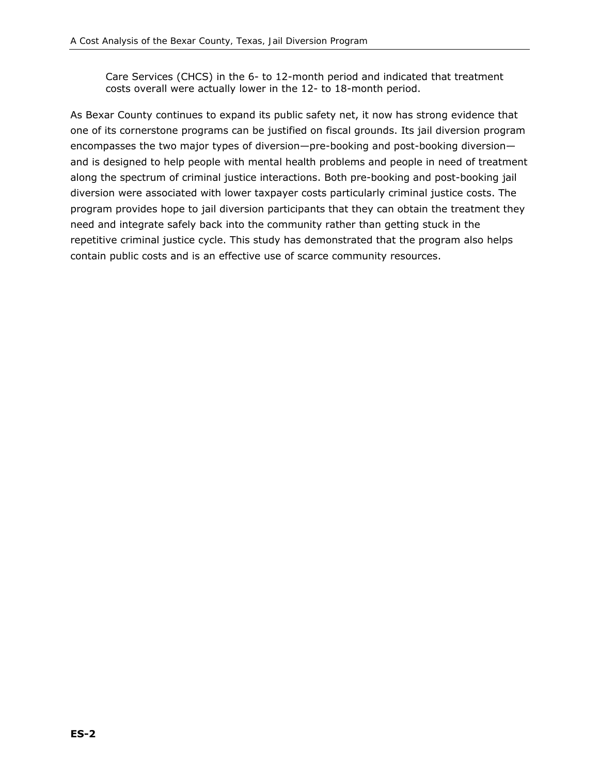Care Services (CHCS) in the 6- to 12-month period and indicated that treatment costs overall were actually lower in the 12- to 18-month period.

As Bexar County continues to expand its public safety net, it now has strong evidence that one of its cornerstone programs can be justified on fiscal grounds. Its jail diversion program encompasses the two major types of diversion—pre-booking and post-booking diversion and is designed to help people with mental health problems and people in need of treatment along the spectrum of criminal justice interactions. Both pre-booking and post-booking jail diversion were associated with lower taxpayer costs particularly criminal justice costs. The program provides hope to jail diversion participants that they can obtain the treatment they need and integrate safely back into the community rather than getting stuck in the repetitive criminal justice cycle. This study has demonstrated that the program also helps contain public costs and is an effective use of scarce community resources.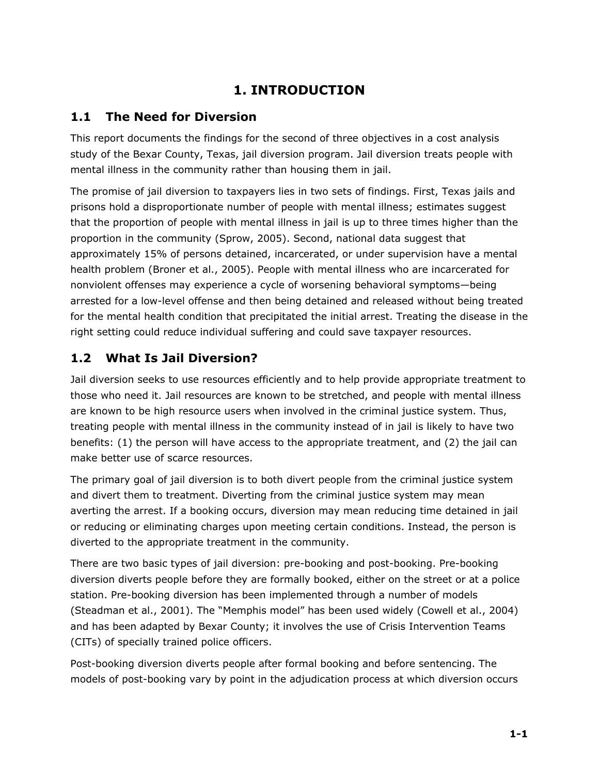## **1. INTRODUCTION**

## **1.1 The Need for Diversion**

This report documents the findings for the second of three objectives in a cost analysis study of the Bexar County, Texas, jail diversion program. Jail diversion treats people with mental illness in the community rather than housing them in jail.

The promise of jail diversion to taxpayers lies in two sets of findings. First, Texas jails and prisons hold a disproportionate number of people with mental illness; estimates suggest that the proportion of people with mental illness in jail is up to three times higher than the proportion in the community (Sprow, 2005). Second, national data suggest that approximately 15% of persons detained, incarcerated, or under supervision have a mental health problem (Broner et al., 2005). People with mental illness who are incarcerated for nonviolent offenses may experience a cycle of worsening behavioral symptoms—being arrested for a low-level offense and then being detained and released without being treated for the mental health condition that precipitated the initial arrest. Treating the disease in the right setting could reduce individual suffering and could save taxpayer resources.

## **1.2 What Is Jail Diversion?**

Jail diversion seeks to use resources efficiently and to help provide appropriate treatment to those who need it. Jail resources are known to be stretched, and people with mental illness are known to be high resource users when involved in the criminal justice system. Thus, treating people with mental illness in the community instead of in jail is likely to have two benefits: (1) the person will have access to the appropriate treatment, and (2) the jail can make better use of scarce resources.

The primary goal of jail diversion is to both *divert people from* the criminal justice system and *divert them to* treatment. Diverting from the criminal justice system may mean averting the arrest. If a booking occurs, diversion may mean reducing time detained in jail or reducing or eliminating charges upon meeting certain conditions. Instead, the person is diverted to the appropriate treatment in the community.

There are two basic types of jail diversion: pre-booking and post-booking. Pre-booking diversion diverts people before they are formally booked, either on the street or at a police station. Pre-booking diversion has been implemented through a number of models (Steadman et al., 2001). The "Memphis model" has been used widely (Cowell et al., 2004) and has been adapted by Bexar County; it involves the use of Crisis Intervention Teams (CITs) of specially trained police officers.

Post-booking diversion diverts people after formal booking and before sentencing. The models of post-booking vary by point in the adjudication process at which diversion occurs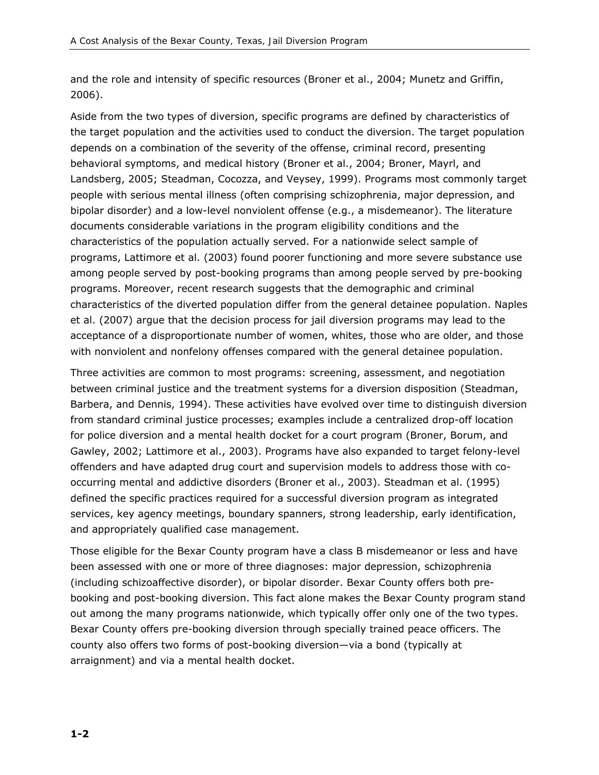and the role and intensity of specific resources (Broner et al., 2004; Munetz and Griffin, 2006).

Aside from the two types of diversion, specific programs are defined by characteristics of the target population and the activities used to conduct the diversion. The target population depends on a combination of the severity of the offense, criminal record, presenting behavioral symptoms, and medical history (Broner et al., 2004; Broner, Mayrl, and Landsberg, 2005; Steadman, Cocozza, and Veysey, 1999). Programs most commonly target people with serious mental illness (often comprising schizophrenia, major depression, and bipolar disorder) and a low-level nonviolent offense (e.g., a misdemeanor). The literature documents considerable variations in the program eligibility conditions and the characteristics of the population actually served. For a nationwide select sample of programs, Lattimore et al. (2003) found poorer functioning and more severe substance use among people served by post-booking programs than among people served by pre-booking programs. Moreover, recent research suggests that the demographic and criminal characteristics of the diverted population differ from the general detainee population. Naples et al. (2007) argue that the decision process for jail diversion programs may lead to the acceptance of a disproportionate number of women, whites, those who are older, and those with nonviolent and nonfelony offenses compared with the general detainee population.

Three activities are common to most programs: screening, assessment, and negotiation between criminal justice and the treatment systems for a diversion disposition (Steadman, Barbera, and Dennis, 1994). These activities have evolved over time to distinguish diversion from standard criminal justice processes; examples include a centralized drop-off location for police diversion and a mental health docket for a court program (Broner, Borum, and Gawley, 2002; Lattimore et al., 2003). Programs have also expanded to target felony-level offenders and have adapted drug court and supervision models to address those with cooccurring mental and addictive disorders (Broner et al., 2003). Steadman et al. (1995) defined the specific practices required for a successful diversion program as integrated services, key agency meetings, boundary spanners, strong leadership, early identification, and appropriately qualified case management.

Those eligible for the Bexar County program have a class B misdemeanor or less and have been assessed with one or more of three diagnoses: major depression, schizophrenia (including schizoaffective disorder), or bipolar disorder. Bexar County offers both prebooking and post-booking diversion. This fact alone makes the Bexar County program stand out among the many programs nationwide, which typically offer only one of the two types. Bexar County offers pre-booking diversion through specially trained peace officers. The county also offers two forms of post-booking diversion—via a bond (typically at arraignment) and via a mental health docket.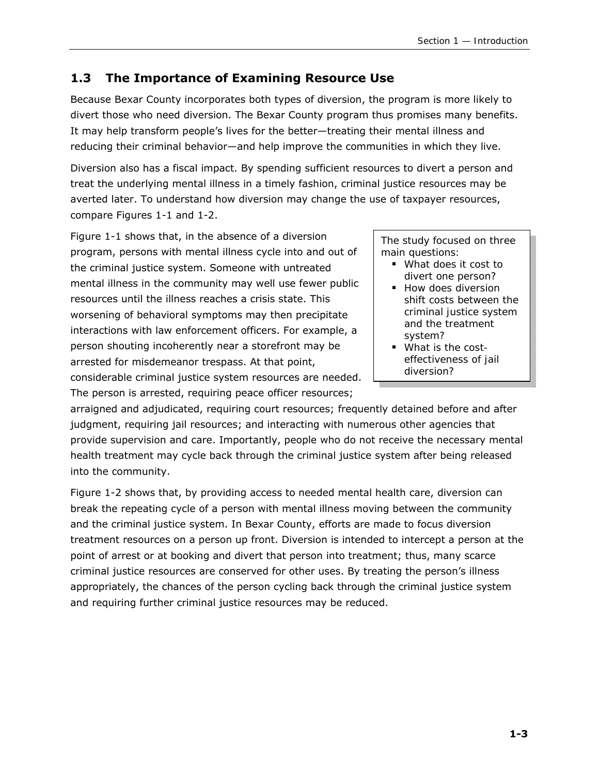## **1.3 The Importance of Examining Resource Use**

Because Bexar County incorporates both types of diversion, the program is more likely to divert those who need diversion. The Bexar County program thus promises many benefits. It may help transform people's lives for the better—treating their mental illness and reducing their criminal behavior—and help improve the communities in which they live.

Diversion also has a fiscal impact. By spending sufficient resources to divert a person and treat the underlying mental illness in a timely fashion, criminal justice resources may be averted later. To understand how diversion may change the use of taxpayer resources, compare Figures 1-1 and 1-2.

Figure 1-1 shows that, in the absence of a diversion program, persons with mental illness cycle into and out of the criminal justice system. Someone with untreated mental illness in the community may well use fewer public resources until the illness reaches a crisis state. This worsening of behavioral symptoms may then precipitate interactions with law enforcement officers. For example, a person shouting incoherently near a storefront may be arrested for misdemeanor trespass. At that point, considerable criminal justice system resources are needed. The person is arrested, requiring peace officer resources;

*The study focused on three main questions:* 

- *What does it cost to divert one person?*
- *How does diversion shift costs between the criminal justice system and the treatment system?*
- *What is the costeffectiveness of jail diversion?*

arraigned and adjudicated, requiring court resources; frequently detained before and after judgment, requiring jail resources; and interacting with numerous other agencies that provide supervision and care. Importantly, people who do not receive the necessary mental health treatment may cycle back through the criminal justice system after being released into the community.

Figure 1-2 shows that, by providing access to needed mental health care, diversion can break the repeating cycle of a person with mental illness moving between the community and the criminal justice system. In Bexar County, efforts are made to focus diversion treatment resources on a person up front. Diversion is intended to intercept a person at the point of arrest or at booking and divert that person into treatment; thus, many scarce criminal justice resources are conserved for other uses. By treating the person's illness appropriately, the chances of the person cycling back through the criminal justice system and requiring further criminal justice resources may be reduced.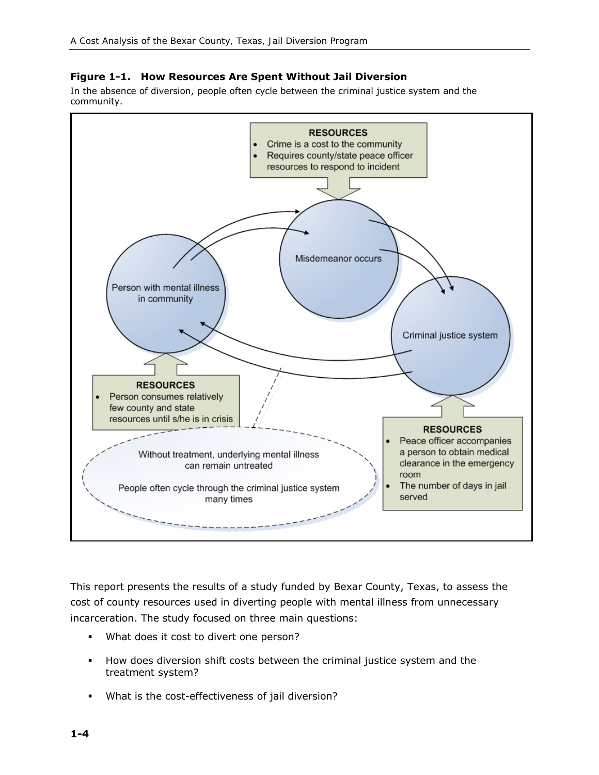#### **Figure 1-1. How Resources Are Spent Without Jail Diversion**

In the absence of diversion, people often cycle between the criminal justice system and the community.



This report presents the results of a study funded by Bexar County, Texas, to assess the cost of county resources used in diverting people with mental illness from unnecessary incarceration. The study focused on three main questions:

- What does it cost to divert one person?
- How does diversion shift costs between the criminal justice system and the treatment system?
- What is the cost-effectiveness of jail diversion?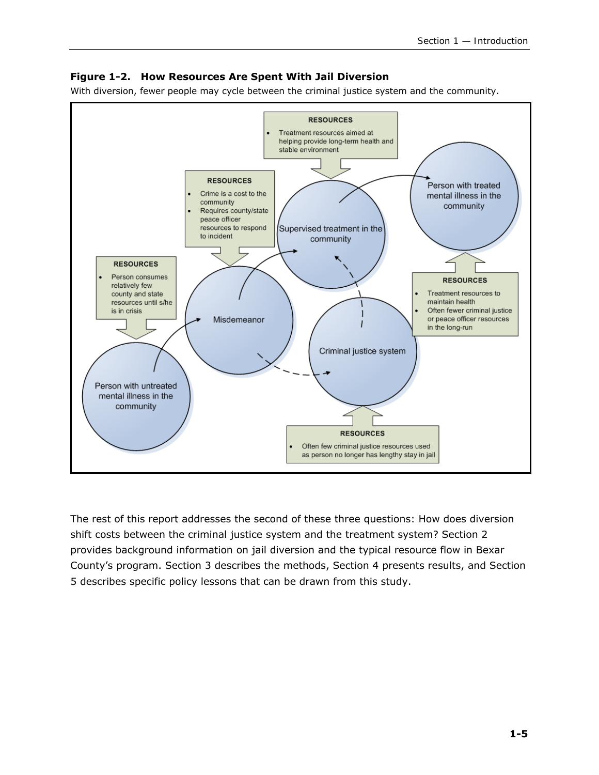#### **Figure 1-2. How Resources Are Spent With Jail Diversion**

With diversion, fewer people may cycle between the criminal justice system and the community.



The rest of this report addresses the second of these three questions: How does diversion shift costs between the criminal justice system and the treatment system? Section 2 provides background information on jail diversion and the typical resource flow in Bexar County's program. Section 3 describes the methods, Section 4 presents results, and Section 5 describes specific policy lessons that can be drawn from this study.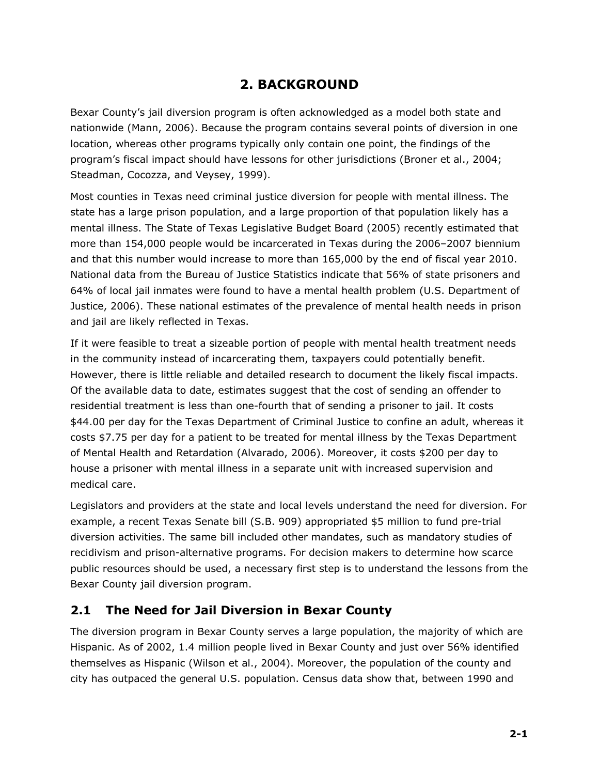## **2. BACKGROUND**

Bexar County's jail diversion program is often acknowledged as a model both state and nationwide (Mann, 2006). Because the program contains several points of diversion in one location, whereas other programs typically only contain one point, the findings of the program's fiscal impact should have lessons for other jurisdictions (Broner et al., 2004; Steadman, Cocozza, and Veysey, 1999).

Most counties in Texas need criminal justice diversion for people with mental illness. The state has a large prison population, and a large proportion of that population likely has a mental illness. The State of Texas Legislative Budget Board (2005) recently estimated that more than 154,000 people would be incarcerated in Texas during the 2006–2007 biennium and that this number would increase to more than 165,000 by the end of fiscal year 2010. National data from the Bureau of Justice Statistics indicate that 56% of state prisoners and 64% of local jail inmates were found to have a mental health problem (U.S. Department of Justice, 2006). These national estimates of the prevalence of mental health needs in prison and jail are likely reflected in Texas.

If it were feasible to treat a sizeable portion of people with mental health treatment needs in the community instead of incarcerating them, taxpayers could potentially benefit. However, there is little reliable and detailed research to document the likely fiscal impacts. Of the available data to date, estimates suggest that the cost of sending an offender to residential treatment is less than one-fourth that of sending a prisoner to jail. It costs \$44.00 per day for the Texas Department of Criminal Justice to confine an adult, whereas it costs \$7.75 per day for a patient to be treated for mental illness by the Texas Department of Mental Health and Retardation (Alvarado, 2006). Moreover, it costs \$200 per day to house a prisoner with mental illness in a separate unit with increased supervision and medical care.

Legislators and providers at the state and local levels understand the need for diversion. For example, a recent Texas Senate bill (S.B. 909) appropriated \$5 million to fund pre-trial diversion activities. The same bill included other mandates, such as mandatory studies of recidivism and prison-alternative programs. For decision makers to determine how scarce public resources should be used, a necessary first step is to understand the lessons from the Bexar County jail diversion program.

#### **2.1 The Need for Jail Diversion in Bexar County**

The diversion program in Bexar County serves a large population, the majority of which are Hispanic. As of 2002, 1.4 million people lived in Bexar County and just over 56% identified themselves as Hispanic (Wilson et al., 2004). Moreover, the population of the county and city has outpaced the general U.S. population. Census data show that, between 1990 and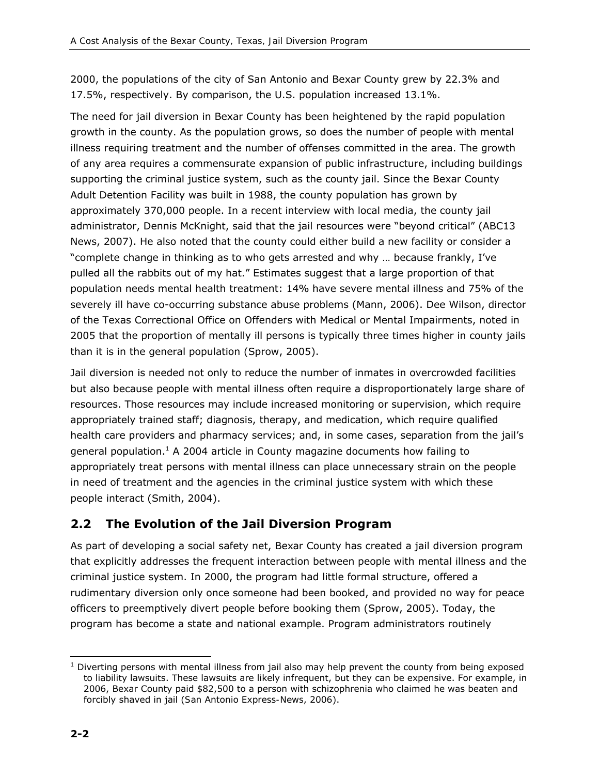2000, the populations of the city of San Antonio and Bexar County grew by 22.3% and 17.5%, respectively. By comparison, the U.S. population increased 13.1%.

The need for jail diversion in Bexar County has been heightened by the rapid population growth in the county. As the population grows, so does the number of people with mental illness requiring treatment and the number of offenses committed in the area. The growth of any area requires a commensurate expansion of public infrastructure, including buildings supporting the criminal justice system, such as the county jail. Since the Bexar County Adult Detention Facility was built in 1988, the county population has grown by approximately 370,000 people. In a recent interview with local media, the county jail administrator, Dennis McKnight, said that the jail resources were "beyond critical" (ABC13 News, 2007). He also noted that the county could either build a new facility or consider a "complete change in thinking as to who gets arrested and why … because frankly, I've pulled all the rabbits out of my hat." Estimates suggest that a large proportion of that population needs mental health treatment: 14% have severe mental illness and 75% of the severely ill have co-occurring substance abuse problems (Mann, 2006). Dee Wilson, director of the Texas Correctional Office on Offenders with Medical or Mental Impairments, noted in 2005 that the proportion of mentally ill persons is typically three times higher in county jails than it is in the general population (Sprow, 2005).

Jail diversion is needed not only to reduce the number of inmates in overcrowded facilities but also because people with mental illness often require a disproportionately large share of resources. Those resources may include increased monitoring or supervision, which require appropriately trained staff; diagnosis, therapy, and medication, which require qualified health care providers and pharmacy services; and, in some cases, separation from the jail's general population.<sup>1</sup> A 2004 article in *County* magazine documents how failing to appropriately treat persons with mental illness can place unnecessary strain on the people in need of treatment and the agencies in the criminal justice system with which these people interact (Smith, 2004).

## **2.2 The Evolution of the Jail Diversion Program**

As part of developing a social safety net, Bexar County has created a jail diversion program that explicitly addresses the frequent interaction between people with mental illness and the criminal justice system. In 2000, the program had little formal structure, offered a rudimentary diversion only once someone had been booked, and provided no way for peace officers to preemptively divert people before booking them (Sprow, 2005). Today, the program has become a state and national example. Program administrators routinely

<sup>-</sup> $<sup>1</sup>$  Diverting persons with mental illness from jail also may help prevent the county from being exposed</sup> to liability lawsuits. These lawsuits are likely infrequent, but they can be expensive. For example, in 2006, Bexar County paid \$82,500 to a person with schizophrenia who claimed he was beaten and forcibly shaved in jail (*San Antonio Express-News*, 2006).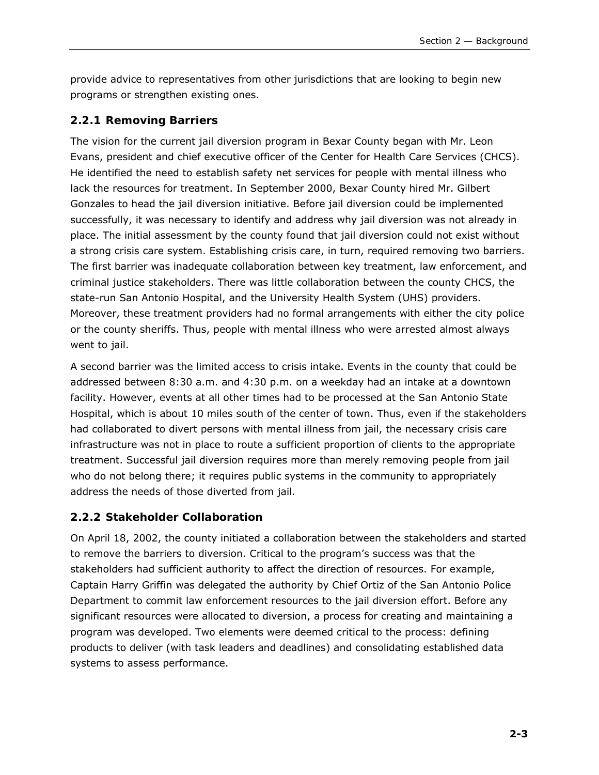provide advice to representatives from other jurisdictions that are looking to begin new programs or strengthen existing ones.

#### *2.2.1 Removing Barriers*

The vision for the current jail diversion program in Bexar County began with Mr. Leon Evans, president and chief executive officer of the Center for Health Care Services (CHCS). He identified the need to establish safety net services for people with mental illness who lack the resources for treatment. In September 2000, Bexar County hired Mr. Gilbert Gonzales to head the jail diversion initiative. Before jail diversion could be implemented successfully, it was necessary to identify and address why jail diversion was not already in place. The initial assessment by the county found that jail diversion could not exist without a strong crisis care system. Establishing crisis care, in turn, required removing two barriers. The first barrier was inadequate collaboration between key treatment, law enforcement, and criminal justice stakeholders. There was little collaboration between the county CHCS, the state-run San Antonio Hospital, and the University Health System (UHS) providers. Moreover, these treatment providers had no formal arrangements with either the city police or the county sheriffs. Thus, people with mental illness who were arrested almost always went to jail.

A second barrier was the limited access to crisis intake. Events in the county that could be addressed between 8:30 a.m. and 4:30 p.m. on a weekday had an intake at a downtown facility. However, events at all other times had to be processed at the San Antonio State Hospital, which is about 10 miles south of the center of town. Thus, even if the stakeholders had collaborated to divert persons with mental illness from jail, the necessary crisis care infrastructure was not in place to route a sufficient proportion of clients to the appropriate treatment. Successful jail diversion requires more than merely removing people from jail who do not belong there; it requires public systems in the community to appropriately address the needs of those diverted from jail.

#### *2.2.2 Stakeholder Collaboration*

On April 18, 2002, the county initiated a collaboration between the stakeholders and started to remove the barriers to diversion. Critical to the program's success was that the stakeholders had sufficient authority to affect the direction of resources. For example, Captain Harry Griffin was delegated the authority by Chief Ortiz of the San Antonio Police Department to commit law enforcement resources to the jail diversion effort. Before any significant resources were allocated to diversion, a process for creating and maintaining a program was developed. Two elements were deemed critical to the process: defining products to deliver (with task leaders and deadlines) and consolidating established data systems to assess performance.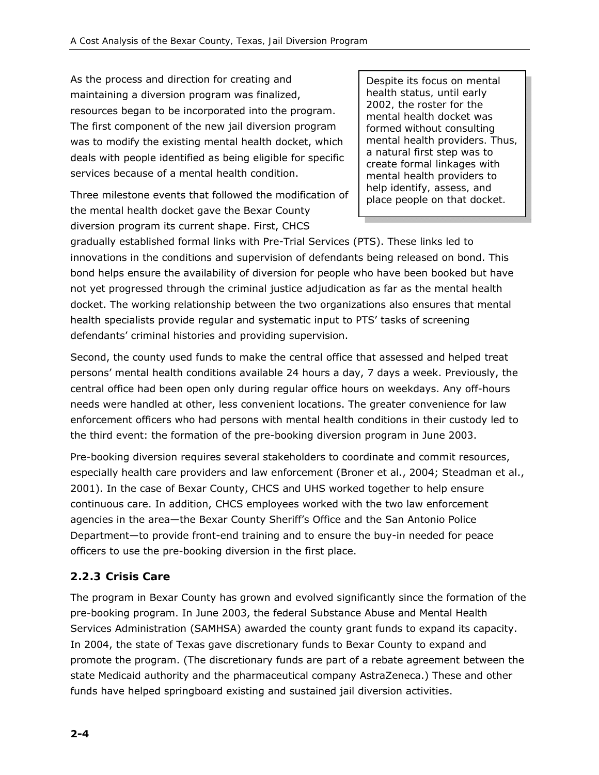As the process and direction for creating and maintaining a diversion program was finalized, resources began to be incorporated into the program. The first component of the new jail diversion program was to modify the existing mental health docket, which deals with people identified as being eligible for specific services because of a mental health condition.

Three milestone events that followed the modification of the mental health docket gave the Bexar County diversion program its current shape. First, CHCS

*Despite its focus on mental health status, until early 2002, the roster for the mental health docket was formed without consulting mental health providers. Thus, a natural first step was to create formal linkages with mental health providers to help identify, assess, and place people on that docket.* 

gradually established formal links with Pre-Trial Services (PTS). These links led to innovations in the conditions and supervision of defendants being released on bond. This bond helps ensure the availability of diversion for people who have been booked but have not yet progressed through the criminal justice adjudication as far as the mental health docket. The working relationship between the two organizations also ensures that mental health specialists provide regular and systematic input to PTS' tasks of screening defendants' criminal histories and providing supervision.

Second, the county used funds to make the central office that assessed and helped treat persons' mental health conditions available 24 hours a day, 7 days a week. Previously, the central office had been open only during regular office hours on weekdays. Any off-hours needs were handled at other, less convenient locations. The greater convenience for law enforcement officers who had persons with mental health conditions in their custody led to the third event: the formation of the pre-booking diversion program in June 2003.

Pre-booking diversion requires several stakeholders to coordinate and commit resources, especially health care providers and law enforcement (Broner et al., 2004; Steadman et al., 2001). In the case of Bexar County, CHCS and UHS worked together to help ensure continuous care. In addition, CHCS employees worked with the two law enforcement agencies in the area—the Bexar County Sheriff's Office and the San Antonio Police Department—to provide front-end training and to ensure the buy-in needed for peace officers to use the pre-booking diversion in the first place.

#### *2.2.3 Crisis Care*

The program in Bexar County has grown and evolved significantly since the formation of the pre-booking program. In June 2003, the federal Substance Abuse and Mental Health Services Administration (SAMHSA) awarded the county grant funds to expand its capacity. In 2004, the state of Texas gave discretionary funds to Bexar County to expand and promote the program. (The discretionary funds are part of a rebate agreement between the state Medicaid authority and the pharmaceutical company AstraZeneca.) These and other funds have helped springboard existing and sustained jail diversion activities.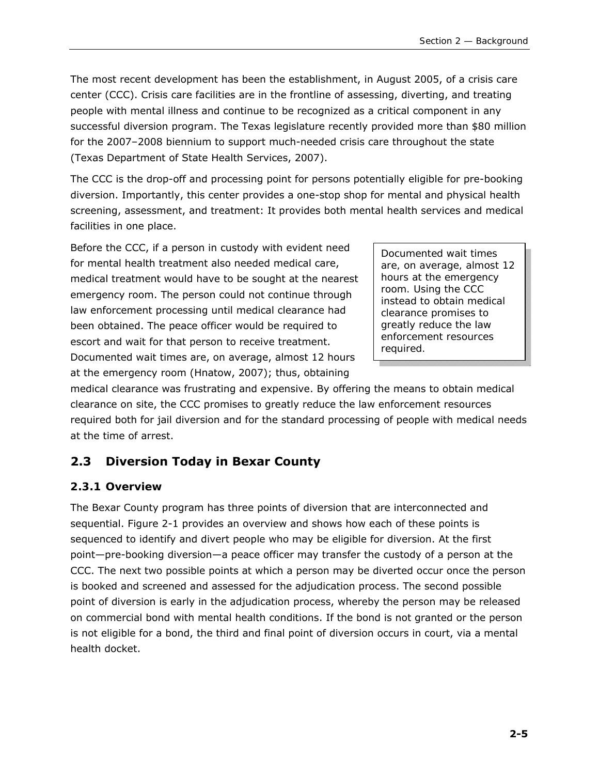The most recent development has been the establishment, in August 2005, of a crisis care center (CCC). Crisis care facilities are in the frontline of assessing, diverting, and treating people with mental illness and continue to be recognized as a critical component in any successful diversion program. The Texas legislature recently provided more than \$80 million for the 2007–2008 biennium to support much-needed crisis care throughout the state (Texas Department of State Health Services, 2007).

The CCC is the drop-off and processing point for persons potentially eligible for pre-booking diversion. Importantly, this center provides a one-stop shop for mental and physical health screening, assessment, and treatment: It provides both mental health services and medical facilities in one place.

Before the CCC, if a person in custody with evident need for mental health treatment also needed medical care, medical treatment would have to be sought at the nearest emergency room. The person could not continue through law enforcement processing until medical clearance had been obtained. The peace officer would be required to escort and wait for that person to receive treatment. Documented wait times are, on average, almost 12 hours at the emergency room (Hnatow, 2007); thus, obtaining

*Documented wait times are, on average, almost 12 hours at the emergency room. Using the CCC instead to obtain medical clearance promises to greatly reduce the law enforcement resources required.* 

medical clearance was frustrating and expensive. By offering the means to obtain medical clearance on site, the CCC promises to greatly reduce the law enforcement resources required both for jail diversion and for the standard processing of people with medical needs at the time of arrest.

## **2.3 Diversion Today in Bexar County**

#### *2.3.1 Overview*

The Bexar County program has three points of diversion that are interconnected and sequential. Figure 2-1 provides an overview and shows how each of these points is sequenced to identify and divert people who may be eligible for diversion. At the first point—pre-booking diversion—a peace officer may transfer the custody of a person at the CCC. The next two possible points at which a person may be diverted occur once the person is booked and screened and assessed for the adjudication process. The second possible point of diversion is early in the adjudication process, whereby the person may be released on commercial bond with mental health conditions. If the bond is not granted or the person is not eligible for a bond, the third and final point of diversion occurs in court, via a mental health docket.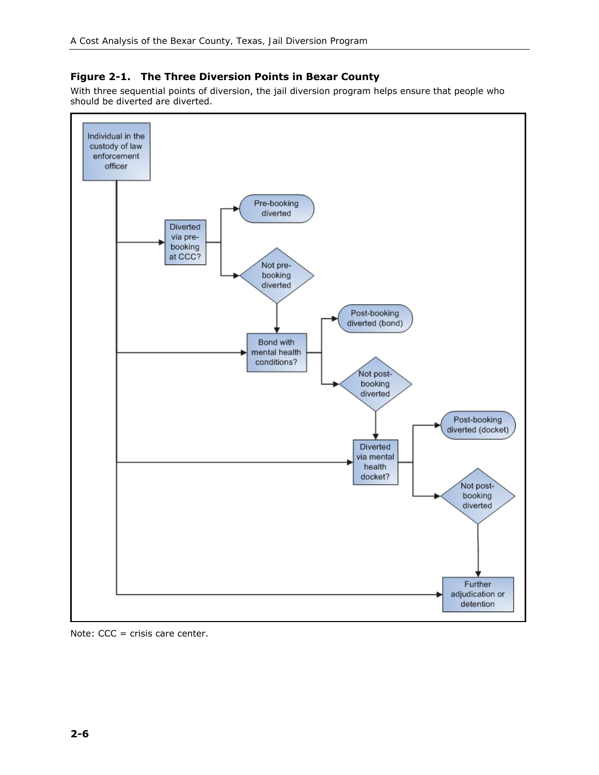#### **Figure 2-1. The Three Diversion Points in Bexar County**

With three sequential points of diversion, the jail diversion program helps ensure that people who should be diverted are diverted.



Note: CCC = crisis care center.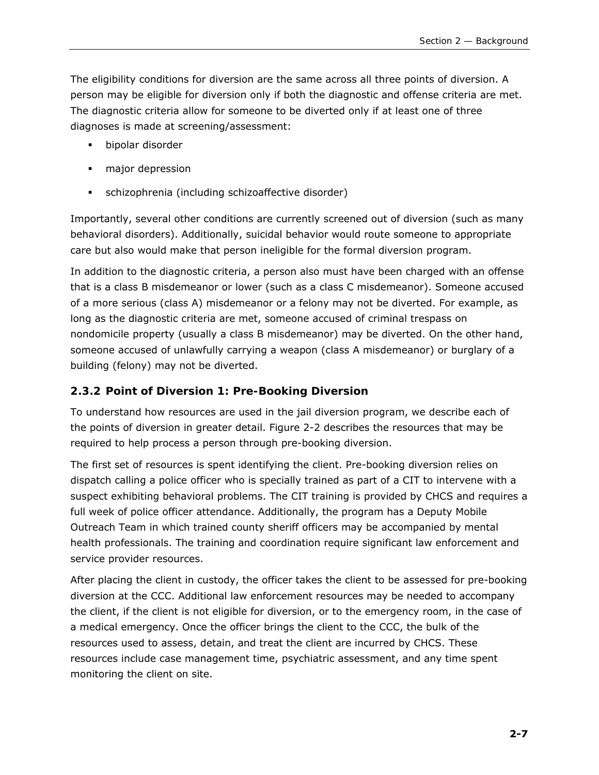The eligibility conditions for diversion are the same across all three points of diversion. A person may be eligible for diversion only if both the diagnostic and offense criteria are met. The diagnostic criteria allow for someone to be diverted only if at least one of three diagnoses is made at screening/assessment:

- **bipolar disorder**
- **nation** depression
- schizophrenia (including schizoaffective disorder)

Importantly, several other conditions are currently screened out of diversion (such as many behavioral disorders). Additionally, suicidal behavior would route someone to appropriate care but also would make that person ineligible for the formal diversion program.

In addition to the diagnostic criteria, a person also must have been charged with an offense that is a class B misdemeanor or lower (such as a class C misdemeanor). Someone accused of a more serious (class A) misdemeanor or a felony may not be diverted. For example, as long as the diagnostic criteria are met, someone accused of criminal trespass on nondomicile property (usually a class B misdemeanor) may be diverted. On the other hand, someone accused of unlawfully carrying a weapon (class A misdemeanor) or burglary of a building (felony) may not be diverted.

#### *2.3.2 Point of Diversion 1: Pre-Booking Diversion*

To understand how resources are used in the jail diversion program, we describe each of the points of diversion in greater detail. Figure 2-2 describes the resources that may be required to help process a person through pre-booking diversion.

The first set of resources is spent identifying the client. Pre-booking diversion relies on dispatch calling a police officer who is specially trained as part of a CIT to intervene with a suspect exhibiting behavioral problems. The CIT training is provided by CHCS and requires a full week of police officer attendance. Additionally, the program has a Deputy Mobile Outreach Team in which trained county sheriff officers may be accompanied by mental health professionals. The training and coordination require significant law enforcement and service provider resources.

After placing the client in custody, the officer takes the client to be assessed for pre-booking diversion at the CCC. Additional law enforcement resources may be needed to accompany the client, if the client is not eligible for diversion, or to the emergency room, in the case of a medical emergency. Once the officer brings the client to the CCC, the bulk of the resources used to assess, detain, and treat the client are incurred by CHCS. These resources include case management time, psychiatric assessment, and any time spent monitoring the client on site.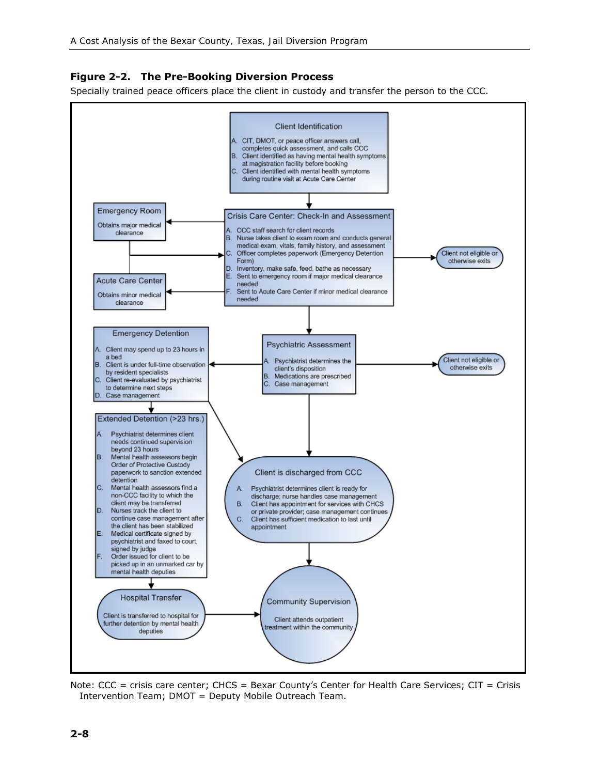#### **Figure 2-2. The Pre-Booking Diversion Process**

Specially trained peace officers place the client in custody and transfer the person to the CCC.



Note: CCC = crisis care center; CHCS = Bexar County's Center for Health Care Services; CIT = Crisis Intervention Team; DMOT = Deputy Mobile Outreach Team.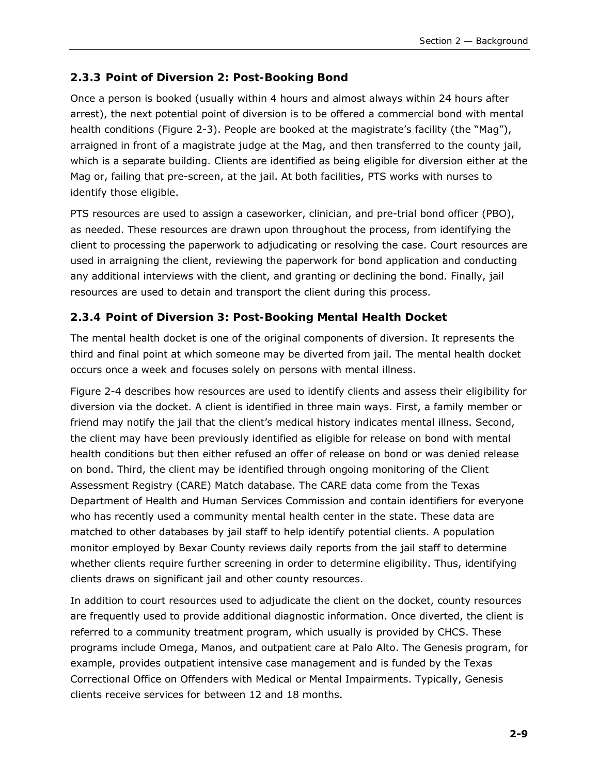#### *2.3.3 Point of Diversion 2: Post-Booking Bond*

Once a person is booked (usually within 4 hours and almost always within 24 hours after arrest), the next potential point of diversion is to be offered a commercial bond with mental health conditions (Figure 2-3). People are booked at the magistrate's facility (the "Mag"), arraigned in front of a magistrate judge at the Mag, and then transferred to the county jail, which is a separate building. Clients are identified as being eligible for diversion either at the Mag or, failing that pre-screen, at the jail. At both facilities, PTS works with nurses to identify those eligible.

PTS resources are used to assign a caseworker, clinician, and pre-trial bond officer (PBO), as needed. These resources are drawn upon throughout the process, from identifying the client to processing the paperwork to adjudicating or resolving the case. Court resources are used in arraigning the client, reviewing the paperwork for bond application and conducting any additional interviews with the client, and granting or declining the bond. Finally, jail resources are used to detain and transport the client during this process.

### *2.3.4 Point of Diversion 3: Post-Booking Mental Health Docket*

The mental health docket is one of the original components of diversion. It represents the third and final point at which someone may be diverted from jail. The mental health docket occurs once a week and focuses solely on persons with mental illness.

Figure 2-4 describes how resources are used to identify clients and assess their eligibility for diversion via the docket. A client is identified in three main ways. First, a family member or friend may notify the jail that the client's medical history indicates mental illness. Second, the client may have been previously identified as eligible for release on bond with mental health conditions but then either refused an offer of release on bond or was denied release on bond. Third, the client may be identified through ongoing monitoring of the Client Assessment Registry (CARE) Match database. The CARE data come from the Texas Department of Health and Human Services Commission and contain identifiers for everyone who has recently used a community mental health center in the state. These data are matched to other databases by jail staff to help identify potential clients. A population monitor employed by Bexar County reviews daily reports from the jail staff to determine whether clients require further screening in order to determine eligibility. Thus, identifying clients draws on significant jail and other county resources.

In addition to court resources used to adjudicate the client on the docket, county resources are frequently used to provide additional diagnostic information. Once diverted, the client is referred to a community treatment program, which usually is provided by CHCS. These programs include Omega, Manos, and outpatient care at Palo Alto. The Genesis program, for example, provides outpatient intensive case management and is funded by the Texas Correctional Office on Offenders with Medical or Mental Impairments. Typically, Genesis clients receive services for between 12 and 18 months.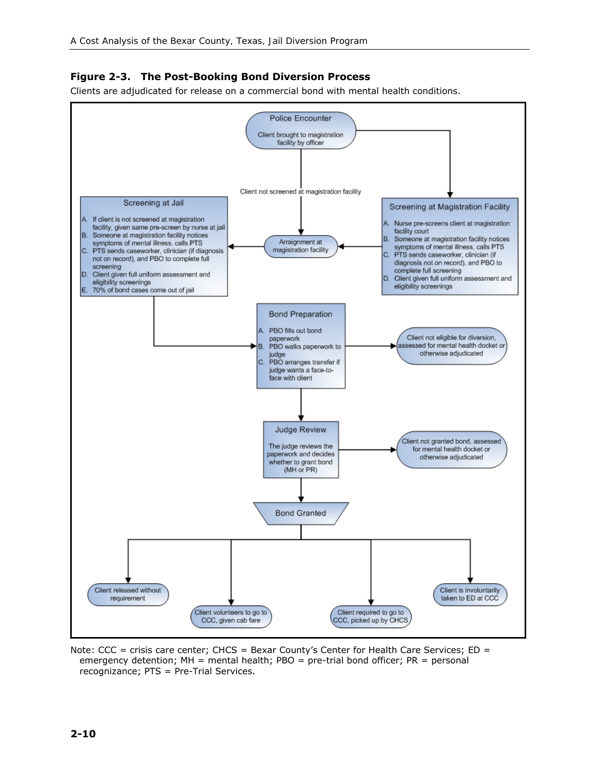#### **Figure 2-3. The Post-Booking Bond Diversion Process**

Clients are adjudicated for release on a commercial bond with mental health conditions.



Note: CCC = crisis care center; CHCS = Bexar County's Center for Health Care Services; ED = emergency detention;  $MH =$  mental health; PBO = pre-trial bond officer;  $PR =$  personal recognizance; PTS = Pre-Trial Services.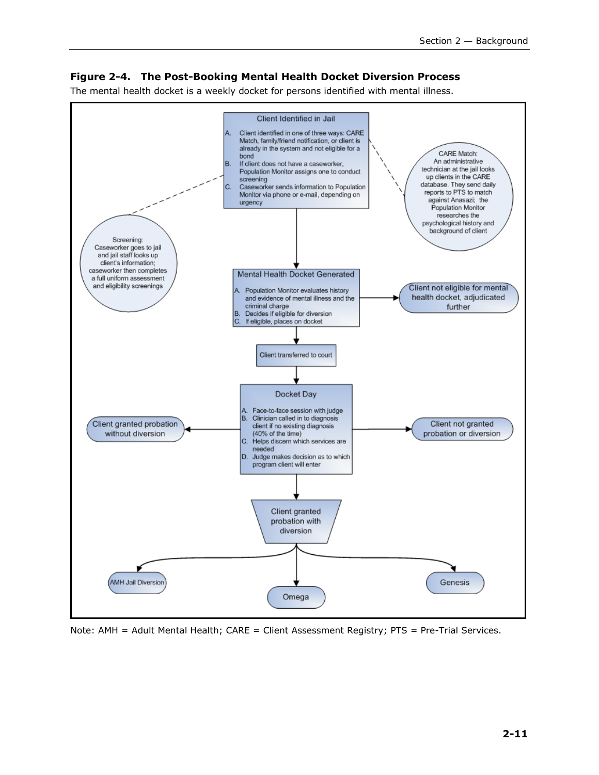#### **Figure 2-4. The Post-Booking Mental Health Docket Diversion Process**

The mental health docket is a weekly docket for persons identified with mental illness.



Note: AMH = Adult Mental Health; CARE = Client Assessment Registry; PTS = Pre-Trial Services.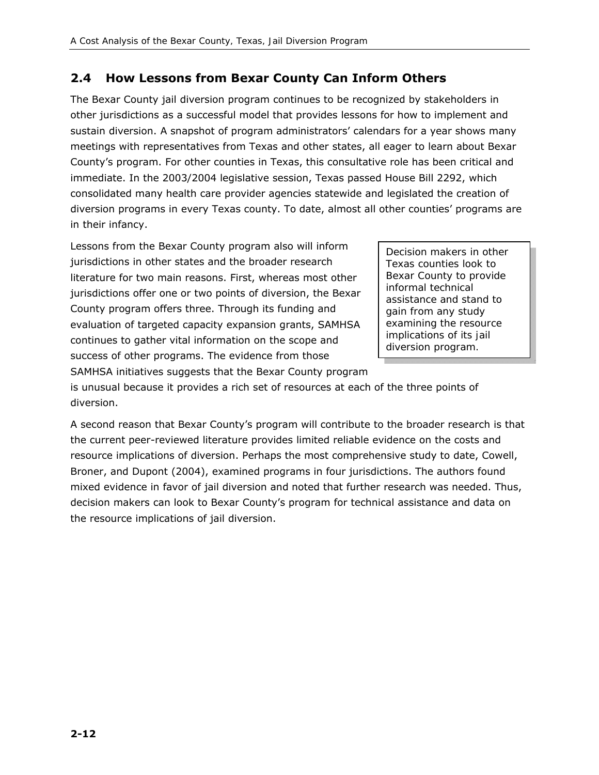## **2.4 How Lessons from Bexar County Can Inform Others**

The Bexar County jail diversion program continues to be recognized by stakeholders in other jurisdictions as a successful model that provides lessons for how to implement and sustain diversion. A snapshot of program administrators' calendars for a year shows many meetings with representatives from Texas and other states, all eager to learn about Bexar County's program. For other counties in Texas, this consultative role has been critical and immediate. In the 2003/2004 legislative session, Texas passed House Bill 2292, which consolidated many health care provider agencies statewide and legislated the creation of diversion programs in every Texas county. To date, almost all other counties' programs are in their infancy.

Lessons from the Bexar County program also will inform jurisdictions in other states and the broader research literature for two main reasons. First, whereas most other jurisdictions offer one or two points of diversion, the Bexar County program offers three. Through its funding and evaluation of targeted capacity expansion grants, SAMHSA continues to gather vital information on the scope and success of other programs. The evidence from those SAMHSA initiatives suggests that the Bexar County program

*Decision makers in other Texas counties look to Bexar County to provide informal technical assistance and stand to gain from any study examining the resource implications of its jail diversion program.* 

is unusual because it provides a rich set of resources at each of the three points of diversion.

A second reason that Bexar County's program will contribute to the broader research is that the current peer-reviewed literature provides limited reliable evidence on the costs and resource implications of diversion. Perhaps the most comprehensive study to date, Cowell, Broner, and Dupont (2004), examined programs in four jurisdictions. The authors found mixed evidence in favor of jail diversion and noted that further research was needed. Thus, decision makers can look to Bexar County's program for technical assistance and data on the resource implications of jail diversion.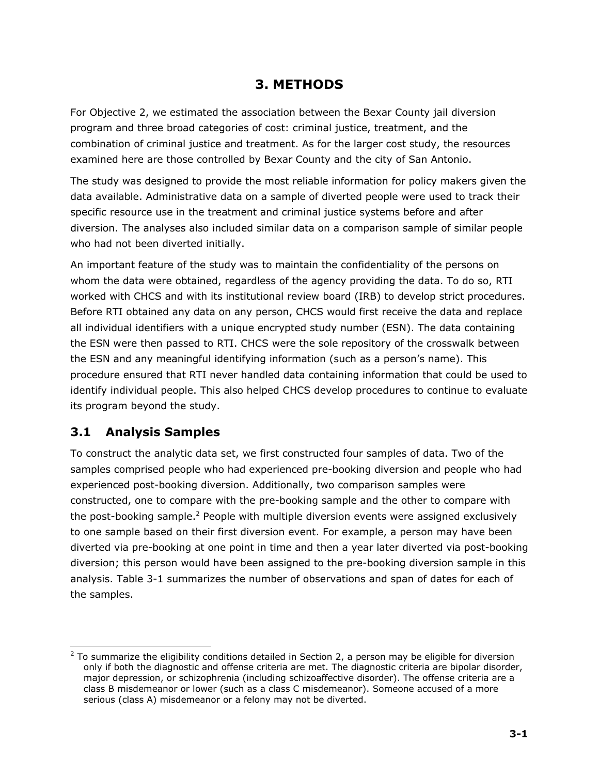## **3. METHODS**

For Objective 2, we estimated the association between the Bexar County jail diversion program and three broad categories of cost: criminal justice, treatment, and the combination of criminal justice and treatment. As for the larger cost study, the resources examined here are those controlled by Bexar County and the city of San Antonio.

The study was designed to provide the most reliable information for policy makers given the data available. Administrative data on a sample of diverted people were used to track their specific resource use in the treatment and criminal justice systems before and after diversion. The analyses also included similar data on a comparison sample of similar people who had not been diverted initially.

An important feature of the study was to maintain the confidentiality of the persons on whom the data were obtained, regardless of the agency providing the data. To do so, RTI worked with CHCS and with its institutional review board (IRB) to develop strict procedures. Before RTI obtained any data on any person, CHCS would first receive the data and replace all individual identifiers with a unique encrypted study number (ESN). The data containing the ESN were then passed to RTI. CHCS were the sole repository of the crosswalk between the ESN and any meaningful identifying information (such as a person's name). This procedure ensured that RTI never handled data containing information that could be used to identify individual people. This also helped CHCS develop procedures to continue to evaluate its program beyond the study.

## **3.1 Analysis Samples**

To construct the analytic data set, we first constructed four samples of data. Two of the samples comprised people who had experienced pre-booking diversion and people who had experienced post-booking diversion. Additionally, two comparison samples were constructed, one to compare with the pre-booking sample and the other to compare with the post-booking sample.<sup>2</sup> People with multiple diversion events were assigned exclusively to one sample based on their first diversion event. For example, a person may have been diverted via pre-booking at one point in time and then a year later diverted via post-booking diversion; this person would have been assigned to the pre-booking diversion sample in this analysis. Table 3-1 summarizes the number of observations and span of dates for each of the samples.

<sup>-</sup><sup>2</sup> To summarize the eligibility conditions detailed in Section 2, a person may be eligible for diversion only if both the diagnostic and offense criteria are met. The diagnostic criteria are bipolar disorder, major depression, or schizophrenia (including schizoaffective disorder). The offense criteria are a class B misdemeanor or lower (such as a class C misdemeanor). Someone accused of a more serious (class A) misdemeanor or a felony may not be diverted.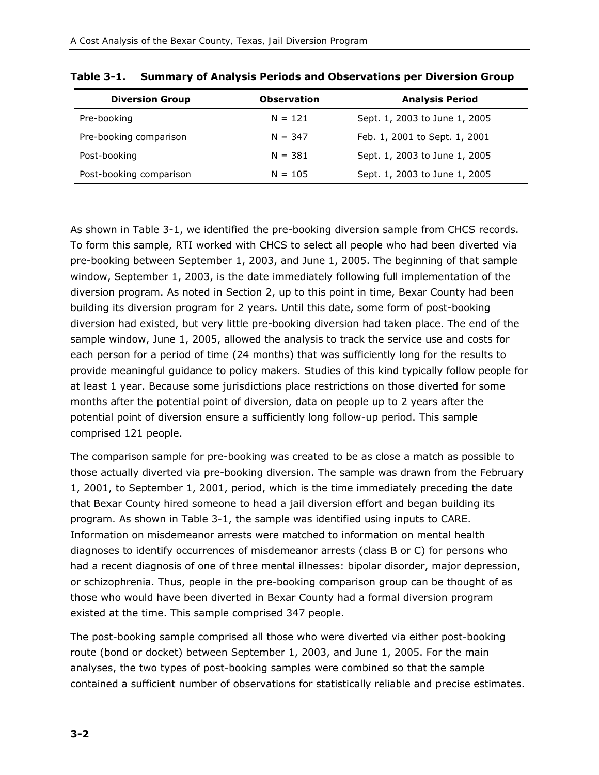| <b>Diversion Group</b>  | <b>Observation</b> | <b>Analysis Period</b>        |
|-------------------------|--------------------|-------------------------------|
| Pre-booking             | $N = 121$          | Sept. 1, 2003 to June 1, 2005 |
| Pre-booking comparison  | $N = 347$          | Feb. 1, 2001 to Sept. 1, 2001 |
| Post-booking            | $N = 381$          | Sept. 1, 2003 to June 1, 2005 |
| Post-booking comparison | $N = 105$          | Sept. 1, 2003 to June 1, 2005 |

**Table 3-1. Summary of Analysis Periods and Observations per Diversion Group** 

As shown in Table 3-1, we identified the pre-booking diversion sample from CHCS records. To form this sample, RTI worked with CHCS to select all people who had been diverted via pre-booking between September 1, 2003, and June 1, 2005. The beginning of that sample window, September 1, 2003, is the date immediately following full implementation of the diversion program. As noted in Section 2, up to this point in time, Bexar County had been building its diversion program for 2 years. Until this date, some form of post-booking diversion had existed, but very little pre-booking diversion had taken place. The end of the sample window, June 1, 2005, allowed the analysis to track the service use and costs for each person for a period of time (24 months) that was sufficiently long for the results to provide meaningful guidance to policy makers. Studies of this kind typically follow people for at least 1 year. Because some jurisdictions place restrictions on those diverted for some months after the potential point of diversion, data on people up to 2 years after the potential point of diversion ensure a sufficiently long follow-up period. This sample comprised 121 people.

The comparison sample for pre-booking was created to be as close a match as possible to those actually diverted via pre-booking diversion. The sample was drawn from the February 1, 2001, to September 1, 2001, period, which is the time immediately preceding the date that Bexar County hired someone to head a jail diversion effort and began building its program. As shown in Table 3-1, the sample was identified using inputs to CARE. Information on misdemeanor arrests were matched to information on mental health diagnoses to identify occurrences of misdemeanor arrests (class B or C) for persons who had a recent diagnosis of one of three mental illnesses: bipolar disorder, major depression, or schizophrenia. Thus, people in the pre-booking comparison group can be thought of as those who would have been diverted in Bexar County had a formal diversion program existed at the time. This sample comprised 347 people.

The post-booking sample comprised all those who were diverted via either post-booking route (bond or docket) between September 1, 2003, and June 1, 2005. For the main analyses, the two types of post-booking samples were combined so that the sample contained a sufficient number of observations for statistically reliable and precise estimates.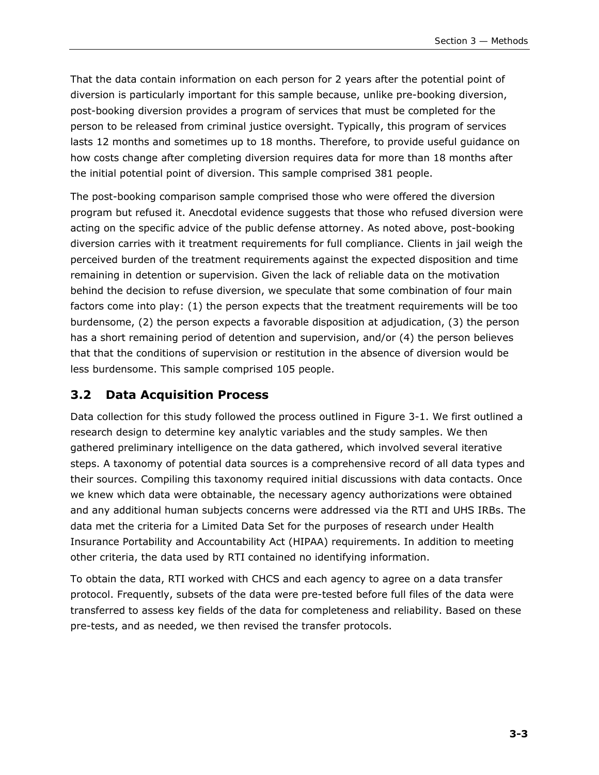That the data contain information on each person for 2 years after the potential point of diversion is particularly important for this sample because, unlike pre-booking diversion, post-booking diversion provides a program of services that must be completed for the person to be released from criminal justice oversight. Typically, this program of services lasts 12 months and sometimes up to 18 months. Therefore, to provide useful guidance on how costs change after completing diversion requires data for more than 18 months after the initial potential point of diversion. This sample comprised 381 people.

The post-booking comparison sample comprised those who were offered the diversion program but refused it. Anecdotal evidence suggests that those who refused diversion were acting on the specific advice of the public defense attorney. As noted above, post-booking diversion carries with it treatment requirements for full compliance. Clients in jail weigh the perceived burden of the treatment requirements against the expected disposition and time remaining in detention or supervision. Given the lack of reliable data on the motivation behind the decision to refuse diversion, we speculate that some combination of four main factors come into play: (1) the person expects that the treatment requirements will be too burdensome, (2) the person expects a favorable disposition at adjudication, (3) the person has a short remaining period of detention and supervision, and/or (4) the person believes that that the conditions of supervision or restitution in the absence of diversion would be less burdensome. This sample comprised 105 people.

#### **3.2 Data Acquisition Process**

Data collection for this study followed the process outlined in Figure 3-1. We first outlined a research design to determine key analytic variables and the study samples. We then gathered preliminary intelligence on the data gathered, which involved several iterative steps. A taxonomy of potential data sources is a comprehensive record of all data types and their sources. Compiling this taxonomy required initial discussions with data contacts. Once we knew which data were obtainable, the necessary agency authorizations were obtained and any additional human subjects concerns were addressed via the RTI and UHS IRBs. The data met the criteria for a Limited Data Set for the purposes of research under Health Insurance Portability and Accountability Act (HIPAA) requirements. In addition to meeting other criteria, the data used by RTI contained no identifying information.

To obtain the data, RTI worked with CHCS and each agency to agree on a data transfer protocol. Frequently, subsets of the data were pre-tested before full files of the data were transferred to assess key fields of the data for completeness and reliability. Based on these pre-tests, and as needed, we then revised the transfer protocols.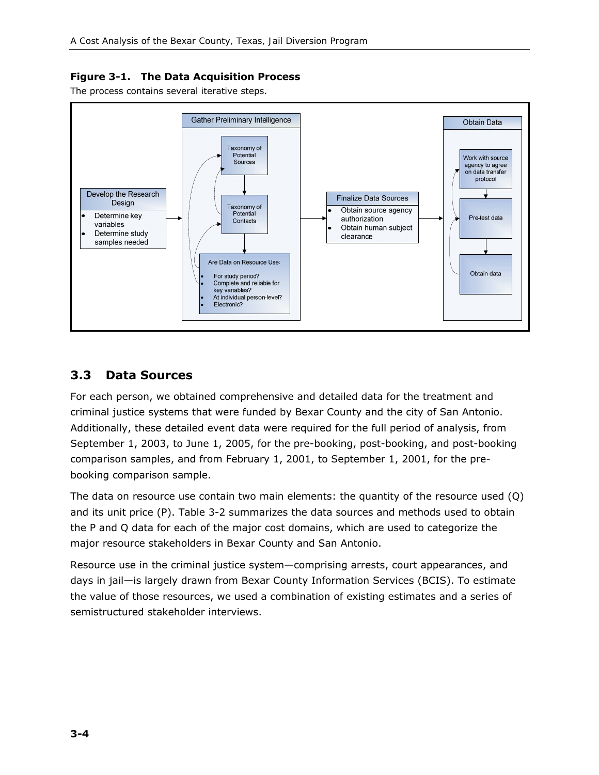#### **Figure 3-1. The Data Acquisition Process**

The process contains several iterative steps.



### **3.3 Data Sources**

For each person, we obtained comprehensive and detailed data for the treatment and criminal justice systems that were funded by Bexar County and the city of San Antonio. Additionally, these detailed event data were required for the full period of analysis, from September 1, 2003, to June 1, 2005, for the pre-booking, post-booking, and post-booking comparison samples, and from February 1, 2001, to September 1, 2001, for the prebooking comparison sample.

The data on resource use contain two main elements: the quantity of the resource used (*Q*) and its unit price (*P*). Table 3-2 summarizes the data sources and methods used to obtain the *P* and *Q* data for each of the major cost domains, which are used to categorize the major resource stakeholders in Bexar County and San Antonio.

Resource use in the criminal justice system—comprising arrests, court appearances, and days in jail—is largely drawn from Bexar County Information Services (BCIS). To estimate the value of those resources, we used a combination of existing estimates and a series of semistructured stakeholder interviews.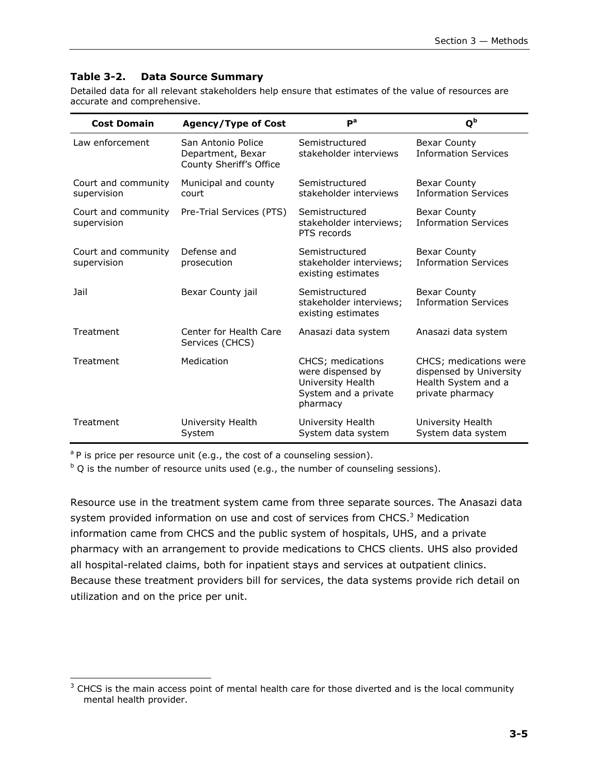#### **Table 3-2. Data Source Summary**

Detailed data for all relevant stakeholders help ensure that estimates of the value of resources are accurate and comprehensive.

| <b>Cost Domain</b>                 | <b>Agency/Type of Cost</b>                                         | $P^a$                                                                                           | $Q^{\rm b}$                                                                                  |
|------------------------------------|--------------------------------------------------------------------|-------------------------------------------------------------------------------------------------|----------------------------------------------------------------------------------------------|
| Law enforcement                    | San Antonio Police<br>Department, Bexar<br>County Sheriff's Office | Semistructured<br>stakeholder interviews                                                        | <b>Bexar County</b><br><b>Information Services</b>                                           |
| Court and community<br>supervision | Municipal and county<br>court                                      | Semistructured<br>stakeholder interviews                                                        | <b>Bexar County</b><br><b>Information Services</b>                                           |
| Court and community<br>supervision | Pre-Trial Services (PTS)                                           | Semistructured<br>stakeholder interviews;<br>PTS records                                        | <b>Bexar County</b><br><b>Information Services</b>                                           |
| Court and community<br>supervision | Defense and<br>prosecution                                         | Semistructured<br>stakeholder interviews;<br>existing estimates                                 | <b>Bexar County</b><br><b>Information Services</b>                                           |
| Jail                               | Bexar County jail                                                  | Semistructured<br>stakeholder interviews;<br>existing estimates                                 | <b>Bexar County</b><br><b>Information Services</b>                                           |
| Treatment                          | Center for Health Care<br>Services (CHCS)                          | Anasazi data system                                                                             | Anasazi data system                                                                          |
| Treatment                          | Medication                                                         | CHCS; medications<br>were dispensed by<br>University Health<br>System and a private<br>pharmacy | CHCS; medications were<br>dispensed by University<br>Health System and a<br>private pharmacy |
| Treatment                          | University Health<br>System                                        | University Health<br>System data system                                                         | University Health<br>System data system                                                      |

<sup>a</sup> *P* is price per resource unit (e.g., the cost of a counseling session).

1

 $b$   $Q$  is the number of resource units used (e.g., the number of counseling sessions).

Resource use in the treatment system came from three separate sources. The Anasazi data system provided information on use and cost of services from CHCS.<sup>3</sup> Medication information came from CHCS and the public system of hospitals, UHS, and a private pharmacy with an arrangement to provide medications to CHCS clients. UHS also provided all hospital-related claims, both for inpatient stays and services at outpatient clinics. Because these treatment providers bill for services, the data systems provide rich detail on utilization and on the price per unit.

 $3$  CHCS is the main access point of mental health care for those diverted and is the local community mental health provider.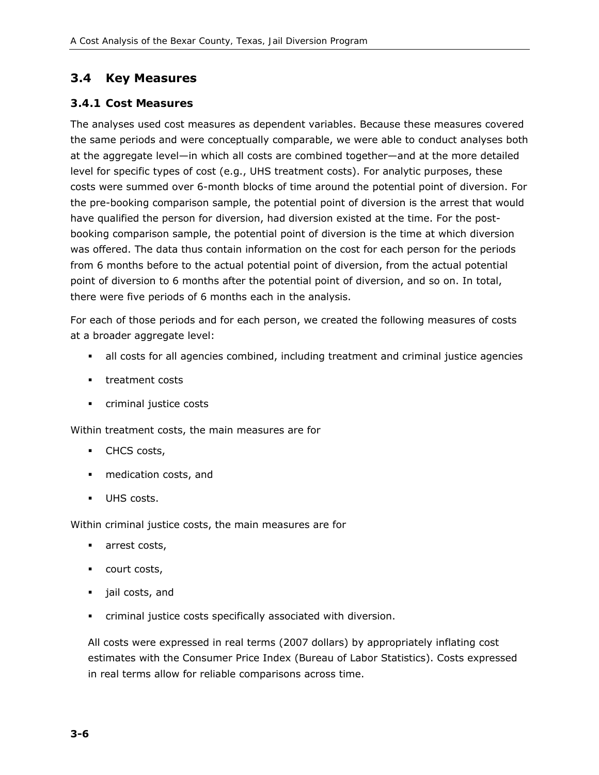## **3.4 Key Measures**

#### *3.4.1 Cost Measures*

The analyses used cost measures as dependent variables. Because these measures covered the same periods and were conceptually comparable, we were able to conduct analyses both at the aggregate level—in which all costs are combined together—and at the more detailed level for specific types of cost (e.g., UHS treatment costs). For analytic purposes, these costs were summed over 6-month blocks of time around the potential point of diversion. For the pre-booking comparison sample, the potential point of diversion is the arrest that would have qualified the person for diversion, had diversion existed at the time. For the postbooking comparison sample, the potential point of diversion is the time at which diversion was offered. The data thus contain information on the cost for each person for the periods from 6 months before to the actual potential point of diversion, from the actual potential point of diversion to 6 months after the potential point of diversion, and so on. In total, there were five periods of 6 months each in the analysis.

For each of those periods and for each person, we created the following measures of costs at a broader aggregate level:

- all costs for all agencies combined, including treatment and criminal justice agencies
- **treatment costs**
- **criminal justice costs**

Within treatment costs, the main measures are for

- **CHCS** costs,
- medication costs, and
- **UHS costs.**

Within criminal justice costs, the main measures are for

- **arrest costs,**
- **court costs,**
- jail costs, and
- criminal justice costs specifically associated with diversion.

All costs were expressed in real terms (2007 dollars) by appropriately inflating cost estimates with the Consumer Price Index (Bureau of Labor Statistics). Costs expressed in real terms allow for reliable comparisons across time.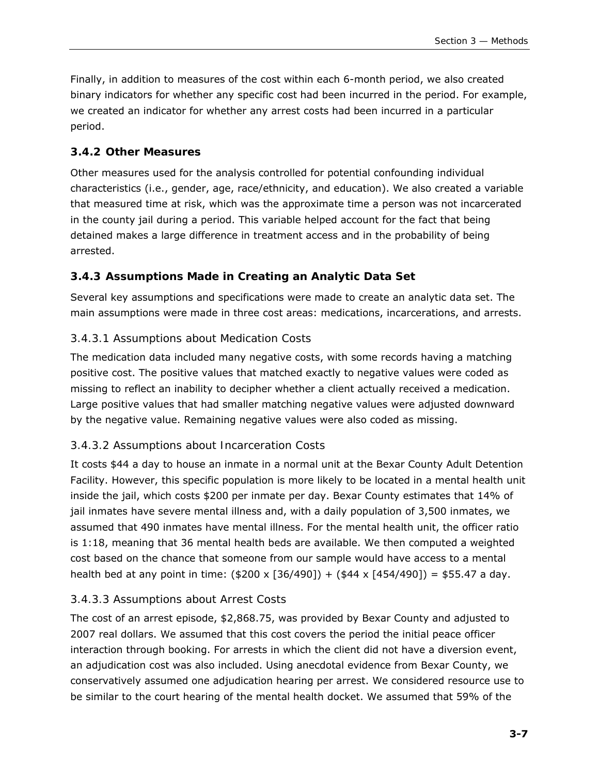Finally, in addition to measures of the cost within each 6-month period, we also created binary indicators for whether any specific cost had been incurred in the period. For example, we created an indicator for whether any arrest costs had been incurred in a particular period.

#### *3.4.2 Other Measures*

Other measures used for the analysis controlled for potential confounding individual characteristics (i.e., gender, age, race/ethnicity, and education). We also created a variable that measured time at risk, which was the approximate time a person was not incarcerated in the county jail during a period. This variable helped account for the fact that being detained makes a large difference in treatment access and in the probability of being arrested.

#### *3.4.3 Assumptions Made in Creating an Analytic Data Set*

Several key assumptions and specifications were made to create an analytic data set. The main assumptions were made in three cost areas: medications, incarcerations, and arrests.

#### *3.4.3.1 Assumptions about Medication Costs*

The medication data included many negative costs, with some records having a matching positive cost. The positive values that matched exactly to negative values were coded as missing to reflect an inability to decipher whether a client actually received a medication. Large positive values that had smaller matching negative values were adjusted downward by the negative value. Remaining negative values were also coded as missing.

#### *3.4.3.2 Assumptions about Incarceration Costs*

It costs \$44 a day to house an inmate in a normal unit at the Bexar County Adult Detention Facility. However, this specific population is more likely to be located in a mental health unit inside the jail, which costs \$200 per inmate per day. Bexar County estimates that 14% of jail inmates have severe mental illness and, with a daily population of 3,500 inmates, we assumed that 490 inmates have mental illness. For the mental health unit, the officer ratio is 1:18, meaning that 36 mental health beds are available. We then computed a weighted cost based on the chance that someone from our sample would have access to a mental health bed at any point in time:  $($200 \times [36/490]) + ($44 \times [454/490]) = $55.47$  a day.

#### *3.4.3.3 Assumptions about Arrest Costs*

The cost of an arrest episode, \$2,868.75, was provided by Bexar County and adjusted to 2007 real dollars. We assumed that this cost covers the period the initial peace officer interaction through booking. For arrests in which the client did not have a diversion event, an adjudication cost was also included. Using anecdotal evidence from Bexar County, we conservatively assumed one adjudication hearing per arrest. We considered resource use to be similar to the court hearing of the mental health docket. We assumed that 59% of the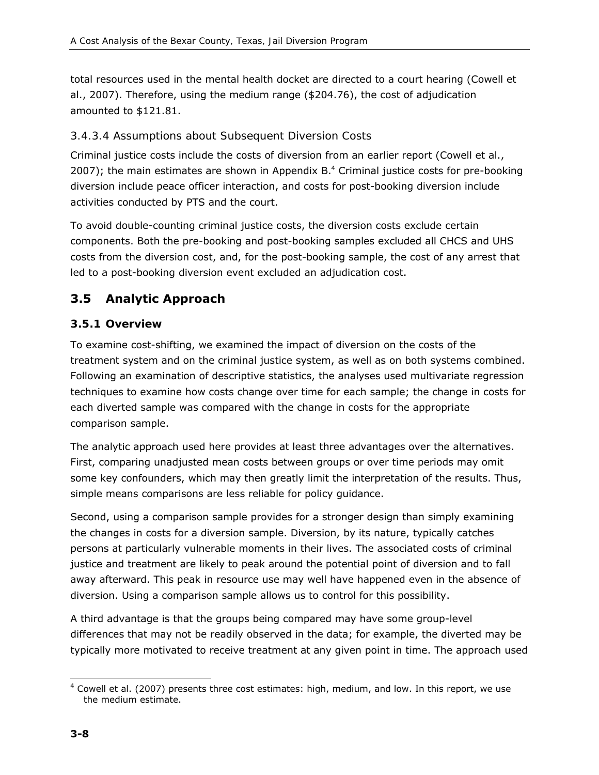total resources used in the mental health docket are directed to a court hearing (Cowell et al., 2007). Therefore, using the medium range (\$204.76), the cost of adjudication amounted to \$121.81.

#### *3.4.3.4 Assumptions about Subsequent Diversion Costs*

Criminal justice costs include the costs of diversion from an earlier report (Cowell et al., 2007); the main estimates are shown in Appendix B.4 Criminal justice costs for pre-booking diversion include peace officer interaction, and costs for post-booking diversion include activities conducted by PTS and the court.

To avoid double-counting criminal justice costs, the diversion costs exclude certain components. Both the pre-booking and post-booking samples excluded all CHCS and UHS costs from the diversion cost, and, for the post-booking sample, the cost of any arrest that led to a post-booking diversion event excluded an adjudication cost.

## **3.5 Analytic Approach**

#### *3.5.1 Overview*

To examine cost-shifting, we examined the impact of diversion on the costs of the treatment system and on the criminal justice system, as well as on both systems combined. Following an examination of descriptive statistics, the analyses used multivariate regression techniques to examine how costs change over time for each sample; the change in costs for each diverted sample was compared with the change in costs for the appropriate comparison sample.

The analytic approach used here provides at least three advantages over the alternatives. First, comparing unadjusted mean costs between groups or over time periods may omit some key confounders, which may then greatly limit the interpretation of the results. Thus, simple means comparisons are less reliable for policy guidance.

Second, using a comparison sample provides for a stronger design than simply examining the changes in costs for a diversion sample. Diversion, by its nature, typically catches persons at particularly vulnerable moments in their lives. The associated costs of criminal justice and treatment are likely to peak around the potential point of diversion and to fall away afterward. This peak in resource use may well have happened even in the absence of diversion. Using a comparison sample allows us to control for this possibility.

A third advantage is that the groups being compared may have some group-level differences that may not be readily observed in the data; for example, the diverted may be typically more motivated to receive treatment at any given point in time. The approach used

<sup>-</sup> $<sup>4</sup>$  Cowell et al. (2007) presents three cost estimates: high, medium, and low. In this report, we use</sup> the medium estimate.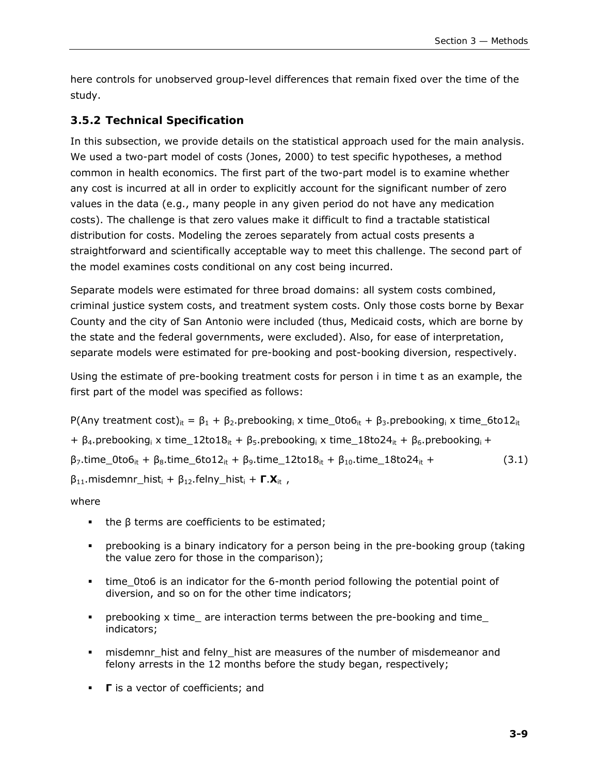here controls for unobserved group-level differences that remain fixed over the time of the study.

#### *3.5.2 Technical Specification*

In this subsection, we provide details on the statistical approach used for the main analysis. We used a two-part model of costs (Jones, 2000) to test specific hypotheses, a method common in health economics. The first part of the two-part model is to examine whether any cost is incurred at all in order to explicitly account for the significant number of zero values in the data (e.g., many people in any given period do not have any medication costs). The challenge is that zero values make it difficult to find a tractable statistical distribution for costs. Modeling the zeroes separately from actual costs presents a straightforward and scientifically acceptable way to meet this challenge. The second part of the model examines costs conditional on any cost being incurred.

Separate models were estimated for three broad domains: all system costs combined, criminal justice system costs, and treatment system costs. Only those costs borne by Bexar County and the city of San Antonio were included (thus, Medicaid costs, which are borne by the state and the federal governments, were excluded). Also, for ease of interpretation, separate models were estimated for pre-booking and post-booking diversion, respectively.

Using the estimate of pre-booking treatment costs for person *i* in time *t* as an example, the first part of the model was specified as follows:

P(Any treatment cost)<sub>*it*</sub> =  $β_1 + β_2$ .prebooking<sub>*i*</sub> x time\_0to6<sub>*it*</sub> +  $β_3$ .prebooking<sub>*i*</sub> x time\_6to12<sub>*it*</sub> + β4.prebooking*i* x time\_12to18*it* + β5.prebooking*i* x time\_18to24*it* + β6.prebooking*<sup>i</sup>* +  $β_7$ .time 0to6<sub>*it*</sub> + β<sub>8</sub>.time 6to12<sub>*it*</sub> + β<sub>9</sub>.time 12to18<sub>*it*</sub> + β<sub>10</sub>.time 18to24<sub>*it*</sub> + (3.1) β11.misdemnr\_hist*<sup>i</sup>* + β12.felny\_hist*i* + **Γ**.**X***it* ,

#### where

- the  $β$  terms are coefficients to be estimated;
- prebooking is a binary indicatory for a person being in the pre-booking group (taking the value zero for those in the comparison);
- time\_0to6 is an indicator for the 6-month period following the potential point of diversion, and so on for the other time indicators;
- prebooking x time\_ are interaction terms between the pre-booking and time\_ indicators;
- misdemnr\_hist and felny\_hist are measures of the number of misdemeanor and felony arrests in the 12 months before the study began, respectively;
- **Γ** is a vector of coefficients; and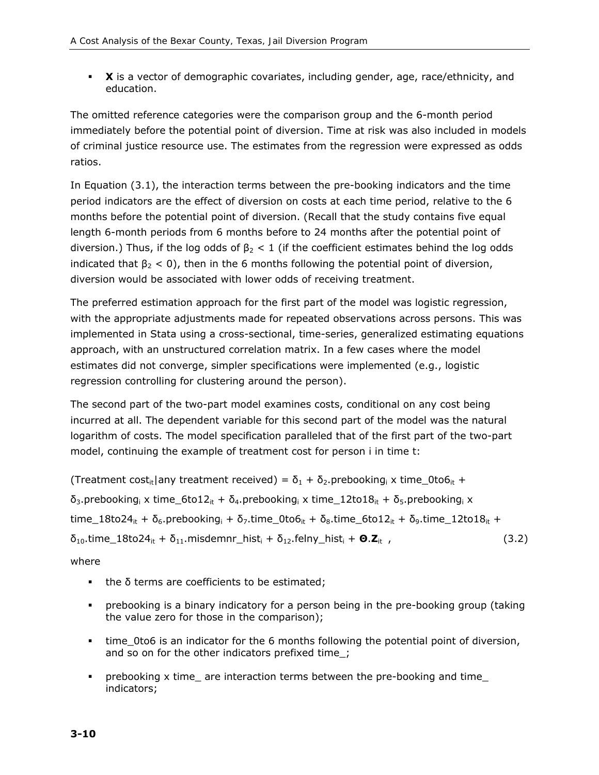**X** is a vector of demographic covariates, including gender, age, race/ethnicity, and education.

The omitted reference categories were the comparison group and the 6-month period immediately before the potential point of diversion. Time at risk was also included in models of criminal justice resource use. The estimates from the regression were expressed as odds ratios.

In Equation (3.1), the interaction terms between the pre-booking indicators and the time period indicators are the effect of diversion on costs at each time period, relative to the 6 months before the potential point of diversion. (Recall that the study contains five equal length 6-month periods from 6 months before to 24 months after the potential point of diversion.) Thus, if the log odds of  $β<sub>2</sub> < 1$  (if the coefficient estimates behind the log odds indicated that  $\beta_2 < 0$ ), then in the 6 months following the potential point of diversion, diversion would be associated with lower odds of receiving treatment.

The preferred estimation approach for the first part of the model was logistic regression, with the appropriate adjustments made for repeated observations across persons. This was implemented in Stata using a cross-sectional, time-series, generalized estimating equations approach, with an unstructured correlation matrix. In a few cases where the model estimates did not converge, simpler specifications were implemented (e.g., logistic regression controlling for clustering around the person).

The second part of the two-part model examines costs, conditional on any cost being incurred at all. The dependent variable for this second part of the model was the natural logarithm of costs. The model specification paralleled that of the first part of the two-part model, continuing the example of treatment cost for person *i* in time *t*:

(Treatment cost<sub>it</sub>|any treatment received) =  $\delta_1$  +  $\delta_2$ . prebooking<sub>i</sub> x time 0to6<sub>it</sub> + δ3.prebooking*i* x time\_6to12*it* + δ4.prebooking*i* x time\_12to18*it* + δ5.prebooking*i* x time\_18to24*it* + δ6.prebooking*<sup>i</sup>* + δ7.time\_0to6*it* + δ8.time\_6to12*it* + δ9.time\_12to18*it* + δ10.time\_18to24*it* + δ11.misdemnr\_hist*i* + δ12.felny\_hist*<sup>i</sup>* + **Θ**.**Z***it* , (3.2)

where

- $\blacksquare$  the  $\delta$  terms are coefficients to be estimated;
- prebooking is a binary indicatory for a person being in the pre-booking group (taking the value zero for those in the comparison);
- time\_0to6 is an indicator for the 6 months following the potential point of diversion, and so on for the other indicators prefixed time\_;
- prebooking x time\_ are interaction terms between the pre-booking and time\_ indicators;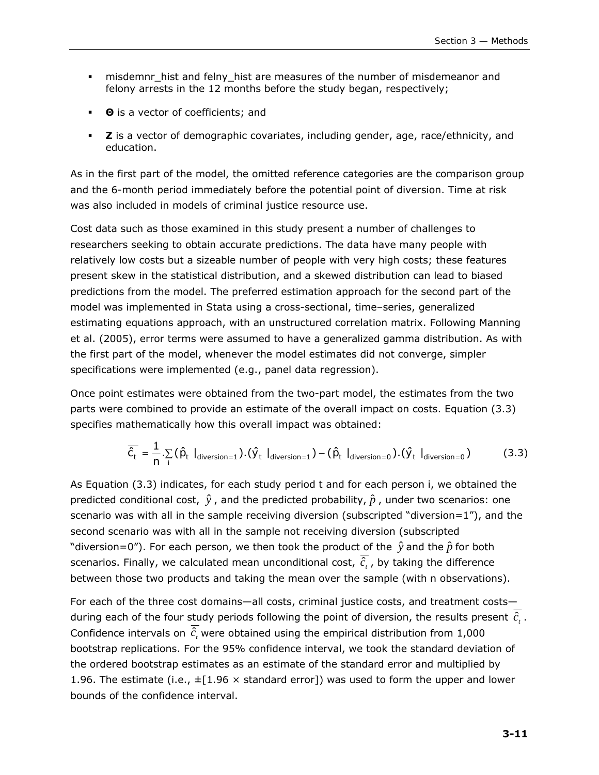- **EXED misdemnr** hist and felny hist are measures of the number of misdemeanor and felony arrests in the 12 months before the study began, respectively;
- **Θ** is a vector of coefficients; and
- **Z** is a vector of demographic covariates, including gender, age, race/ethnicity, and education.

As in the first part of the model, the omitted reference categories are the comparison group and the 6-month period immediately before the potential point of diversion. Time at risk was also included in models of criminal justice resource use.

Cost data such as those examined in this study present a number of challenges to researchers seeking to obtain accurate predictions. The data have many people with relatively low costs but a sizeable number of people with very high costs; these features present skew in the statistical distribution, and a skewed distribution can lead to biased predictions from the model. The preferred estimation approach for the second part of the model was implemented in Stata using a cross-sectional, time–series, generalized estimating equations approach, with an unstructured correlation matrix. Following Manning et al. (2005), error terms were assumed to have a generalized gamma distribution. As with the first part of the model, whenever the model estimates did not converge, simpler specifications were implemented (e.g., panel data regression).

Once point estimates were obtained from the two-part model, the estimates from the two parts were combined to provide an estimate of the overall impact on costs. Equation (3.3) specifies mathematically how this overall impact was obtained:

$$
\overline{\hat{c}_t} = \frac{1}{n} \sum_i (\hat{p}_t |_{\text{diversion}=1}) \cdot (\hat{y}_t |_{\text{diversion}=1}) - (\hat{p}_t |_{\text{diversion}=0}) \cdot (\hat{y}_t |_{\text{diversion}=0}) \tag{3.3}
$$

As Equation (3.3) indicates, for each study period *t* and for each person *i*, we obtained the predicted conditional cost,  $\hat{y}$ , and the predicted probability,  $\hat{p}$ , under two scenarios: one scenario was with all in the sample receiving diversion (subscripted "*diversion*=1"), and the second scenario was with all in the sample not receiving diversion (subscripted "*diversion*=0"). For each person, we then took the product of the  $\hat{y}$  and the  $\hat{p}$  for both scenarios. Finally, we calculated mean unconditional cost,  $\overline{\hat{c}}$ , by taking the difference between those two products and taking the mean over the sample (with *n* observations).

For each of the three cost domains—all costs, criminal justice costs, and treatment costs during each of the four study periods following the point of diversion, the results present  $\hat{c}$ ,. Confidence intervals on  $\hat{c}$ , were obtained using the empirical distribution from 1,000 bootstrap replications. For the 95% confidence interval, we took the standard deviation of the ordered bootstrap estimates as an estimate of the standard error and multiplied by 1.96. The estimate (i.e.,  $\pm$ [1.96  $\times$  standard error]) was used to form the upper and lower bounds of the confidence interval.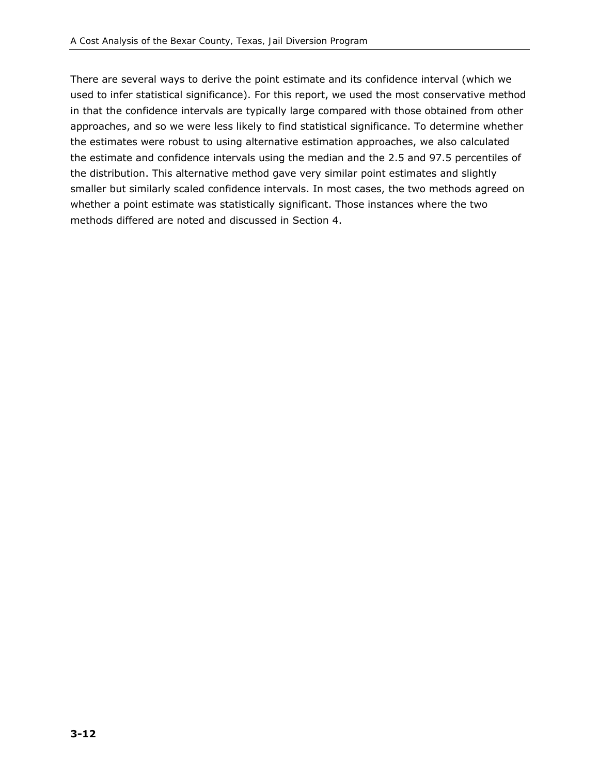There are several ways to derive the point estimate and its confidence interval (which we used to infer statistical significance). For this report, we used the most conservative method in that the confidence intervals are typically large compared with those obtained from other approaches, and so we were less likely to find statistical significance. To determine whether the estimates were robust to using alternative estimation approaches, we also calculated the estimate and confidence intervals using the median and the 2.5 and 97.5 percentiles of the distribution. This alternative method gave very similar point estimates and slightly smaller but similarly scaled confidence intervals. In most cases, the two methods agreed on whether a point estimate was statistically significant. Those instances where the two methods differed are noted and discussed in Section 4.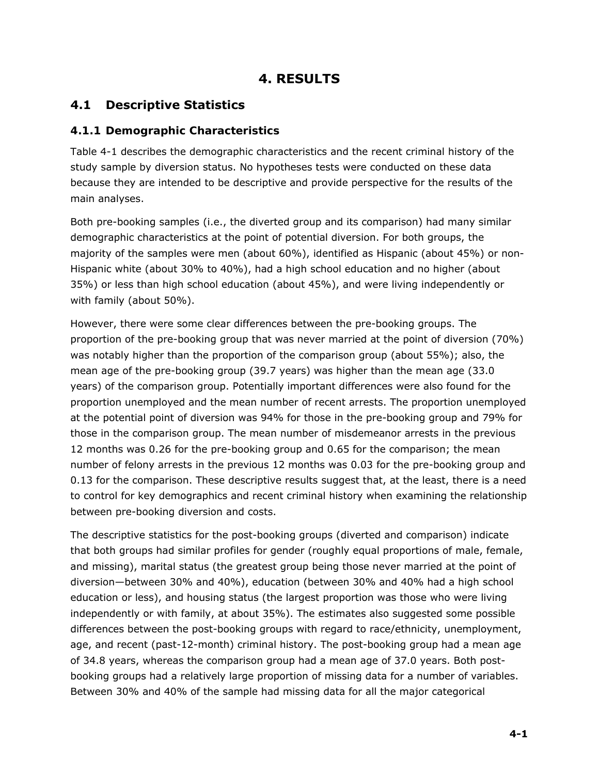# **4. RESULTS**

# **4.1 Descriptive Statistics**

#### *4.1.1 Demographic Characteristics*

Table 4-1 describes the demographic characteristics and the recent criminal history of the study sample by diversion status. No hypotheses tests were conducted on these data because they are intended to be descriptive and provide perspective for the results of the main analyses.

Both pre-booking samples (i.e., the diverted group and its comparison) had many similar demographic characteristics at the point of potential diversion. For both groups, the majority of the samples were men (about 60%), identified as Hispanic (about 45%) or non-Hispanic white (about 30% to 40%), had a high school education and no higher (about 35%) or less than high school education (about 45%), and were living independently or with family (about 50%).

However, there were some clear differences between the pre-booking groups. The proportion of the pre-booking group that was never married at the point of diversion (70%) was notably higher than the proportion of the comparison group (about 55%); also, the mean age of the pre-booking group (39.7 years) was higher than the mean age (33.0 years) of the comparison group. Potentially important differences were also found for the proportion unemployed and the mean number of recent arrests. The proportion unemployed at the potential point of diversion was 94% for those in the pre-booking group and 79% for those in the comparison group. The mean number of misdemeanor arrests in the previous 12 months was 0.26 for the pre-booking group and 0.65 for the comparison; the mean number of felony arrests in the previous 12 months was 0.03 for the pre-booking group and 0.13 for the comparison. These descriptive results suggest that, at the least, there is a need to control for key demographics and recent criminal history when examining the relationship between pre-booking diversion and costs.

The descriptive statistics for the post-booking groups (diverted and comparison) indicate that both groups had similar profiles for gender (roughly equal proportions of male, female, and missing), marital status (the greatest group being those never married at the point of diversion—between 30% and 40%), education (between 30% and 40% had a high school education or less), and housing status (the largest proportion was those who were living independently or with family, at about 35%). The estimates also suggested some possible differences between the post-booking groups with regard to race/ethnicity, unemployment, age, and recent (past-12-month) criminal history. The post-booking group had a mean age of 34.8 years, whereas the comparison group had a mean age of 37.0 years. Both postbooking groups had a relatively large proportion of missing data for a number of variables. Between 30% and 40% of the sample had missing data for all the major categorical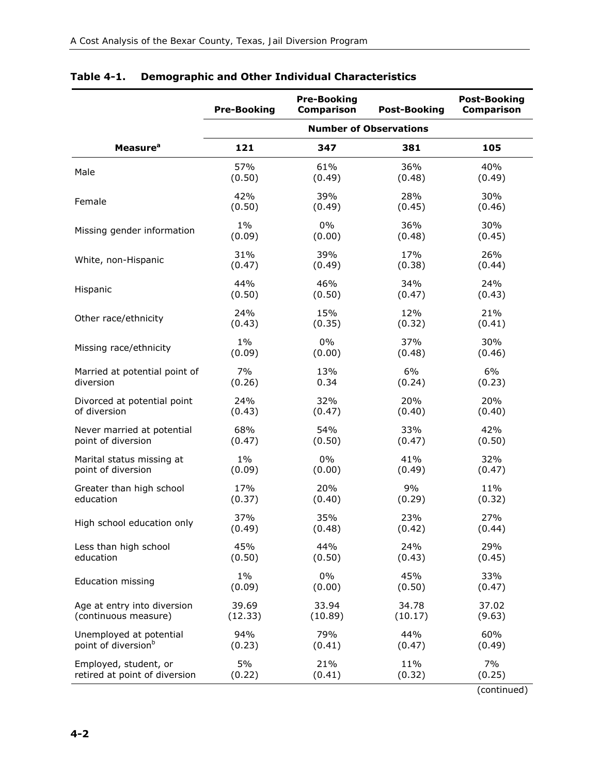|                                 | <b>Pre-Booking</b> | <b>Pre-Booking</b><br><b>Comparison</b> | <b>Post-Booking</b>           | <b>Post-Booking</b><br><b>Comparison</b> |
|---------------------------------|--------------------|-----------------------------------------|-------------------------------|------------------------------------------|
|                                 |                    |                                         | <b>Number of Observations</b> |                                          |
| <b>Measure</b> <sup>a</sup>     | 121                | 347                                     | 381                           | 105                                      |
| Male                            | 57%                | 61%                                     | 36%                           | 40%                                      |
|                                 | (0.50)             | (0.49)                                  | (0.48)                        | (0.49)                                   |
| Female                          | 42%                | 39%                                     | 28%                           | 30%                                      |
|                                 | (0.50)             | (0.49)                                  | (0.45)                        | (0.46)                                   |
| Missing gender information      | $1\%$              | $0\%$                                   | 36%                           | 30%                                      |
|                                 | (0.09)             | (0.00)                                  | (0.48)                        | (0.45)                                   |
| White, non-Hispanic             | 31%                | 39%                                     | 17%                           | 26%                                      |
|                                 | (0.47)             | (0.49)                                  | (0.38)                        | (0.44)                                   |
| Hispanic                        | 44%                | 46%                                     | 34%                           | 24%                                      |
|                                 | (0.50)             | (0.50)                                  | (0.47)                        | (0.43)                                   |
| Other race/ethnicity            | 24%                | 15%                                     | 12%                           | 21%                                      |
|                                 | (0.43)             | (0.35)                                  | (0.32)                        | (0.41)                                   |
| Missing race/ethnicity          | $1\%$              | $0\%$                                   | 37%                           | 30%                                      |
|                                 | (0.09)             | (0.00)                                  | (0.48)                        | (0.46)                                   |
| Married at potential point of   | 7%                 | 13%                                     | 6%                            | 6%                                       |
| diversion                       | (0.26)             | 0.34                                    | (0.24)                        | (0.23)                                   |
| Divorced at potential point     | 24%                | 32%                                     | 20%                           | 20%                                      |
| of diversion                    | (0.43)             | (0.47)                                  | (0.40)                        | (0.40)                                   |
| Never married at potential      | 68%                | 54%                                     | 33%                           | 42%                                      |
| point of diversion              | (0.47)             | (0.50)                                  | (0.47)                        | (0.50)                                   |
| Marital status missing at       | $1\%$              | $0\%$                                   | 41%                           | 32%                                      |
| point of diversion              | (0.09)             | (0.00)                                  | (0.49)                        | (0.47)                                   |
| Greater than high school        | 17%                | 20%                                     | 9%                            | 11%                                      |
| education                       | (0.37)             | (0.40)                                  | (0.29)                        | (0.32)                                   |
| High school education only      | 37%                | 35%                                     | 23%                           | 27%                                      |
|                                 | (0.49)             | (0.48)                                  | (0.42)                        | (0.44)                                   |
| Less than high school           | 45%                | 44%                                     | 24%                           | 29%                                      |
| education                       | (0.50)             | (0.50)                                  | (0.43)                        | (0.45)                                   |
| <b>Education missing</b>        | $1\%$              | 0%                                      | 45%                           | 33%                                      |
|                                 | (0.09)             | (0.00)                                  | (0.50)                        | (0.47)                                   |
| Age at entry into diversion     | 39.69              | 33.94                                   | 34.78                         | 37.02                                    |
| (continuous measure)            | (12.33)            | (10.89)                                 | (10.17)                       | (9.63)                                   |
| Unemployed at potential         | 94%                | 79%                                     | 44%                           | 60%                                      |
| point of diversion <sup>b</sup> | (0.23)             | (0.41)                                  | (0.47)                        | (0.49)                                   |
| Employed, student, or           | 5%                 | 21%                                     | 11%                           | 7%                                       |
| retired at point of diversion   | (0.22)             | (0.41)                                  | (0.32)                        | (0.25)                                   |

## **Table 4-1. Demographic and Other Individual Characteristics**

(continued)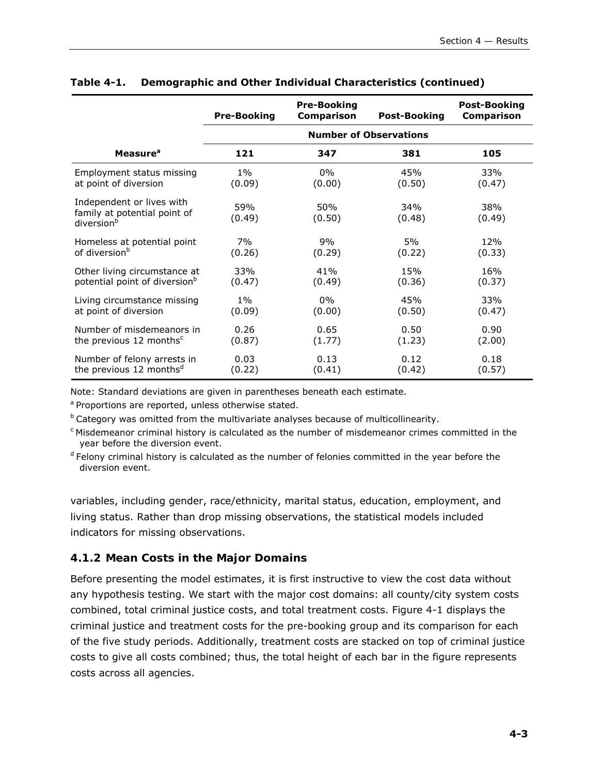|                                                                                     | <b>Pre-Booking</b> | <b>Pre-Booking</b><br><b>Comparison</b> | <b>Post-Booking</b>           | <b>Post-Booking</b><br>Comparison |
|-------------------------------------------------------------------------------------|--------------------|-----------------------------------------|-------------------------------|-----------------------------------|
|                                                                                     |                    |                                         | <b>Number of Observations</b> |                                   |
| Measure <sup>a</sup>                                                                | 121                | 347                                     | 381                           | 105                               |
| Employment status missing                                                           | $1\%$              | $0\%$                                   | 45%                           | 33%                               |
| at point of diversion                                                               | (0.09)             | (0.00)                                  | (0.50)                        | (0.47)                            |
| Independent or lives with<br>family at potential point of<br>diversion <sup>b</sup> | 59%<br>(0.49)      | 50%<br>(0.50)                           | 34%<br>(0.48)                 | 38%<br>(0.49)                     |
| Homeless at potential point                                                         | 7%                 | 9%                                      | 5%                            | 12%                               |
| of diversion <sup>b</sup>                                                           | (0.26)             | (0.29)                                  | (0.22)                        | (0.33)                            |
| Other living circumstance at                                                        | 33%                | 41%                                     | 15%                           | 16%                               |
| potential point of diversion <sup>b</sup>                                           | (0.47)             | (0.49)                                  | (0.36)                        | (0.37)                            |
| Living circumstance missing                                                         | $1\%$              | $0\%$                                   | 45%                           | 33%                               |
| at point of diversion                                                               | (0.09)             | (0.00)                                  | (0.50)                        | (0.47)                            |
| Number of misdemeanors in                                                           | 0.26               | 0.65                                    | 0.50                          | 0.90                              |
| the previous 12 months <sup>c</sup>                                                 | (0.87)             | (1.77)                                  | (1.23)                        | (2.00)                            |
| Number of felony arrests in                                                         | 0.03               | 0.13                                    | 0.12                          | 0.18                              |
| the previous 12 months <sup>d</sup>                                                 | (0.22)             | (0.41)                                  | (0.42)                        | (0.57)                            |

## **Table 4-1. Demographic and Other Individual Characteristics (continued)**

Note: Standard deviations are given in parentheses beneath each estimate.

a Proportions are reported, unless otherwise stated.

 $b$  Category was omitted from the multivariate analyses because of multicollinearity.

c Misdemeanor criminal history is calculated as the number of misdemeanor crimes committed in the year before the diversion event.

 $d$  Felony criminal history is calculated as the number of felonies committed in the year before the diversion event.

variables, including gender, race/ethnicity, marital status, education, employment, and living status. Rather than drop missing observations, the statistical models included indicators for missing observations.

## *4.1.2 Mean Costs in the Major Domains*

Before presenting the model estimates, it is first instructive to view the cost data without any hypothesis testing. We start with the major cost domains: all county/city system costs combined, total criminal justice costs, and total treatment costs. Figure 4-1 displays the criminal justice and treatment costs for the pre-booking group and its comparison for each of the five study periods. Additionally, treatment costs are stacked on top of criminal justice costs to give all costs combined; thus, the total height of each bar in the figure represents costs across all agencies.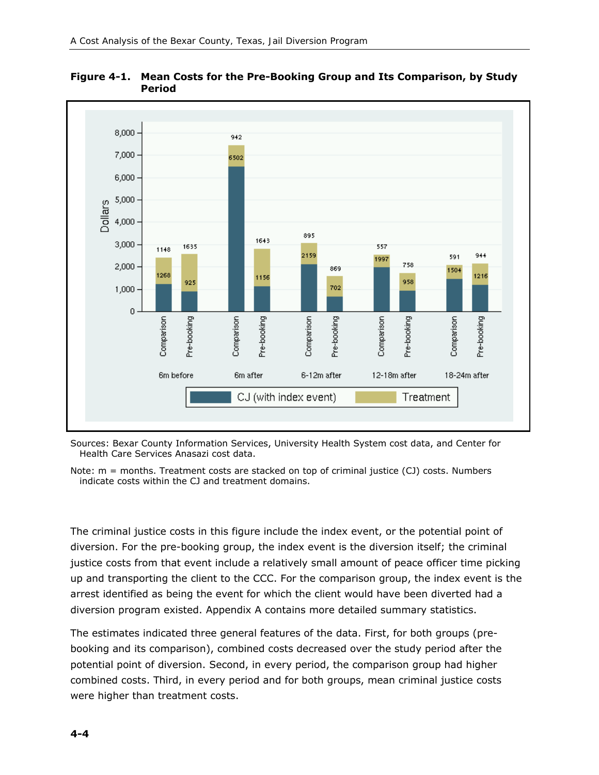



Sources: Bexar County Information Services, University Health System cost data, and Center for Health Care Services Anasazi cost data.

Note: m = months. Treatment costs are stacked on top of criminal justice (CJ) costs. Numbers indicate costs within the CJ and treatment domains.

The criminal justice costs in this figure include the index event, or the potential point of diversion. For the pre-booking group, the index event is the diversion itself; the criminal justice costs from that event include a relatively small amount of peace officer time picking up and transporting the client to the CCC. For the comparison group, the index event is the arrest identified as being the event for which the client would have been diverted had a diversion program existed. Appendix A contains more detailed summary statistics.

The estimates indicated three general features of the data. First, for both groups (prebooking and its comparison), combined costs decreased over the study period after the potential point of diversion. Second, in every period, the comparison group had higher combined costs. Third, in every period and for both groups, mean criminal justice costs were higher than treatment costs.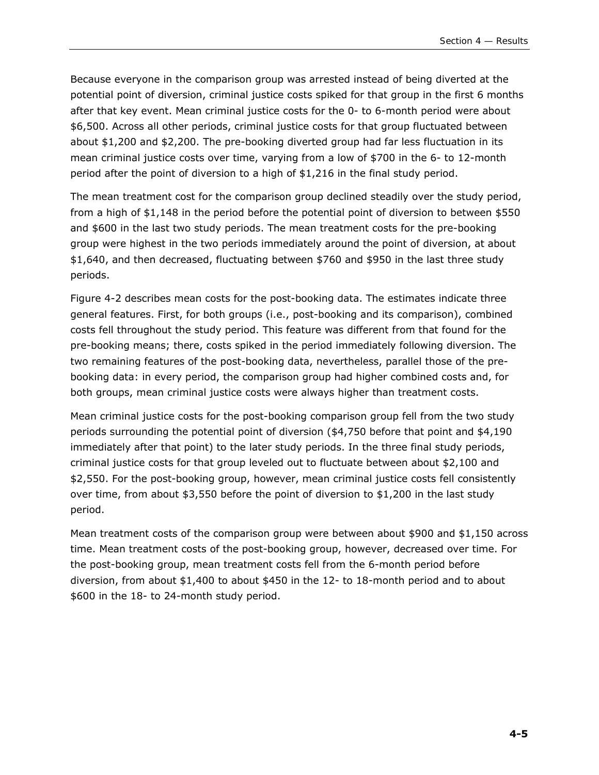Because everyone in the comparison group was arrested instead of being diverted at the potential point of diversion, criminal justice costs spiked for that group in the first 6 months after that key event. Mean criminal justice costs for the 0- to 6-month period were about \$6,500. Across all other periods, criminal justice costs for that group fluctuated between about \$1,200 and \$2,200. The pre-booking diverted group had far less fluctuation in its mean criminal justice costs over time, varying from a low of \$700 in the 6- to 12-month period after the point of diversion to a high of \$1,216 in the final study period.

The mean treatment cost for the comparison group declined steadily over the study period, from a high of \$1,148 in the period before the potential point of diversion to between \$550 and \$600 in the last two study periods. The mean treatment costs for the pre-booking group were highest in the two periods immediately around the point of diversion, at about \$1,640, and then decreased, fluctuating between \$760 and \$950 in the last three study periods.

Figure 4-2 describes mean costs for the post-booking data. The estimates indicate three general features. First, for both groups (i.e., post-booking and its comparison), combined costs fell throughout the study period. This feature was different from that found for the pre-booking means; there, costs spiked in the period immediately following diversion. The two remaining features of the post-booking data, nevertheless, parallel those of the prebooking data: in every period, the comparison group had higher combined costs and, for both groups, mean criminal justice costs were always higher than treatment costs.

Mean criminal justice costs for the post-booking comparison group fell from the two study periods surrounding the potential point of diversion (\$4,750 before that point and \$4,190 immediately after that point) to the later study periods. In the three final study periods, criminal justice costs for that group leveled out to fluctuate between about \$2,100 and \$2,550. For the post-booking group, however, mean criminal justice costs fell consistently over time, from about \$3,550 before the point of diversion to \$1,200 in the last study period.

Mean treatment costs of the comparison group were between about \$900 and \$1,150 across time. Mean treatment costs of the post-booking group, however, decreased over time. For the post-booking group, mean treatment costs fell from the 6-month period before diversion, from about \$1,400 to about \$450 in the 12- to 18-month period and to about \$600 in the 18- to 24-month study period.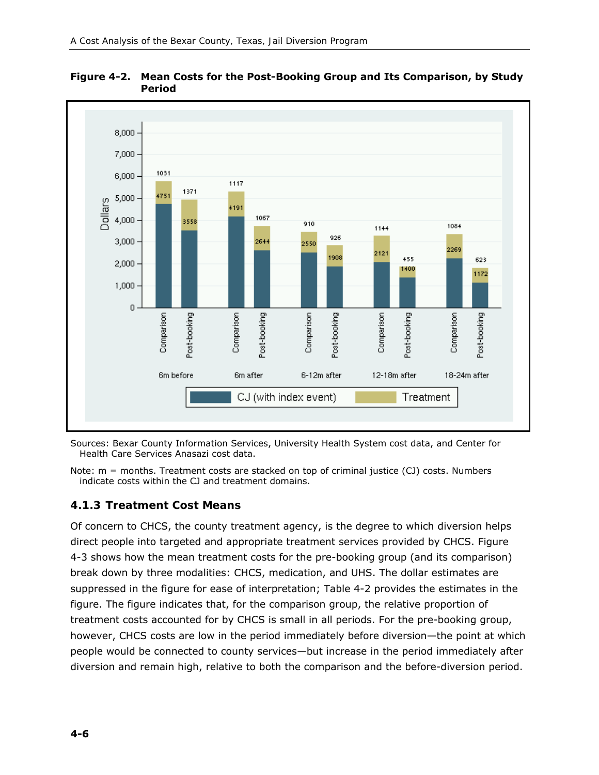

**Figure 4-2. Mean Costs for the Post-Booking Group and Its Comparison, by Study Period** 

Sources: Bexar County Information Services, University Health System cost data, and Center for Health Care Services Anasazi cost data.

Note: m = months. Treatment costs are stacked on top of criminal justice (CJ) costs. Numbers indicate costs within the CJ and treatment domains.

## *4.1.3 Treatment Cost Means*

Of concern to CHCS, the county treatment agency, is the degree to which diversion helps direct people into targeted and appropriate treatment services provided by CHCS. Figure 4-3 shows how the mean treatment costs for the pre-booking group (and its comparison) break down by three modalities: CHCS, medication, and UHS. The dollar estimates are suppressed in the figure for ease of interpretation; Table 4-2 provides the estimates in the figure. The figure indicates that, for the comparison group, the relative proportion of treatment costs accounted for by CHCS is small in all periods. For the pre-booking group, however, CHCS costs are low in the period immediately before diversion—the point at which people would be connected to county services—but increase in the period immediately after diversion and remain high, relative to both the comparison and the before-diversion period.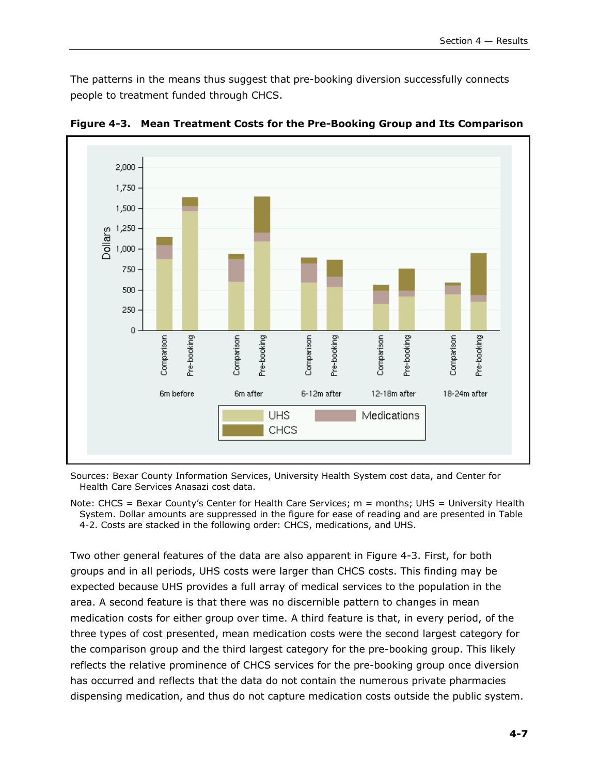The patterns in the means thus suggest that pre-booking diversion successfully connects people to treatment funded through CHCS.



**Figure 4-3. Mean Treatment Costs for the Pre-Booking Group and Its Comparison** 

Sources: Bexar County Information Services, University Health System cost data, and Center for Health Care Services Anasazi cost data.

Note: CHCS = Bexar County's Center for Health Care Services; m = months; UHS = University Health System. Dollar amounts are suppressed in the figure for ease of reading and are presented in Table 4-2. Costs are stacked in the following order: CHCS, medications, and UHS.

Two other general features of the data are also apparent in Figure 4-3. First, for both groups and in all periods, UHS costs were larger than CHCS costs. This finding may be expected because UHS provides a full array of medical services to the population in the area. A second feature is that there was no discernible pattern to changes in mean medication costs for either group over time. A third feature is that, in every period, of the three types of cost presented, mean medication costs were the second largest category for the comparison group and the third largest category for the pre-booking group. This likely reflects the relative prominence of CHCS services for the pre-booking group once diversion has occurred and reflects that the data do not contain the numerous private pharmacies dispensing medication, and thus do not capture medication costs outside the public system.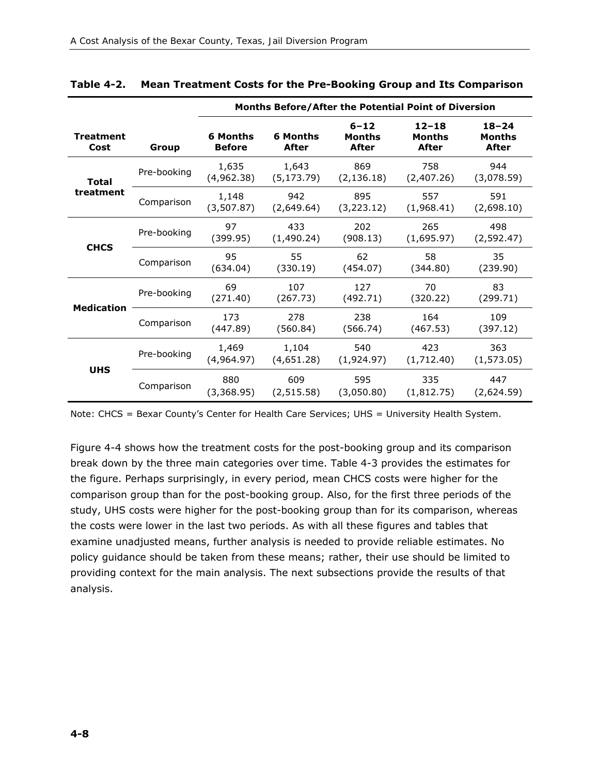|                          |             | Months Before/After the Potential Point of Diversion |                                 |                                           |                              |                                     |
|--------------------------|-------------|------------------------------------------------------|---------------------------------|-------------------------------------------|------------------------------|-------------------------------------|
| <b>Treatment</b><br>Cost | Group       | <b>6 Months</b><br><b>Before</b>                     | <b>6 Months</b><br><b>After</b> | $6 - 12$<br><b>Months</b><br><b>After</b> | $12 - 18$<br>Months<br>After | $18 - 24$<br>Months<br><b>After</b> |
| <b>Total</b>             | Pre-booking | 1,635<br>(4,962.38)                                  | 1,643<br>(5, 173.79)            | 869<br>(2, 136.18)                        | 758<br>(2,407.26)            | 944<br>(3,078.59)                   |
| treatment                | Comparison  | 1,148<br>(3,507.87)                                  | 942<br>(2,649.64)               | 895<br>(3, 223.12)                        | 557<br>(1,968.41)            | 591<br>(2,698.10)                   |
|                          | Pre-booking | 97<br>(399.95)                                       | 433<br>(1,490.24)               | 202<br>(908.13)                           | 265<br>(1,695.97)            | 498<br>(2, 592.47)                  |
| <b>CHCS</b>              | Comparison  | 95<br>(634.04)                                       | 55<br>(330.19)                  | 62<br>(454.07)                            | 58<br>(344.80)               | 35<br>(239.90)                      |
| <b>Medication</b>        | Pre-booking | 69<br>(271.40)                                       | 107<br>(267.73)                 | 127<br>(492.71)                           | 70<br>(320.22)               | 83<br>(299.71)                      |
|                          | Comparison  | 173<br>(447.89)                                      | 278<br>(560.84)                 | 238<br>(566.74)                           | 164<br>(467.53)              | 109<br>(397.12)                     |
| <b>UHS</b>               | Pre-booking | 1,469<br>(4,964.97)                                  | 1,104<br>(4,651.28)             | 540<br>(1,924.97)                         | 423<br>(1,712.40)            | 363<br>(1, 573.05)                  |
|                          | Comparison  | 880<br>(3,368.95)                                    | 609<br>(2, 515.58)              | 595<br>(3,050.80)                         | 335<br>(1,812.75)            | 447<br>(2,624.59)                   |

#### **Table 4-2. Mean Treatment Costs for the Pre-Booking Group and Its Comparison**

Note: CHCS = Bexar County's Center for Health Care Services; UHS = University Health System.

Figure 4-4 shows how the treatment costs for the post-booking group and its comparison break down by the three main categories over time. Table 4-3 provides the estimates for the figure. Perhaps surprisingly, in every period, mean CHCS costs were higher for the comparison group than for the post-booking group. Also, for the first three periods of the study, UHS costs were higher for the post-booking group than for its comparison, whereas the costs were lower in the last two periods. As with all these figures and tables that examine unadjusted means, further analysis is needed to provide reliable estimates. No policy guidance should be taken from these means; rather, their use should be limited to providing context for the main analysis. The next subsections provide the results of that analysis.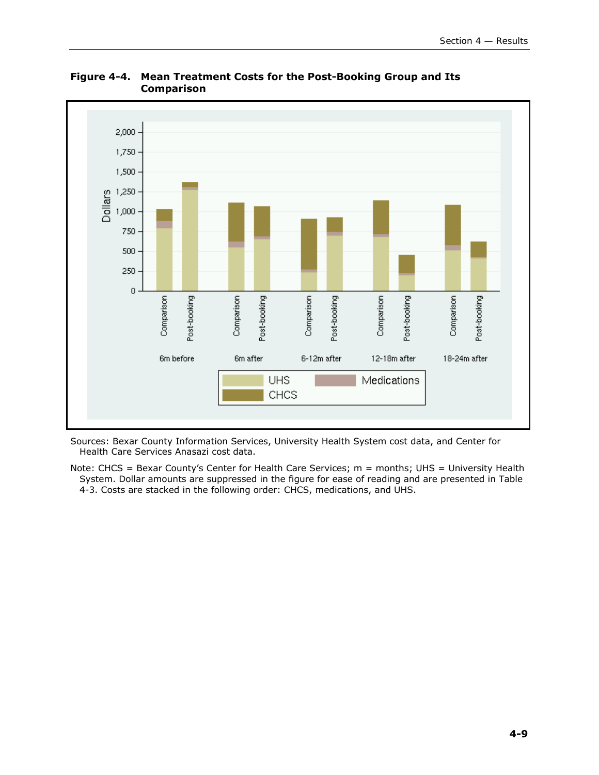

**Figure 4-4. Mean Treatment Costs for the Post-Booking Group and Its Comparison** 

Sources: Bexar County Information Services, University Health System cost data, and Center for Health Care Services Anasazi cost data.

Note: CHCS = Bexar County's Center for Health Care Services; m = months; UHS = University Health System. Dollar amounts are suppressed in the figure for ease of reading and are presented in Table 4-3. Costs are stacked in the following order: CHCS, medications, and UHS.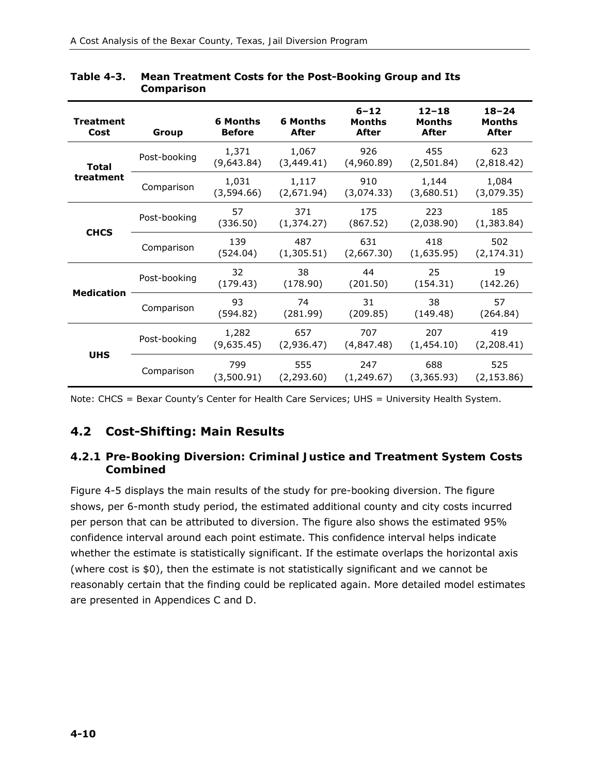| <b>Treatment</b><br>Cost | Group        | 6 Months<br><b>Before</b> | <b>6 Months</b><br><b>After</b> | $6 - 12$<br><b>Months</b><br><b>After</b> | $12 - 18$<br>Months<br><b>After</b> | $18 - 24$<br>Months<br><b>After</b> |
|--------------------------|--------------|---------------------------|---------------------------------|-------------------------------------------|-------------------------------------|-------------------------------------|
| Total                    | Post-booking | 1,371<br>(9,643.84)       | 1,067<br>(3,449.41)             | 926<br>(4,960.89)                         | 455<br>(2,501.84)                   | 623<br>(2,818.42)                   |
| treatment                | Comparison   | 1,031<br>(3,594.66)       | 1,117<br>(2,671.94)             | 910<br>(3,074.33)                         | 1,144<br>(3,680.51)                 | 1,084<br>(3,079.35)                 |
|                          | Post-booking | 57<br>(336.50)            | 371<br>(1, 374.27)              | 175<br>(867.52)                           | 223<br>(2,038.90)                   | 185<br>(1,383.84)                   |
| <b>CHCS</b>              | Comparison   | 139<br>(524.04)           | 487<br>(1,305.51)               | 631<br>(2,667.30)                         | 418<br>(1,635.95)                   | 502<br>(2, 174.31)                  |
|                          | Post-booking | 32<br>(179.43)            | 38<br>(178.90)                  | 44<br>(201.50)                            | 25<br>(154.31)                      | 19<br>(142.26)                      |
| <b>Medication</b>        | Comparison   | 93<br>(594.82)            | 74<br>(281.99)                  | 31<br>(209.85)                            | 38<br>(149.48)                      | 57<br>(264.84)                      |
| <b>UHS</b>               | Post-booking | 1,282<br>(9,635.45)       | 657<br>(2,936.47)               | 707<br>(4,847.48)                         | 207<br>(1,454.10)                   | 419<br>(2,208.41)                   |
|                          | Comparison   | 799<br>(3,500.91)         | 555<br>(2,293.60)               | 247<br>(1,249.67)                         | 688<br>(3,365.93)                   | 525<br>(2, 153.86)                  |

#### **Table 4-3. Mean Treatment Costs for the Post-Booking Group and Its Comparison**

Note: CHCS = Bexar County's Center for Health Care Services; UHS = University Health System.

## **4.2 Cost-Shifting: Main Results**

#### *4.2.1 Pre-Booking Diversion: Criminal Justice and Treatment System Costs Combined*

Figure 4-5 displays the main results of the study for pre-booking diversion. The figure shows, per 6-month study period, the estimated additional county and city costs incurred per person that can be attributed to diversion. The figure also shows the estimated 95% confidence interval around each point estimate. This confidence interval helps indicate whether the estimate is statistically significant. If the estimate overlaps the horizontal axis (where cost is \$0), then the estimate is not statistically significant and we cannot be reasonably certain that the finding could be replicated again. More detailed model estimates are presented in Appendices C and D.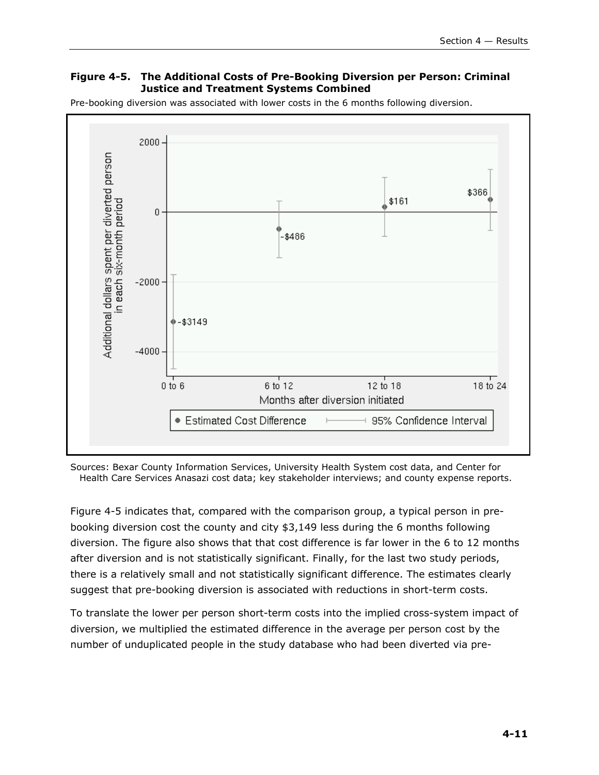#### **Figure 4-5. The Additional Costs of Pre-Booking Diversion per Person: Criminal Justice and Treatment Systems Combined**

Pre-booking diversion was associated with lower costs in the 6 months following diversion.



Sources: Bexar County Information Services, University Health System cost data, and Center for Health Care Services Anasazi cost data; key stakeholder interviews; and county expense reports.

Figure 4-5 indicates that, compared with the comparison group, a typical person in prebooking diversion cost the county and city \$3,149 less during the 6 months following diversion. The figure also shows that that cost difference is far lower in the 6 to 12 months after diversion and is not statistically significant. Finally, for the last two study periods, there is a relatively small and not statistically significant difference. The estimates clearly suggest that pre-booking diversion is associated with reductions in short-term costs.

To translate the lower per person short-term costs into the implied cross-system impact of diversion, we multiplied the estimated difference in the average per person cost by the number of unduplicated people in the study database who had been diverted via pre-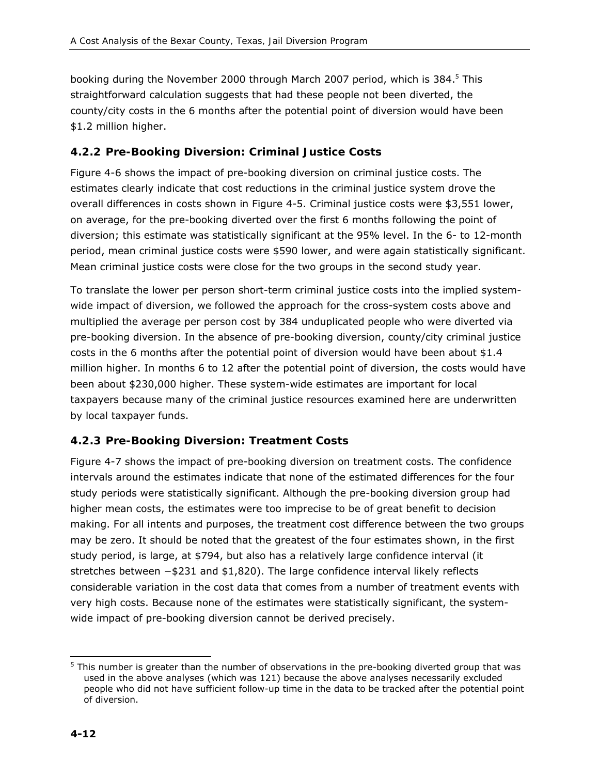booking during the November 2000 through March 2007 period, which is 384.<sup>5</sup> This straightforward calculation suggests that had these people not been diverted, the county/city costs in the 6 months after the potential point of diversion would have been \$1.2 million higher.

#### *4.2.2 Pre-Booking Diversion: Criminal Justice Costs*

Figure 4-6 shows the impact of pre-booking diversion on criminal justice costs. The estimates clearly indicate that cost reductions in the criminal justice system drove the overall differences in costs shown in Figure 4-5. Criminal justice costs were \$3,551 lower, on average, for the pre-booking diverted over the first 6 months following the point of diversion; this estimate was statistically significant at the 95% level. In the 6- to 12-month period, mean criminal justice costs were \$590 lower, and were again statistically significant. Mean criminal justice costs were close for the two groups in the second study year.

To translate the lower per person short-term criminal justice costs into the implied systemwide impact of diversion, we followed the approach for the cross-system costs above and multiplied the average per person cost by 384 unduplicated people who were diverted via pre-booking diversion. In the absence of pre-booking diversion, county/city criminal justice costs in the 6 months after the potential point of diversion would have been about \$1.4 million higher. In months 6 to 12 after the potential point of diversion, the costs would have been about \$230,000 higher. These system-wide estimates are important for local taxpayers because many of the criminal justice resources examined here are underwritten by local taxpayer funds.

## *4.2.3 Pre-Booking Diversion: Treatment Costs*

Figure 4-7 shows the impact of pre-booking diversion on treatment costs. The confidence intervals around the estimates indicate that none of the estimated differences for the four study periods were statistically significant. Although the pre-booking diversion group had higher mean costs, the estimates were too imprecise to be of great benefit to decision making. For all intents and purposes, the treatment cost difference between the two groups may be zero. It should be noted that the greatest of the four estimates shown, in the first study period, is large, at \$794, but also has a relatively large confidence interval (it stretches between −\$231 and \$1,820). The large confidence interval likely reflects considerable variation in the cost data that comes from a number of treatment events with very high costs. Because none of the estimates were statistically significant, the systemwide impact of pre-booking diversion cannot be derived precisely.

<sup>-</sup> $<sup>5</sup>$  This number is greater than the number of observations in the pre-booking diverted group that was</sup> used in the above analyses (which was 121) because the above analyses necessarily excluded people who did not have sufficient follow-up time in the data to be tracked after the potential point of diversion.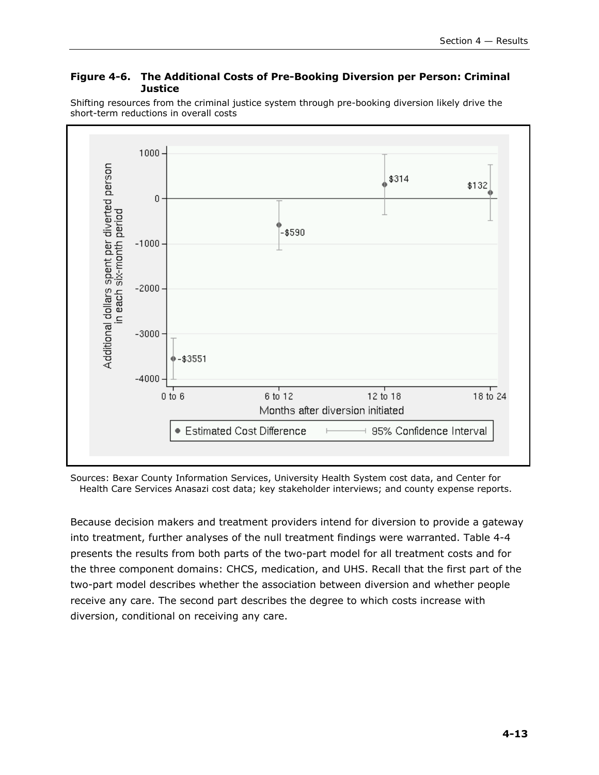#### **Figure 4-6. The Additional Costs of Pre-Booking Diversion per Person: Criminal Justice**

Shifting resources from the criminal justice system through pre-booking diversion likely drive the short-term reductions in overall costs



Sources: Bexar County Information Services, University Health System cost data, and Center for Health Care Services Anasazi cost data; key stakeholder interviews; and county expense reports.

Because decision makers and treatment providers intend for diversion to provide a gateway into treatment, further analyses of the null treatment findings were warranted. Table 4-4 presents the results from both parts of the two-part model for all treatment costs and for the three component domains: CHCS, medication, and UHS. Recall that the first part of the two-part model describes whether the association between diversion and whether people receive any care. The second part describes the degree to which costs increase with diversion, conditional on receiving any care.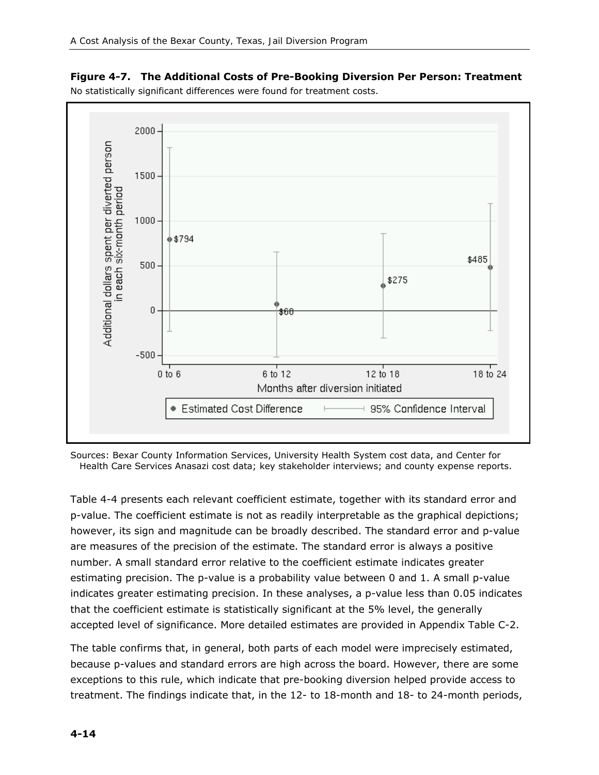

**Figure 4-7. The Additional Costs of Pre-Booking Diversion Per Person: Treatment**  No statistically significant differences were found for treatment costs.

Sources: Bexar County Information Services, University Health System cost data, and Center for Health Care Services Anasazi cost data; key stakeholder interviews; and county expense reports.

Table 4-4 presents each relevant coefficient estimate, together with its standard error and p-value. The coefficient estimate is not as readily interpretable as the graphical depictions; however, its sign and magnitude can be broadly described. The standard error and p-value are measures of the precision of the estimate. The standard error is always a positive number. A small standard error relative to the coefficient estimate indicates greater estimating precision. The p-value is a probability value between 0 and 1. A small p-value indicates greater estimating precision. In these analyses, a p-value less than 0.05 indicates that the coefficient estimate is statistically significant at the 5% level, the generally accepted level of significance. More detailed estimates are provided in Appendix Table C-2.

The table confirms that, in general, both parts of each model were imprecisely estimated, because p-values and standard errors are high across the board. However, there are some exceptions to this rule, which indicate that pre-booking diversion helped provide access to treatment. The findings indicate that, in the 12- to 18-month and 18- to 24-month periods,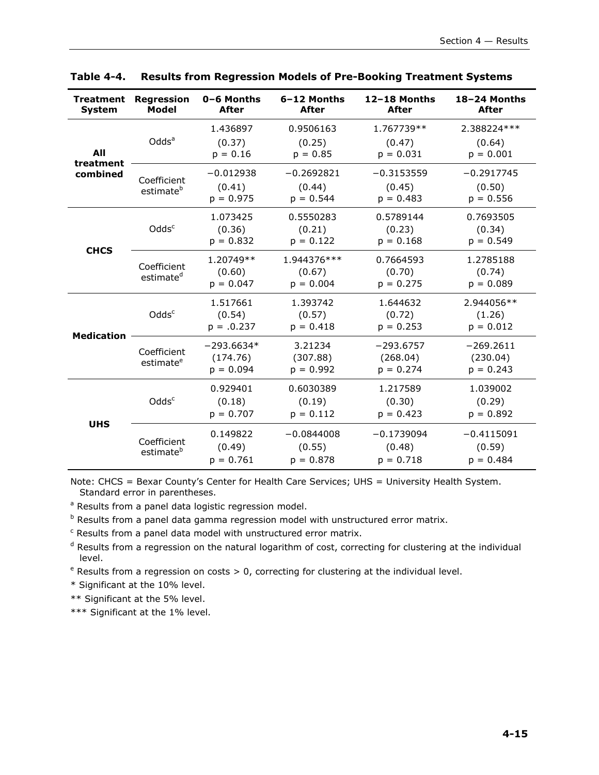| <b>Treatment</b><br><b>System</b> | <b>Regression</b><br>Model           | 0-6 Months<br><b>After</b>              | 6-12 Months<br><b>After</b>           | 12-18 Months<br><b>After</b>           | 18-24 Months<br><b>After</b>           |
|-----------------------------------|--------------------------------------|-----------------------------------------|---------------------------------------|----------------------------------------|----------------------------------------|
| All<br>treatment                  | Odds <sup>a</sup>                    | 1.436897<br>(0.37)<br>$p = 0.16$        | 0.9506163<br>(0.25)<br>$p = 0.85$     | 1.767739**<br>(0.47)<br>$p = 0.031$    | 2.388224 ***<br>(0.64)<br>$p = 0.001$  |
| combined                          | Coefficient<br>estimate <sup>b</sup> | $-0.012938$<br>(0.41)<br>$p = 0.975$    | $-0.2692821$<br>(0.44)<br>$p = 0.544$ | $-0.3153559$<br>(0.45)<br>$p = 0.483$  | $-0.2917745$<br>(0.50)<br>$p = 0.556$  |
|                                   | Odds <sup>c</sup>                    | 1.073425<br>(0.36)<br>$p = 0.832$       | 0.5550283<br>(0.21)<br>$p = 0.122$    | 0.5789144<br>(0.23)<br>$p = 0.168$     | 0.7693505<br>(0.34)<br>$p = 0.549$     |
| <b>CHCS</b>                       | Coefficient<br>estimate <sup>d</sup> | 1.20749**<br>(0.60)<br>$p = 0.047$      | 1.944376 ***<br>(0.67)<br>$p = 0.004$ | 0.7664593<br>(0.70)<br>$p = 0.275$     | 1.2785188<br>(0.74)<br>$p = 0.089$     |
| <b>Medication</b>                 | Odds <sup>c</sup>                    | 1.517661<br>(0.54)<br>$p = .0.237$      | 1.393742<br>(0.57)<br>$p = 0.418$     | 1.644632<br>(0.72)<br>$p = 0.253$      | 2.944056**<br>(1.26)<br>$p = 0.012$    |
|                                   | Coefficient<br>estimate <sup>e</sup> | $-293.6634*$<br>(174.76)<br>$p = 0.094$ | 3.21234<br>(307.88)<br>$p = 0.992$    | $-293.6757$<br>(268.04)<br>$p = 0.274$ | $-269.2611$<br>(230.04)<br>$p = 0.243$ |
| <b>UHS</b>                        | Odds <sup>c</sup>                    | 0.929401<br>(0.18)<br>$p = 0.707$       | 0.6030389<br>(0.19)<br>$p = 0.112$    | 1.217589<br>(0.30)<br>$p = 0.423$      | 1.039002<br>(0.29)<br>$p = 0.892$      |
|                                   | Coefficient<br>estimate <sup>b</sup> | 0.149822<br>(0.49)<br>$p = 0.761$       | $-0.0844008$<br>(0.55)<br>$p = 0.878$ | $-0.1739094$<br>(0.48)<br>$p = 0.718$  | $-0.4115091$<br>(0.59)<br>$p = 0.484$  |

**Table 4-4. Results from Regression Models of Pre-Booking Treatment Systems** 

Note: CHCS = Bexar County's Center for Health Care Services; UHS = University Health System. Standard error in parentheses.

<sup>a</sup> Results from a panel data logistic regression model.

<sup>b</sup> Results from a panel data gamma regression model with unstructured error matrix.

<sup>c</sup> Results from a panel data model with unstructured error matrix.

<sup>d</sup> Results from a regression on the natural logarithm of cost, correcting for clustering at the individual level.

<sup>e</sup> Results from a regression on costs > 0, correcting for clustering at the individual level.

\* Significant at the 10% level.

\*\* Significant at the 5% level.

\*\*\* Significant at the 1% level.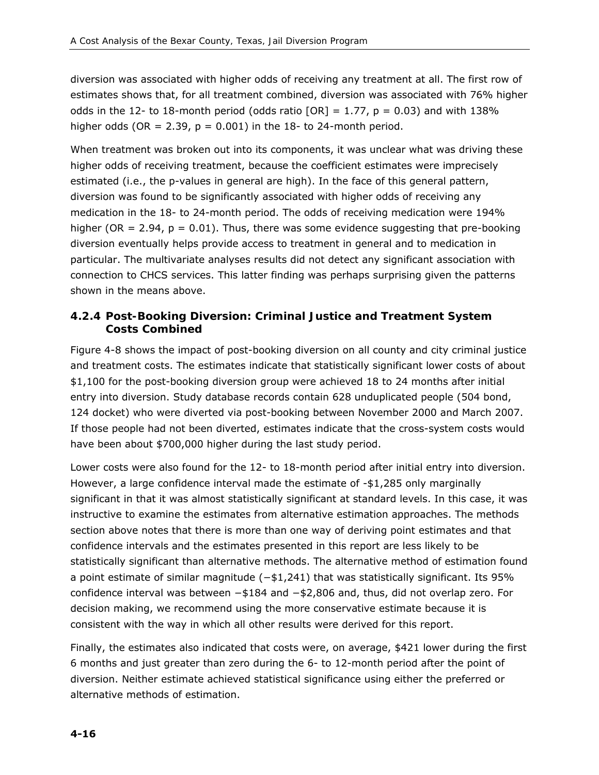diversion was associated with higher odds of receiving any treatment at all. The first row of estimates shows that, for all treatment combined, diversion was associated with 76% higher odds in the 12- to 18-month period (odds ratio  $[OR] = 1.77$ ,  $p = 0.03$ ) and with 138% higher odds (OR = 2.39,  $p = 0.001$ ) in the 18- to 24-month period.

When treatment was broken out into its components, it was unclear what was driving these higher odds of receiving treatment, because the coefficient estimates were imprecisely estimated (i.e., the p-values in general are high). In the face of this general pattern, diversion was found to be significantly associated with higher odds of receiving any medication in the 18- to 24-month period. The odds of receiving medication were 194% higher (OR = 2.94,  $p = 0.01$ ). Thus, there was some evidence suggesting that pre-booking diversion eventually helps provide access to treatment in general and to medication in particular. The multivariate analyses results did not detect any significant association with connection to CHCS services. This latter finding was perhaps surprising given the patterns shown in the means above.

## *4.2.4 Post-Booking Diversion: Criminal Justice and Treatment System Costs Combined*

Figure 4-8 shows the impact of post-booking diversion on all county and city criminal justice and treatment costs. The estimates indicate that statistically significant lower costs of about \$1,100 for the post-booking diversion group were achieved 18 to 24 months after initial entry into diversion. Study database records contain 628 unduplicated people (504 bond, 124 docket) who were diverted via post-booking between November 2000 and March 2007. If those people had not been diverted, estimates indicate that the cross-system costs would have been about \$700,000 higher during the last study period.

Lower costs were also found for the 12- to 18-month period after initial entry into diversion. However, a large confidence interval made the estimate of -\$1,285 only marginally significant in that it was almost statistically significant at standard levels. In this case, it was instructive to examine the estimates from alternative estimation approaches. The methods section above notes that there is more than one way of deriving point estimates and that confidence intervals and the estimates presented in this report are less likely to be statistically significant than alternative methods. The alternative method of estimation found a point estimate of similar magnitude (−\$1,241) that was statistically significant. Its 95% confidence interval was between −\$184 and −\$2,806 and, thus, did not overlap zero. For decision making, we recommend using the more conservative estimate because it is consistent with the way in which all other results were derived for this report.

Finally, the estimates also indicated that costs were, on average, \$421 lower during the first 6 months and just greater than zero during the 6- to 12-month period after the point of diversion. Neither estimate achieved statistical significance using either the preferred or alternative methods of estimation.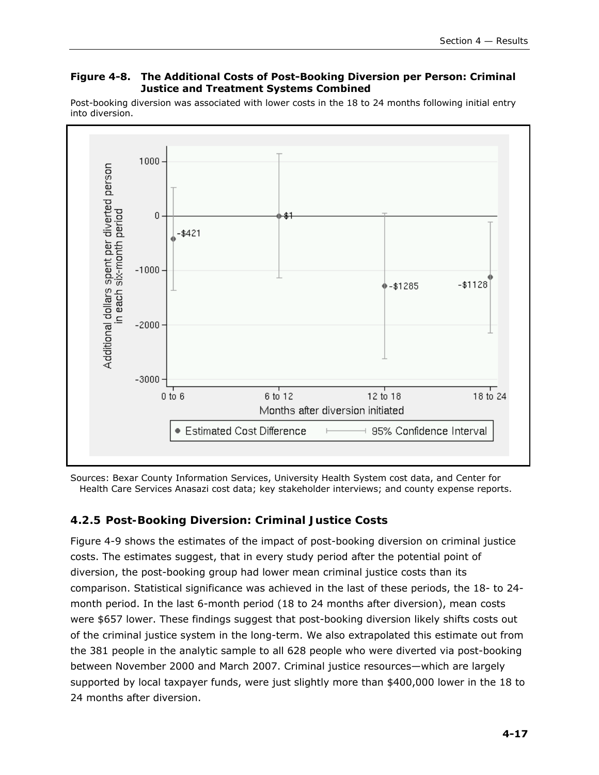#### **Figure 4-8. The Additional Costs of Post-Booking Diversion per Person: Criminal Justice and Treatment Systems Combined**

Post-booking diversion was associated with lower costs in the 18 to 24 months following initial entry into diversion.



Sources: Bexar County Information Services, University Health System cost data, and Center for Health Care Services Anasazi cost data; key stakeholder interviews; and county expense reports.

## *4.2.5 Post-Booking Diversion: Criminal Justice Costs*

Figure 4-9 shows the estimates of the impact of post-booking diversion on criminal justice costs. The estimates suggest, that in every study period after the potential point of diversion, the post-booking group had lower mean criminal justice costs than its comparison. Statistical significance was achieved in the last of these periods, the 18- to 24 month period. In the last 6-month period (18 to 24 months after diversion), mean costs were \$657 lower. These findings suggest that post-booking diversion likely shifts costs out of the criminal justice system in the long-term. We also extrapolated this estimate out from the 381 people in the analytic sample to all 628 people who were diverted via post-booking between November 2000 and March 2007. Criminal justice resources—which are largely supported by local taxpayer funds, were just slightly more than \$400,000 lower in the 18 to 24 months after diversion.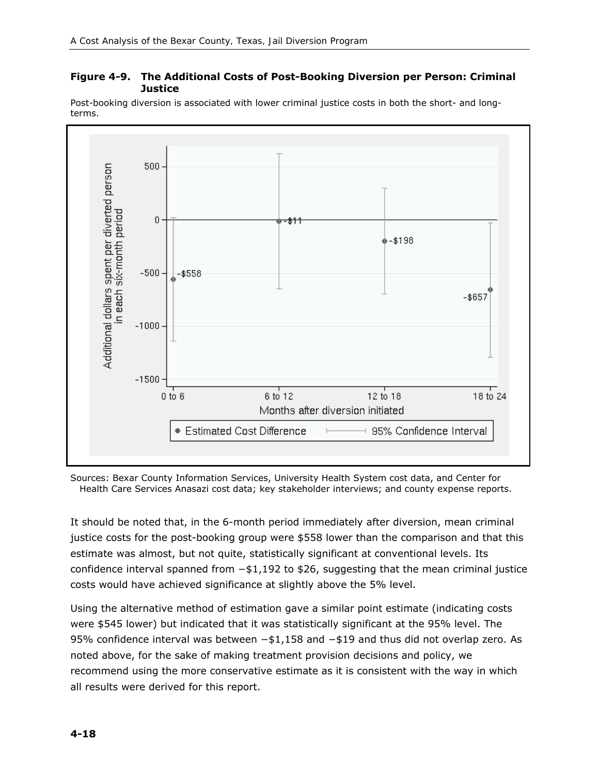#### **Figure 4-9. The Additional Costs of Post-Booking Diversion per Person: Criminal Justice**



Post-booking diversion is associated with lower criminal justice costs in both the short- and longterms.

Sources: Bexar County Information Services, University Health System cost data, and Center for Health Care Services Anasazi cost data; key stakeholder interviews; and county expense reports.

It should be noted that, in the 6-month period immediately after diversion, mean criminal justice costs for the post-booking group were \$558 lower than the comparison and that this estimate was almost, but not quite, statistically significant at conventional levels. Its confidence interval spanned from −\$1,192 to \$26, suggesting that the mean criminal justice costs would have achieved significance at slightly above the 5% level.

Using the alternative method of estimation gave a similar point estimate (indicating costs were \$545 lower) but indicated that it was statistically significant at the 95% level. The 95% confidence interval was between −\$1,158 and −\$19 and thus did not overlap zero. As noted above, for the sake of making treatment provision decisions and policy, we recommend using the more conservative estimate as it is consistent with the way in which all results were derived for this report.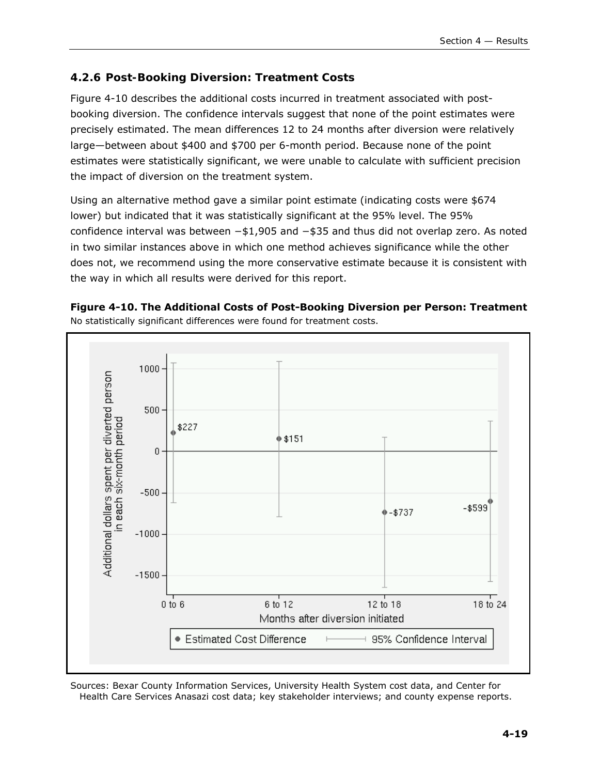## *4.2.6 Post-Booking Diversion: Treatment Costs*

Figure 4-10 describes the additional costs incurred in treatment associated with postbooking diversion. The confidence intervals suggest that none of the point estimates were precisely estimated. The mean differences 12 to 24 months after diversion were relatively large—between about \$400 and \$700 per 6-month period. Because none of the point estimates were statistically significant, we were unable to calculate with sufficient precision the impact of diversion on the treatment system.

Using an alternative method gave a similar point estimate (indicating costs were \$674 lower) but indicated that it was statistically significant at the 95% level. The 95% confidence interval was between −\$1,905 and −\$35 and thus did not overlap zero. As noted in two similar instances above in which one method achieves significance while the other does not, we recommend using the more conservative estimate because it is consistent with the way in which all results were derived for this report.





Sources: Bexar County Information Services, University Health System cost data, and Center for Health Care Services Anasazi cost data; key stakeholder interviews; and county expense reports.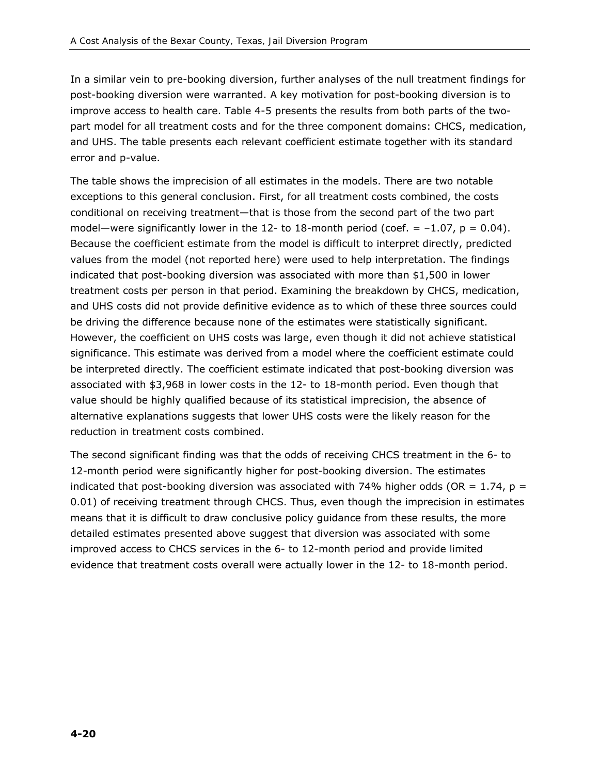In a similar vein to pre-booking diversion, further analyses of the null treatment findings for post-booking diversion were warranted. A key motivation for post-booking diversion is to improve access to health care. Table 4-5 presents the results from both parts of the twopart model for all treatment costs and for the three component domains: CHCS, medication, and UHS. The table presents each relevant coefficient estimate together with its standard error and p-value.

The table shows the imprecision of all estimates in the models. There are two notable exceptions to this general conclusion. First, for all treatment costs combined, the costs conditional on receiving treatment—that is those from the second part of the two part model—were significantly lower in the 12- to 18-month period (coef.  $= -1.07$ ,  $p = 0.04$ ). Because the coefficient estimate from the model is difficult to interpret directly, predicted values from the model (not reported here) were used to help interpretation. The findings indicated that post-booking diversion was associated with more than \$1,500 in lower treatment costs per person in that period. Examining the breakdown by CHCS, medication, and UHS costs did not provide definitive evidence as to which of these three sources could be driving the difference because none of the estimates were statistically significant. However, the coefficient on UHS costs was large, even though it did not achieve statistical significance. This estimate was derived from a model where the coefficient estimate could be interpreted directly. The coefficient estimate indicated that post-booking diversion was associated with \$3,968 in lower costs in the 12- to 18-month period. Even though that value should be highly qualified because of its statistical imprecision, the absence of alternative explanations suggests that lower UHS costs were the likely reason for the reduction in treatment costs combined.

The second significant finding was that the odds of receiving CHCS treatment in the 6- to 12-month period were significantly higher for post-booking diversion. The estimates indicated that post-booking diversion was associated with 74% higher odds (OR =  $1.74$ , p = 0.01) of receiving treatment through CHCS. Thus, even though the imprecision in estimates means that it is difficult to draw conclusive policy guidance from these results, the more detailed estimates presented above suggest that diversion was associated with some improved access to CHCS services in the 6- to 12-month period and provide limited evidence that treatment costs overall were actually lower in the 12- to 18-month period.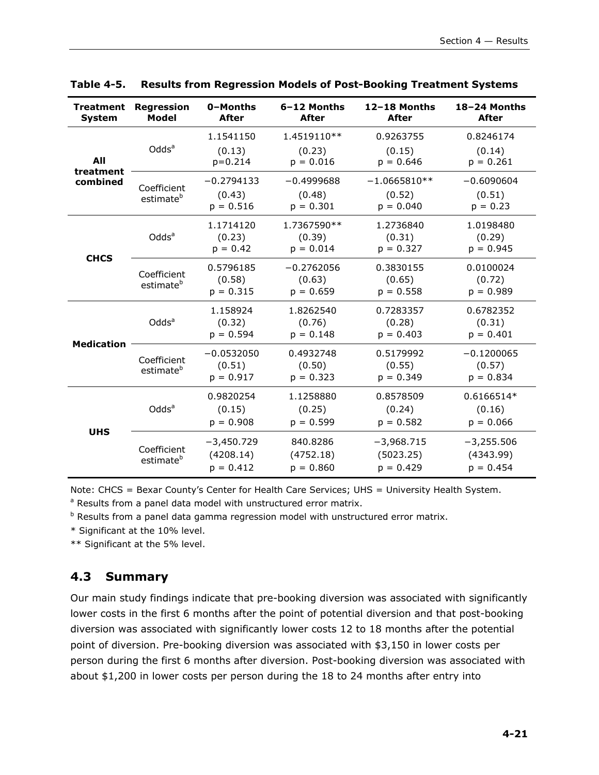| <b>Treatment</b><br>System | <b>Regression</b><br>Model           | 0-Months<br><b>After</b>                 | 6-12 Months<br><b>After</b>           | 12-18 Months<br><b>After</b>             | 18-24 Months<br>After                    |
|----------------------------|--------------------------------------|------------------------------------------|---------------------------------------|------------------------------------------|------------------------------------------|
| All                        | Odds <sup>a</sup>                    | 1.1541150<br>(0.13)<br>$p = 0.214$       | 1.4519110**<br>(0.23)<br>$p = 0.016$  | 0.9263755<br>(0.15)<br>$p = 0.646$       | 0.8246174<br>(0.14)<br>$p = 0.261$       |
| treatment<br>combined      | Coefficient<br>estimate <sup>b</sup> | $-0.2794133$<br>(0.43)<br>$p = 0.516$    | $-0.4999688$<br>(0.48)<br>$p = 0.301$ | $-1.0665810**$<br>(0.52)<br>$p = 0.040$  | $-0.6090604$<br>(0.51)<br>$p = 0.23$     |
|                            | Odds <sup>a</sup>                    | 1.1714120<br>(0.23)<br>$p = 0.42$        | 1.7367590**<br>(0.39)<br>$p = 0.014$  | 1.2736840<br>(0.31)<br>$p = 0.327$       | 1.0198480<br>(0.29)<br>$p = 0.945$       |
| <b>CHCS</b>                | Coefficient<br>estimate <sup>b</sup> | 0.5796185<br>(0.58)<br>$p = 0.315$       | $-0.2762056$<br>(0.63)<br>$p = 0.659$ | 0.3830155<br>(0.65)<br>$p = 0.558$       | 0.0100024<br>(0.72)<br>$p = 0.989$       |
| <b>Medication</b>          | Odds <sup>a</sup>                    | 1.158924<br>(0.32)<br>$p = 0.594$        | 1.8262540<br>(0.76)<br>$p = 0.148$    | 0.7283357<br>(0.28)<br>$p = 0.403$       | 0.6782352<br>(0.31)<br>$p = 0.401$       |
|                            | Coefficient<br>estimate <sup>b</sup> | $-0.0532050$<br>(0.51)<br>$p = 0.917$    | 0.4932748<br>(0.50)<br>$p = 0.323$    | 0.5179992<br>(0.55)<br>$p = 0.349$       | $-0.1200065$<br>(0.57)<br>$p = 0.834$    |
| <b>UHS</b>                 | Odds <sup>a</sup>                    | 0.9820254<br>(0.15)<br>$p = 0.908$       | 1.1258880<br>(0.25)<br>$p = 0.599$    | 0.8578509<br>(0.24)<br>$p = 0.582$       | 0.6166514*<br>(0.16)<br>$p = 0.066$      |
|                            | Coefficient<br>estimate <sup>b</sup> | $-3,450.729$<br>(4208.14)<br>$p = 0.412$ | 840.8286<br>(4752.18)<br>$p = 0.860$  | $-3,968.715$<br>(5023.25)<br>$p = 0.429$ | $-3,255.506$<br>(4343.99)<br>$p = 0.454$ |

**Table 4-5. Results from Regression Models of Post-Booking Treatment Systems** 

Note: CHCS = Bexar County's Center for Health Care Services; UHS = University Health System.

<sup>a</sup> Results from a panel data model with unstructured error matrix.

<sup>b</sup> Results from a panel data gamma regression model with unstructured error matrix.

\* Significant at the 10% level.

\*\* Significant at the 5% level.

## **4.3 Summary**

Our main study findings indicate that pre-booking diversion was associated with significantly lower costs in the first 6 months after the point of potential diversion and that post-booking diversion was associated with significantly lower costs 12 to 18 months after the potential point of diversion. Pre-booking diversion was associated with \$3,150 in lower costs per person during the first 6 months after diversion. Post-booking diversion was associated with about \$1,200 in lower costs per person during the 18 to 24 months after entry into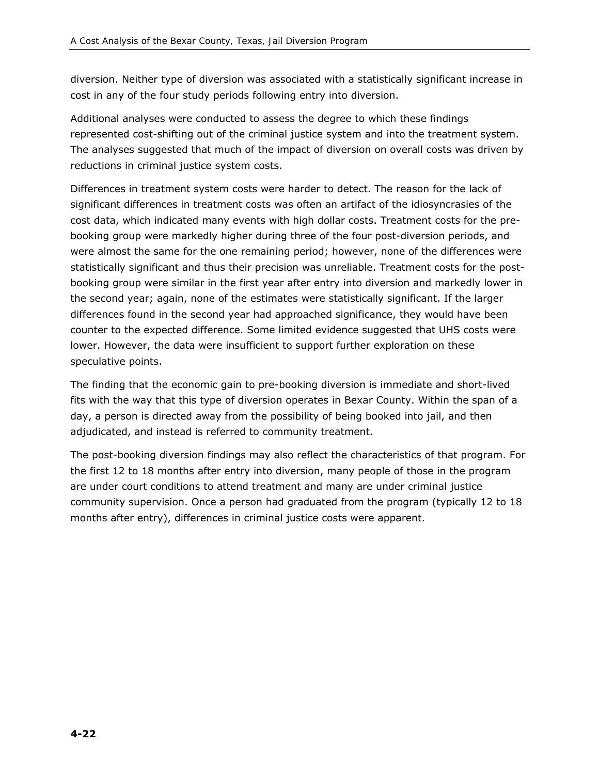diversion. Neither type of diversion was associated with a statistically significant increase in cost in any of the four study periods following entry into diversion.

Additional analyses were conducted to assess the degree to which these findings represented cost-shifting out of the criminal justice system and into the treatment system. The analyses suggested that much of the impact of diversion on overall costs was driven by reductions in criminal justice system costs.

Differences in treatment system costs were harder to detect. The reason for the lack of significant differences in treatment costs was often an artifact of the idiosyncrasies of the cost data, which indicated many events with high dollar costs. Treatment costs for the prebooking group were markedly higher during three of the four post-diversion periods, and were almost the same for the one remaining period; however, none of the differences were statistically significant and thus their precision was unreliable. Treatment costs for the postbooking group were similar in the first year after entry into diversion and markedly lower in the second year; again, none of the estimates were statistically significant. If the larger differences found in the second year had approached significance, they would have been counter to the expected difference. Some limited evidence suggested that UHS costs were lower. However, the data were insufficient to support further exploration on these speculative points.

The finding that the economic gain to pre-booking diversion is immediate and short-lived fits with the way that this type of diversion operates in Bexar County. Within the span of a day, a person is directed away from the possibility of being booked into jail, and then adjudicated, and instead is referred to community treatment.

The post-booking diversion findings may also reflect the characteristics of that program. For the first 12 to 18 months after entry into diversion, many people of those in the program are under court conditions to attend treatment and many are under criminal justice community supervision. Once a person had graduated from the program (typically 12 to 18 months after entry), differences in criminal justice costs were apparent.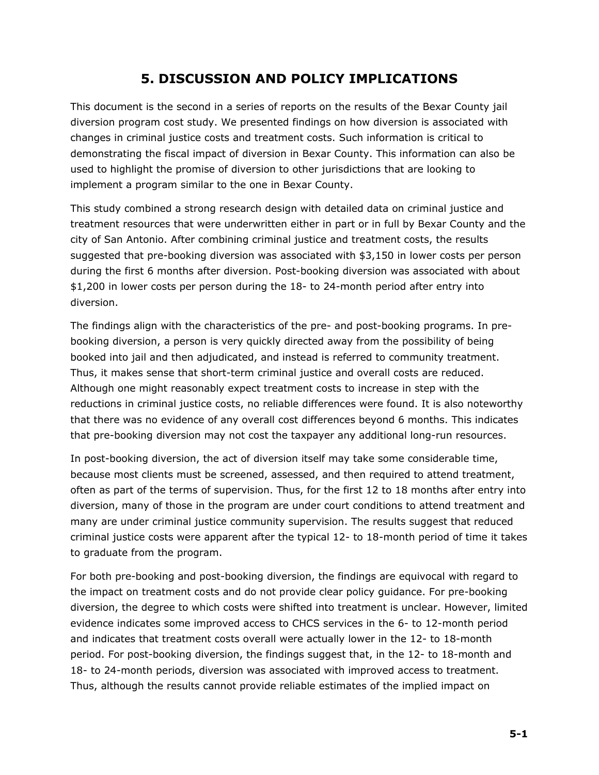# **5. DISCUSSION AND POLICY IMPLICATIONS**

This document is the second in a series of reports on the results of the Bexar County jail diversion program cost study. We presented findings on how diversion is associated with changes in criminal justice costs and treatment costs. Such information is critical to demonstrating the fiscal impact of diversion in Bexar County. This information can also be used to highlight the promise of diversion to other jurisdictions that are looking to implement a program similar to the one in Bexar County.

This study combined a strong research design with detailed data on criminal justice and treatment resources that were underwritten either in part or in full by Bexar County and the city of San Antonio. After combining criminal justice and treatment costs, the results suggested that pre-booking diversion was associated with \$3,150 in lower costs per person during the first 6 months after diversion. Post-booking diversion was associated with about \$1,200 in lower costs per person during the 18- to 24-month period after entry into diversion.

The findings align with the characteristics of the pre- and post-booking programs. In prebooking diversion, a person is very quickly directed away from the possibility of being booked into jail and then adjudicated, and instead is referred to community treatment. Thus, it makes sense that short-term criminal justice and overall costs are reduced. Although one might reasonably expect treatment costs to increase in step with the reductions in criminal justice costs, no reliable differences were found. It is also noteworthy that there was no evidence of any overall cost differences beyond 6 months. This indicates that pre-booking diversion may not cost the taxpayer any additional long-run resources.

In post-booking diversion, the act of diversion itself may take some considerable time, because most clients must be screened, assessed, and then required to attend treatment, often as part of the terms of supervision. Thus, for the first 12 to 18 months after entry into diversion, many of those in the program are under court conditions to attend treatment and many are under criminal justice community supervision. The results suggest that reduced criminal justice costs were apparent after the typical 12- to 18-month period of time it takes to graduate from the program.

For both pre-booking and post-booking diversion, the findings are equivocal with regard to the impact on treatment costs and do not provide clear policy guidance. For pre-booking diversion, the degree to which costs were shifted into treatment is unclear. However, limited evidence indicates some improved access to CHCS services in the 6- to 12-month period and indicates that treatment costs overall were actually lower in the 12- to 18-month period. For post-booking diversion, the findings suggest that, in the 12- to 18-month and 18- to 24-month periods, diversion was associated with improved access to treatment. Thus, although the results cannot provide reliable estimates of the implied impact on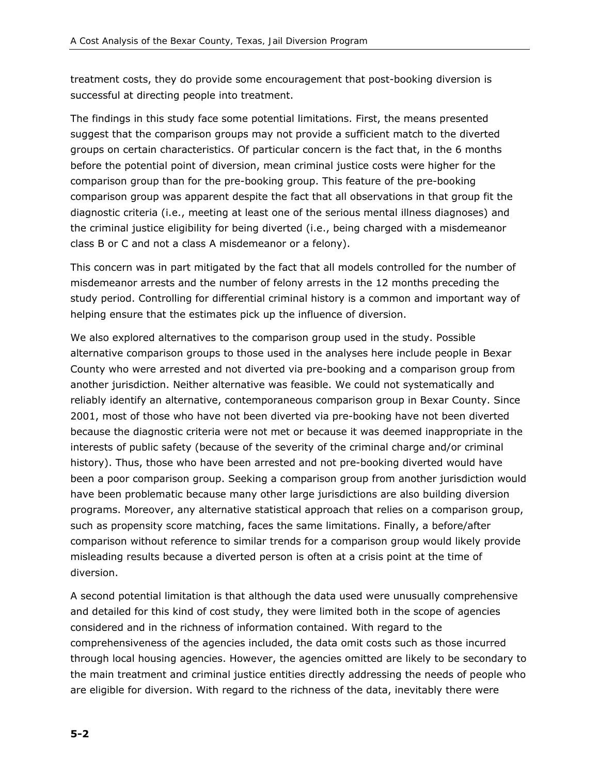treatment costs, they do provide some encouragement that post-booking diversion is successful at directing people into treatment.

The findings in this study face some potential limitations. First, the means presented suggest that the comparison groups may not provide a sufficient match to the diverted groups on certain characteristics. Of particular concern is the fact that, in the 6 months before the potential point of diversion, mean criminal justice costs were higher for the comparison group than for the pre-booking group. This feature of the pre-booking comparison group was apparent despite the fact that all observations in that group fit the diagnostic criteria (i.e., meeting at least one of the serious mental illness diagnoses) and the criminal justice eligibility for being diverted (i.e., being charged with a misdemeanor class B or C and not a class A misdemeanor or a felony).

This concern was in part mitigated by the fact that all models controlled for the number of misdemeanor arrests and the number of felony arrests in the 12 months preceding the study period. Controlling for differential criminal history is a common and important way of helping ensure that the estimates pick up the influence of diversion.

We also explored alternatives to the comparison group used in the study. Possible alternative comparison groups to those used in the analyses here include people in Bexar County who were arrested and not diverted via pre-booking and a comparison group from another jurisdiction. Neither alternative was feasible. We could not systematically and reliably identify an alternative, contemporaneous comparison group in Bexar County. Since 2001, most of those who have not been diverted via pre-booking have not been diverted because the diagnostic criteria were not met or because it was deemed inappropriate in the interests of public safety (because of the severity of the criminal charge and/or criminal history). Thus, those who have been arrested and not pre-booking diverted would have been a poor comparison group. Seeking a comparison group from another jurisdiction would have been problematic because many other large jurisdictions are also building diversion programs. Moreover, any alternative statistical approach that relies on a comparison group, such as propensity score matching, faces the same limitations. Finally, a before/after comparison without reference to similar trends for a comparison group would likely provide misleading results because a diverted person is often at a crisis point at the time of diversion.

A second potential limitation is that although the data used were unusually comprehensive and detailed for this kind of cost study, they were limited both in the scope of agencies considered and in the richness of information contained. With regard to the comprehensiveness of the agencies included, the data omit costs such as those incurred through local housing agencies. However, the agencies omitted are likely to be secondary to the main treatment and criminal justice entities directly addressing the needs of people who are eligible for diversion. With regard to the richness of the data, inevitably there were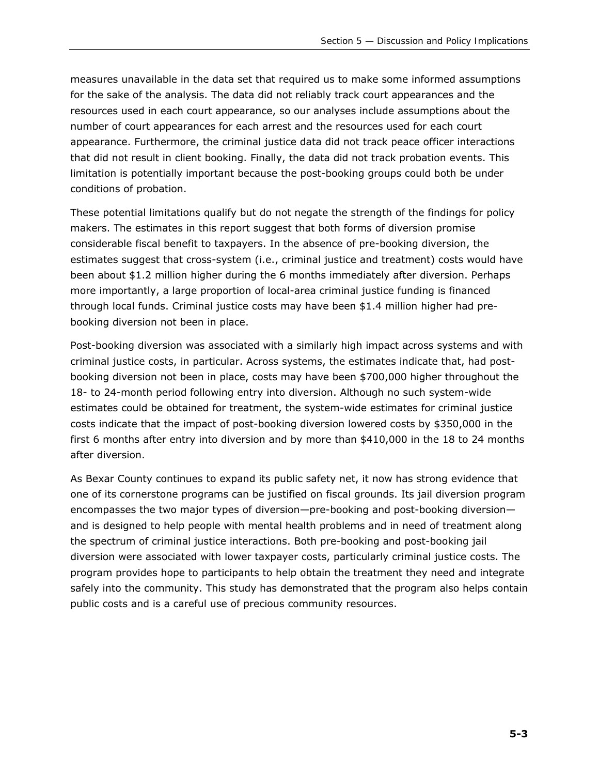measures unavailable in the data set that required us to make some informed assumptions for the sake of the analysis. The data did not reliably track court appearances and the resources used in each court appearance, so our analyses include assumptions about the number of court appearances for each arrest and the resources used for each court appearance. Furthermore, the criminal justice data did not track peace officer interactions that did not result in client booking. Finally, the data did not track probation events. This limitation is potentially important because the post-booking groups could both be under conditions of probation.

These potential limitations qualify but do not negate the strength of the findings for policy makers. The estimates in this report suggest that both forms of diversion promise considerable fiscal benefit to taxpayers. In the absence of pre-booking diversion, the estimates suggest that cross-system (i.e., criminal justice and treatment) costs would have been about \$1.2 million higher during the 6 months immediately after diversion. Perhaps more importantly, a large proportion of local-area criminal justice funding is financed through local funds. Criminal justice costs may have been \$1.4 million higher had prebooking diversion not been in place.

Post-booking diversion was associated with a similarly high impact across systems and with criminal justice costs, in particular. Across systems, the estimates indicate that, had postbooking diversion not been in place, costs may have been \$700,000 higher throughout the 18- to 24-month period following entry into diversion. Although no such system-wide estimates could be obtained for treatment, the system-wide estimates for criminal justice costs indicate that the impact of post-booking diversion lowered costs by \$350,000 in the first 6 months after entry into diversion and by more than \$410,000 in the 18 to 24 months after diversion.

As Bexar County continues to expand its public safety net, it now has strong evidence that one of its cornerstone programs can be justified on fiscal grounds. Its jail diversion program encompasses the two major types of diversion—pre-booking and post-booking diversion and is designed to help people with mental health problems and in need of treatment along the spectrum of criminal justice interactions. Both pre-booking and post-booking jail diversion were associated with lower taxpayer costs, particularly criminal justice costs. The program provides hope to participants to help obtain the treatment they need and integrate safely into the community. This study has demonstrated that the program also helps contain public costs and is a careful use of precious community resources.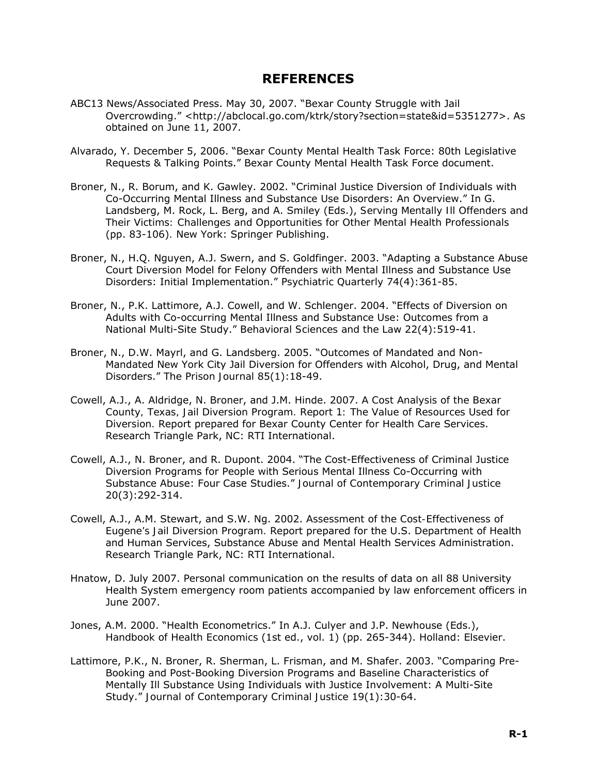## **REFERENCES**

- ABC13 News/Associated Press. May 30, 2007. "Bexar County Struggle with Jail Overcrowding." <http://abclocal.go.com/ktrk/story?section=state&id=5351277>. As obtained on June 11, 2007.
- Alvarado, Y. December 5, 2006. "Bexar County Mental Health Task Force: 80th Legislative Requests & Talking Points." Bexar County Mental Health Task Force document.
- Broner, N., R. Borum, and K. Gawley. 2002. "Criminal Justice Diversion of Individuals with Co-Occurring Mental Illness and Substance Use Disorders: An Overview." In G. Landsberg, M. Rock, L. Berg, and A. Smiley (Eds.), *Serving Mentally Ill Offenders and Their Victims: Challenges and Opportunities for Other Mental Health Professionals* (pp. 83-106)*.* New York: Springer Publishing.
- Broner, N., H.Q. Nguyen, A.J. Swern, and S. Goldfinger. 2003. "Adapting a Substance Abuse Court Diversion Model for Felony Offenders with Mental Illness and Substance Use Disorders: Initial Implementation." *Psychiatric Quarterly* 74(4):361-85.
- Broner, N., P.K. Lattimore, A.J. Cowell, and W. Schlenger. 2004. "Effects of Diversion on Adults with Co-occurring Mental Illness and Substance Use: Outcomes from a National Multi-Site Study." *Behavioral Sciences and the Law* 22(4):519-41.
- Broner, N., D.W. Mayrl, and G. Landsberg. 2005. "Outcomes of Mandated and Non-Mandated New York City Jail Diversion for Offenders with Alcohol, Drug, and Mental Disorders." *The Prison Journal* 85(1):18-49.
- Cowell, A.J., A. Aldridge, N. Broner, and J.M. Hinde. 2007. *A Cost Analysis of the Bexar County, Texas, Jail Diversion Program. Report 1: The Value of Resources Used for Diversion.* Report prepared for Bexar County Center for Health Care Services. Research Triangle Park, NC: RTI International.
- Cowell, A.J., N. Broner, and R. Dupont. 2004. "The Cost-Effectiveness of Criminal Justice Diversion Programs for People with Serious Mental Illness Co-Occurring with Substance Abuse: Four Case Studies." *Journal of Contemporary Criminal Justice* 20(3):292-314.
- Cowell, A.J., A.M. Stewart, and S.W. Ng. 2002. *Assessment of the Cost-Effectiveness of Eugene's Jail Diversion Program.* Report prepared for the U.S. Department of Health and Human Services, Substance Abuse and Mental Health Services Administration. Research Triangle Park, NC: RTI International.
- Hnatow, D. July 2007. Personal communication on the results of data on all 88 University Health System emergency room patients accompanied by law enforcement officers in June 2007.
- Jones, A.M. 2000. "Health Econometrics." In A.J. Culyer and J.P. Newhouse (Eds.), *Handbook of Health Economics* (1st ed., vol. 1) (pp. 265-344). Holland: Elsevier.
- Lattimore, P.K., N. Broner, R. Sherman, L. Frisman, and M. Shafer. 2003. "Comparing Pre-Booking and Post-Booking Diversion Programs and Baseline Characteristics of Mentally Ill Substance Using Individuals with Justice Involvement: A Multi-Site Study." *Journal of Contemporary Criminal Justice* 19(1):30-64.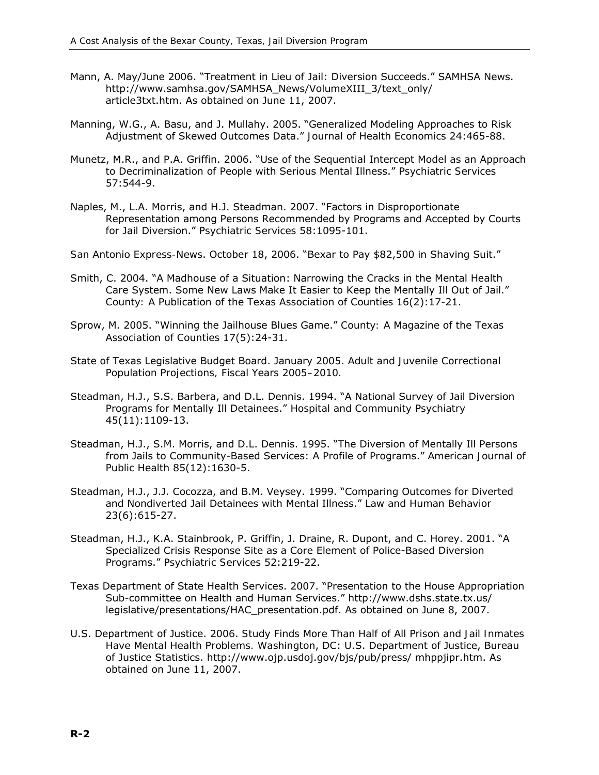- Mann, A. May/June 2006. "Treatment in Lieu of Jail: Diversion Succeeds." SAMHSA News. http://www.samhsa.gov/SAMHSA\_News/VolumeXIII\_3/text\_only/ article3txt.htm. As obtained on June 11, 2007.
- Manning, W.G., A. Basu, and J. Mullahy. 2005. "Generalized Modeling Approaches to Risk Adjustment of Skewed Outcomes Data." *Journal of Health Economics* 24:465-88.
- Munetz, M.R., and P.A. Griffin. 2006. "Use of the Sequential Intercept Model as an Approach to Decriminalization of People with Serious Mental Illness." *Psychiatric Services* 57:544-9.
- Naples, M., L.A. Morris, and H.J. Steadman. 2007. "Factors in Disproportionate Representation among Persons Recommended by Programs and Accepted by Courts for Jail Diversion." *Psychiatric Services* 58:1095-101.
- *San Antonio Express-News*. October 18, 2006. "Bexar to Pay \$82,500 in Shaving Suit."
- Smith, C. 2004. "A Madhouse of a Situation: Narrowing the Cracks in the Mental Health Care System. Some New Laws Make It Easier to Keep the Mentally Ill Out of Jail." *County: A Publication of the Texas Association of Counties* 16(2):17-21.
- Sprow, M. 2005. "Winning the Jailhouse Blues Game." *County: A Magazine of the Texas Association of Counties* 17(5):24-31.
- State of Texas Legislative Budget Board. January 2005. *Adult and Juvenile Correctional Population Projections, Fiscal Years 2005–2010.*
- Steadman, H.J., S.S. Barbera, and D.L. Dennis. 1994. "A National Survey of Jail Diversion Programs for Mentally Ill Detainees." *Hospital and Community Psychiatry* 45(11):1109-13.
- Steadman, H.J., S.M. Morris, and D.L. Dennis. 1995. "The Diversion of Mentally Ill Persons from Jails to Community-Based Services: A Profile of Programs." *American Journal of Public Health* 85(12):1630-5.
- Steadman, H.J., J.J. Cocozza, and B.M. Veysey. 1999. "Comparing Outcomes for Diverted and Nondiverted Jail Detainees with Mental Illness." *Law and Human Behavior* 23(6):615-27.
- Steadman, H.J., K.A. Stainbrook, P. Griffin, J. Draine, R. Dupont, and C. Horey. 2001. "A Specialized Crisis Response Site as a Core Element of Police-Based Diversion Programs." *Psychiatric Services* 52:219-22.
- Texas Department of State Health Services. 2007. "Presentation to the House Appropriation Sub-committee on Health and Human Services." http://www.dshs.state.tx.us/ legislative/presentations/HAC\_presentation.pdf. As obtained on June 8, 2007.
- U.S. Department of Justice. 2006. *Study Finds More Than Half of All Prison and Jail Inmates Have Mental Health Problems.* Washington, DC: U.S. Department of Justice, Bureau of Justice Statistics. http://www.ojp.usdoj.gov/bjs/pub/press/ mhppjipr.htm. As obtained on June 11, 2007.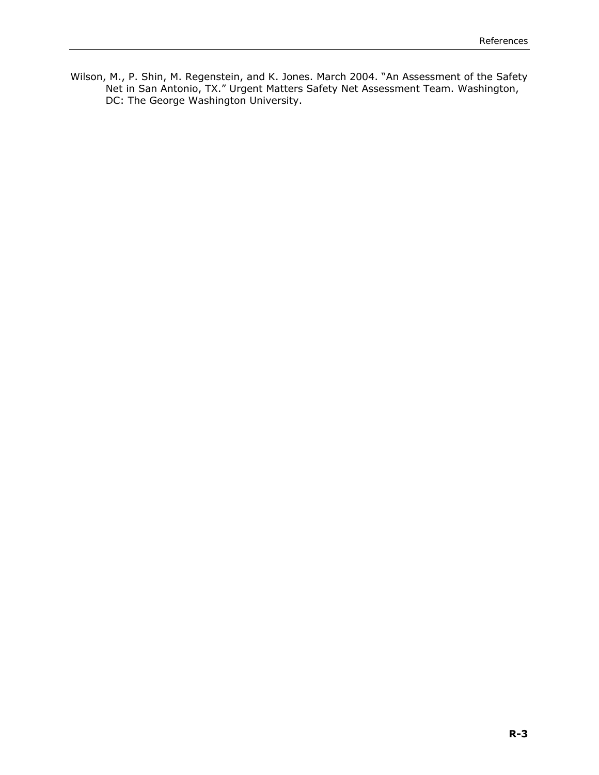Wilson, M., P. Shin, M. Regenstein, and K. Jones. March 2004. "An Assessment of the Safety Net in San Antonio, TX." Urgent Matters Safety Net Assessment Team. Washington, DC: The George Washington University.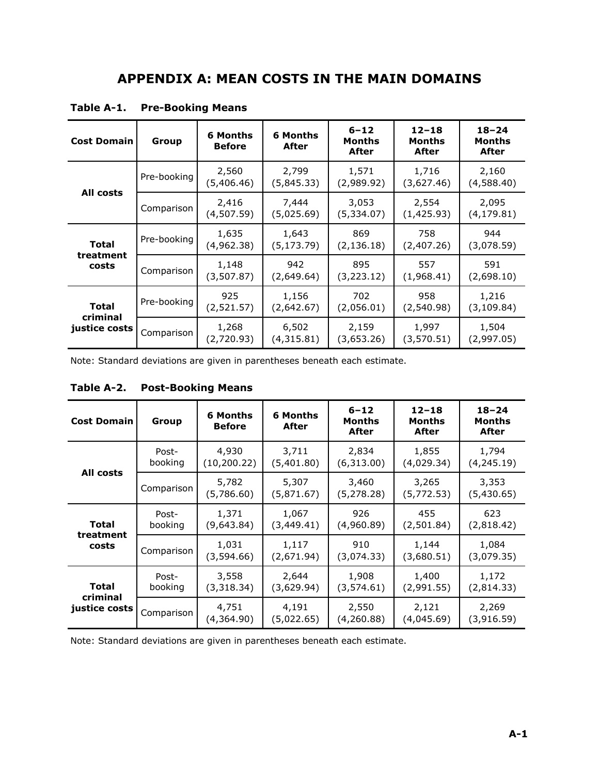| <b>Cost Domain</b>        | Group       | 6 Months<br><b>Before</b> | 6 Months<br>After   | $6 - 12$<br>Months<br>After | $12 - 18$<br>Months<br>After | $18 - 24$<br>Months<br>After |
|---------------------------|-------------|---------------------------|---------------------|-----------------------------|------------------------------|------------------------------|
|                           | Pre-booking | 2,560<br>(5,406.46)       | 2,799<br>(5,845.33) | 1,571<br>(2,989.92)         | 1,716<br>(3,627.46)          | 2,160<br>(4,588.40)          |
| All costs                 | Comparison  | 2,416<br>(4,507.59)       | 7,444<br>(5,025.69) | 3,053<br>(5,334.07)         | 2,554<br>(1,425.93)          | 2,095<br>(4,179.81)          |
| <b>Total</b>              | Pre-booking | 1,635<br>(4,962.38)       | 1,643<br>(5,173.79) | 869<br>(2, 136.18)          | 758<br>(2,407.26)            | 944<br>(3,078.59)            |
| treatment<br>costs        | Comparison  | 1,148<br>(3,507.87)       | 942<br>(2,649.64)   | 895<br>(3,223.12)           | 557<br>(1,968.41)            | 591<br>(2,698.10)            |
| Total                     | Pre-booking | 925<br>(2,521.57)         | 1,156<br>(2,642.67) | 702<br>(2,056.01)           | 958<br>(2,540.98)            | 1,216<br>(3,109.84)          |
| criminal<br>justice costs | Comparison  | 1,268<br>(2,720.93)       | 6,502<br>(4,315.81) | 2,159<br>(3,653.26)         | 1,997<br>(3,570.51)          | 1,504<br>(2,997.05)          |

**Table A-1. Pre-Booking Means** 

Note: Standard deviations are given in parentheses beneath each estimate.

|  | Table A-2. Post-Booking Means |
|--|-------------------------------|
|--|-------------------------------|

| <b>Cost Domain</b> | Group      | 6 Months<br><b>Before</b> | <b>6 Months</b><br>After | $6 - 12$<br>Months<br>After | $12 - 18$<br>Months<br>After | $18 - 24$<br>Months<br>After |
|--------------------|------------|---------------------------|--------------------------|-----------------------------|------------------------------|------------------------------|
|                    | Post-      | 4,930                     | 3,711                    | 2,834                       | 1,855                        | 1,794                        |
|                    | booking    | (10, 200.22)              | (5,401.80)               | (6,313.00)                  | (4,029.34)                   | (4,245.19)                   |
| All costs          | Comparison | 5,782<br>(5,786.60)       | 5,307<br>(5,871.67)      | 3,460<br>(5, 278.28)        | 3,265<br>(5, 772.53)         | 3,353<br>(5,430.65)          |
| Total              | Post-      | 1,371                     | 1,067                    | 926                         | 455                          | 623                          |
|                    | booking    | (9,643.84)                | (3,449.41)               | (4,960.89)                  | (2,501.84)                   | (2,818.42)                   |
| treatment          | Comparison | 1,031                     | 1,117                    | 910                         | 1,144                        | 1,084                        |
| costs              |            | (3,594.66)                | (2,671.94)               | (3,074.33)                  | (3,680.51)                   | (3,079.35)                   |
| <b>Total</b>       | Post-      | 3,558                     | 2,644                    | 1,908                       | 1,400                        | 1,172                        |
|                    | booking    | (3,318,34)                | (3,629.94)               | (3,574.61)                  | (2,991.55)                   | (2,814.33)                   |
| criminal           | Comparison | 4,751                     | 4,191                    | 2,550                       | 2,121                        | 2,269                        |
| justice costs      |            | (4,364.90)                | (5,022.65)               | (4,260.88)                  | (4,045.69)                   | (3,916.59)                   |

Note: Standard deviations are given in parentheses beneath each estimate.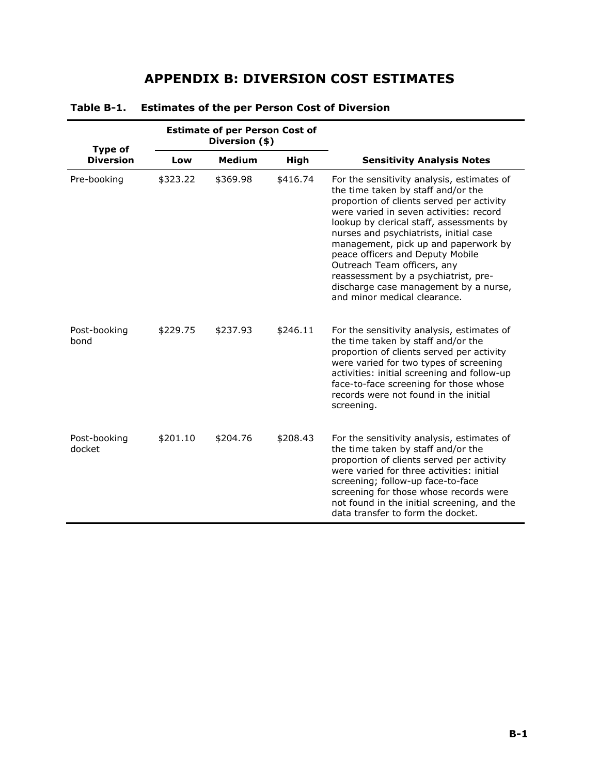# **APPENDIX B: DIVERSION COST ESTIMATES**

| Type of                |          | <b>Estimate of per Person Cost of</b><br>Diversion (\$) |          |                                                                                                                                                                                                                                                                                                                                                                                                                                                                                            |
|------------------------|----------|---------------------------------------------------------|----------|--------------------------------------------------------------------------------------------------------------------------------------------------------------------------------------------------------------------------------------------------------------------------------------------------------------------------------------------------------------------------------------------------------------------------------------------------------------------------------------------|
| <b>Diversion</b>       | Low      | <b>Medium</b>                                           | High     | <b>Sensitivity Analysis Notes</b>                                                                                                                                                                                                                                                                                                                                                                                                                                                          |
| Pre-booking            | \$323.22 | \$369.98                                                | \$416.74 | For the sensitivity analysis, estimates of<br>the time taken by staff and/or the<br>proportion of clients served per activity<br>were varied in seven activities: record<br>lookup by clerical staff, assessments by<br>nurses and psychiatrists, initial case<br>management, pick up and paperwork by<br>peace officers and Deputy Mobile<br>Outreach Team officers, any<br>reassessment by a psychiatrist, pre-<br>discharge case management by a nurse,<br>and minor medical clearance. |
| Post-booking<br>bond   | \$229.75 | \$237.93                                                | \$246.11 | For the sensitivity analysis, estimates of<br>the time taken by staff and/or the<br>proportion of clients served per activity<br>were varied for two types of screening<br>activities: initial screening and follow-up<br>face-to-face screening for those whose<br>records were not found in the initial<br>screening.                                                                                                                                                                    |
| Post-booking<br>docket | \$201.10 | \$204.76                                                | \$208.43 | For the sensitivity analysis, estimates of<br>the time taken by staff and/or the<br>proportion of clients served per activity<br>were varied for three activities: initial<br>screening; follow-up face-to-face<br>screening for those whose records were<br>not found in the initial screening, and the<br>data transfer to form the docket.                                                                                                                                              |

#### **Table B-1. Estimates of the per Person Cost of Diversion**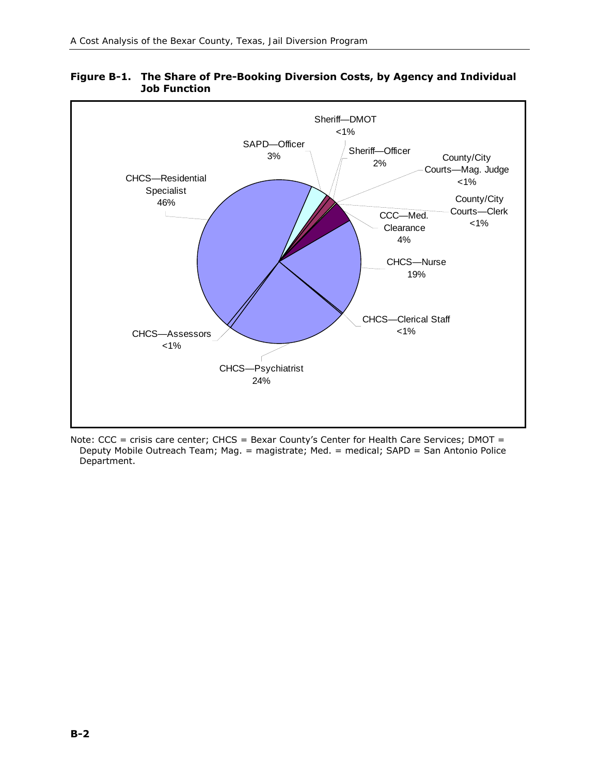

#### **Figure B-1. The Share of Pre-Booking Diversion Costs, by Agency and Individual Job Function**

Note: CCC = crisis care center; CHCS = Bexar County's Center for Health Care Services; DMOT = Deputy Mobile Outreach Team; Mag. = magistrate; Med. = medical; SAPD = San Antonio Police Department.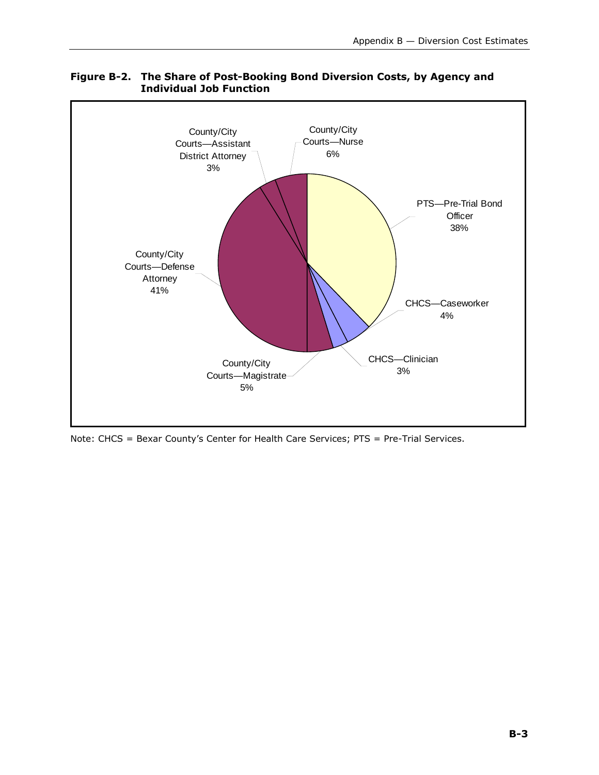

#### **Figure B-2. The Share of Post-Booking Bond Diversion Costs, by Agency and Individual Job Function**

Note: CHCS = Bexar County's Center for Health Care Services; PTS = Pre-Trial Services.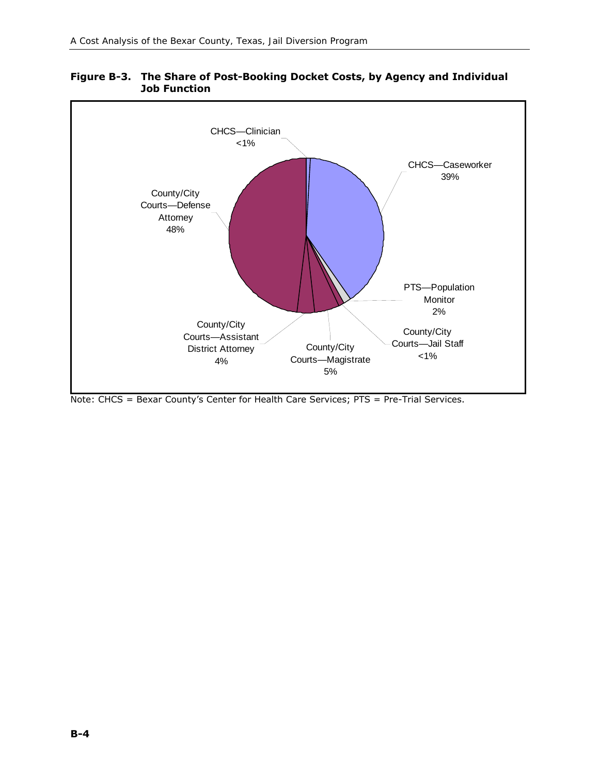

#### **Figure B-3. The Share of Post-Booking Docket Costs, by Agency and Individual Job Function**

Note: CHCS = Bexar County's Center for Health Care Services; PTS = Pre-Trial Services.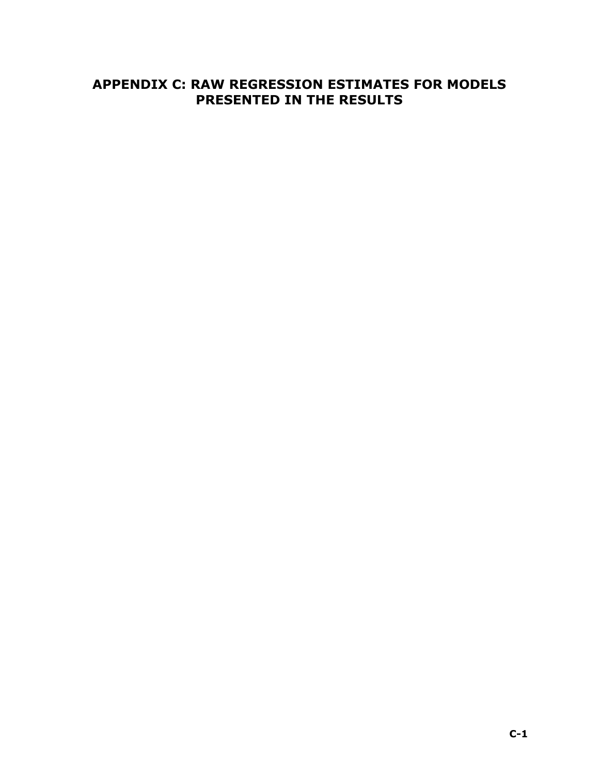### **APPENDIX C: RAW REGRESSION ESTIMATES FOR MODELS PRESENTED IN THE RESULTS**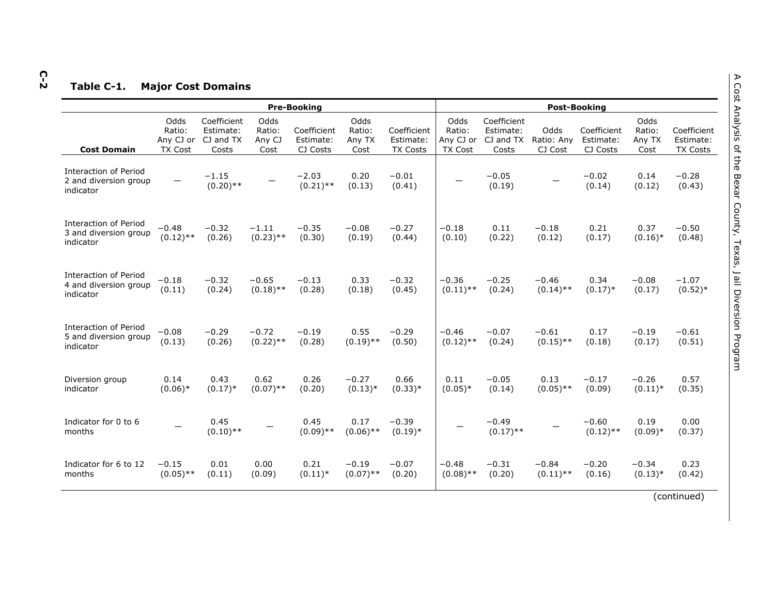# **C-2Table C-1. Major Cost Domains**

|                                                                    | <b>Pre-Booking</b>                            |                                                |                                  |                                      |                                  |                                             |                                               |                                                | <b>Post-Booking</b>           |                                      |                                  |                                             |  |  |
|--------------------------------------------------------------------|-----------------------------------------------|------------------------------------------------|----------------------------------|--------------------------------------|----------------------------------|---------------------------------------------|-----------------------------------------------|------------------------------------------------|-------------------------------|--------------------------------------|----------------------------------|---------------------------------------------|--|--|
| <b>Cost Domain</b>                                                 | Odds<br>Ratio:<br>Any CJ or<br><b>TX Cost</b> | Coefficient<br>Estimate:<br>CJ and TX<br>Costs | Odds<br>Ratio:<br>Any CJ<br>Cost | Coefficient<br>Estimate:<br>CJ Costs | Odds<br>Ratio:<br>Any TX<br>Cost | Coefficient<br>Estimate:<br><b>TX Costs</b> | Odds<br>Ratio:<br>Any CJ or<br><b>TX Cost</b> | Coefficient<br>Estimate:<br>CJ and TX<br>Costs | Odds<br>Ratio: Any<br>CJ Cost | Coefficient<br>Estimate:<br>CJ Costs | Odds<br>Ratio:<br>Any TX<br>Cost | Coefficient<br>Estimate:<br><b>TX Costs</b> |  |  |
| <b>Interaction of Period</b><br>2 and diversion group<br>indicator |                                               | $-1.15$<br>$(0.20)$ **                         |                                  | $-2.03$<br>$(0.21)$ **               | 0.20<br>(0.13)                   | $-0.01$<br>(0.41)                           |                                               | $-0.05$<br>(0.19)                              |                               | $-0.02$<br>(0.14)                    | 0.14<br>(0.12)                   | $-0.28$<br>(0.43)                           |  |  |
| <b>Interaction of Period</b><br>3 and diversion group<br>indicator | $-0.48$<br>$(0.12)$ **                        | $-0.32$<br>(0.26)                              | $-1.11$<br>$(0.23)$ **           | $-0.35$<br>(0.30)                    | $-0.08$<br>(0.19)                | $-0.27$<br>(0.44)                           | $-0.18$<br>(0.10)                             | 0.11<br>(0.22)                                 | $-0.18$<br>(0.12)             | 0.21<br>(0.17)                       | 0.37<br>$(0.16)^*$               | $-0.50$<br>(0.48)                           |  |  |
| Interaction of Period<br>4 and diversion group<br>indicator        | $-0.18$<br>(0.11)                             | $-0.32$<br>(0.24)                              | $-0.65$<br>$(0.18)$ **           | $-0.13$<br>(0.28)                    | 0.33<br>(0.18)                   | $-0.32$<br>(0.45)                           | $-0.36$<br>$(0.11)$ **                        | $-0.25$<br>(0.24)                              | $-0.46$<br>$(0.14)$ **        | 0.34<br>$(0.17)*$                    | $-0.08$<br>(0.17)                | $-1.07$<br>$(0.52)*$                        |  |  |
| Interaction of Period<br>5 and diversion group<br>indicator        | $-0.08$<br>(0.13)                             | $-0.29$<br>(0.26)                              | $-0.72$<br>$(0.22)$ **           | $-0.19$<br>(0.28)                    | 0.55<br>$(0.19)$ **              | $-0.29$<br>(0.50)                           | $-0.46$<br>$(0.12)$ **                        | $-0.07$<br>(0.24)                              | $-0.61$<br>$(0.15)$ **        | 0.17<br>(0.18)                       | $-0.19$<br>(0.17)                | $-0.61$<br>(0.51)                           |  |  |
| Diversion group<br>indicator                                       | 0.14<br>$(0.06)*$                             | 0.43<br>$(0.17)*$                              | 0.62<br>$(0.07)$ **              | 0.26<br>(0.20)                       | $-0.27$<br>$(0.13)*$             | 0.66<br>$(0.33)*$                           | 0.11<br>$(0.05)*$                             | $-0.05$<br>(0.14)                              | 0.13<br>$(0.05)$ **           | $-0.17$<br>(0.09)                    | $-0.26$<br>$(0.11)^*$            | 0.57<br>(0.35)                              |  |  |
| Indicator for 0 to 6<br>months                                     |                                               | 0.45<br>$(0.10)$ **                            |                                  | 0.45<br>$(0.09)$ **                  | 0.17<br>$(0.06)$ **              | $-0.39$<br>$(0.19)*$                        |                                               | $-0.49$<br>$(0.17)$ **                         |                               | $-0.60$<br>$(0.12)$ **               | 0.19<br>$(0.09)*$                | 0.00<br>(0.37)                              |  |  |
| Indicator for 6 to 12<br>months                                    | $-0.15$<br>$(0.05)$ **                        | 0.01<br>(0.11)                                 | 0.00<br>(0.09)                   | 0.21<br>$(0.11)^*$                   | $-0.19$<br>$(0.07)$ **           | $-0.07$<br>(0.20)                           | $-0.48$<br>$(0.08)$ **                        | $-0.31$<br>(0.20)                              | $-0.84$<br>$(0.11)$ **        | $-0.20$<br>(0.16)                    | $-0.34$<br>$(0.13)*$             | 0.23<br>(0.42)                              |  |  |
|                                                                    |                                               |                                                |                                  |                                      |                                  |                                             |                                               |                                                |                               |                                      |                                  | $f$ aantin $\ldots$ al                      |  |  |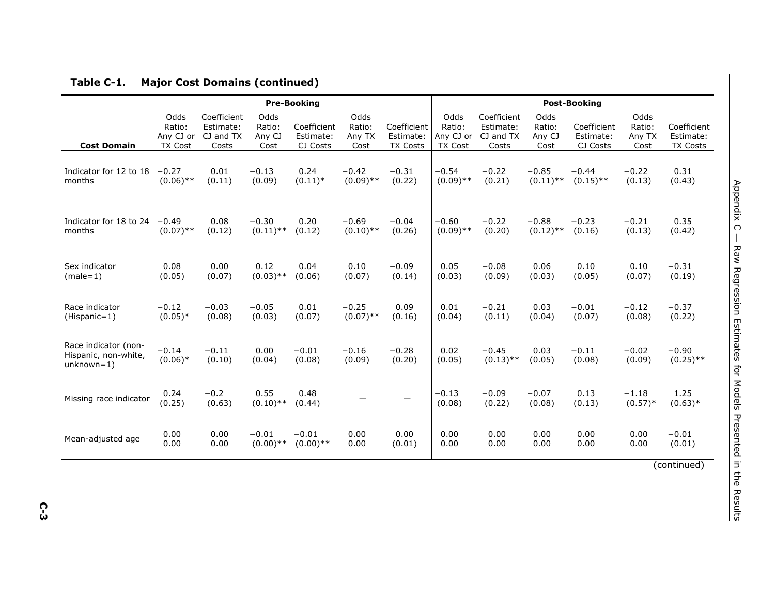|                                                              |                                               |                                                |                                  | <b>Pre-Booking</b>                   | <b>Post-Booking</b>              |                                             |                                               |                                                |                                  |                                      |                                  |                                      |
|--------------------------------------------------------------|-----------------------------------------------|------------------------------------------------|----------------------------------|--------------------------------------|----------------------------------|---------------------------------------------|-----------------------------------------------|------------------------------------------------|----------------------------------|--------------------------------------|----------------------------------|--------------------------------------|
| <b>Cost Domain</b>                                           | Odds<br>Ratio:<br>Any CJ or<br><b>TX Cost</b> | Coefficient<br>Estimate:<br>CJ and TX<br>Costs | Odds<br>Ratio:<br>Any CJ<br>Cost | Coefficient<br>Estimate:<br>CJ Costs | Odds<br>Ratio:<br>Any TX<br>Cost | Coefficient<br>Estimate:<br><b>TX Costs</b> | Odds<br>Ratio:<br>Any CJ or<br><b>TX Cost</b> | Coefficient<br>Estimate:<br>CJ and TX<br>Costs | Odds<br>Ratio:<br>Any CJ<br>Cost | Coefficient<br>Estimate:<br>CJ Costs | Odds<br>Ratio:<br>Any TX<br>Cost | Coefficient<br>Estimate:<br>TX Costs |
| Indicator for 12 to 18                                       | $-0.27$                                       | 0.01                                           | $-0.13$                          | 0.24                                 | $-0.42$                          | $-0.31$                                     | $-0.54$                                       | $-0.22$                                        | $-0.85$                          | $-0.44$                              | $-0.22$                          | 0.31                                 |
| months                                                       | $(0.06)$ **                                   | (0.11)                                         | (0.09)                           | $(0.11)^*$                           | $(0.09)$ **                      | (0.22)                                      | $(0.09)$ **                                   | (0.21)                                         | $(0.11)$ **                      | $(0.15)$ **                          | (0.13)                           | (0.43)                               |
| Indicator for 18 to 24                                       | $-0.49$                                       | 0.08                                           | $-0.30$                          | 0.20                                 | $-0.69$                          | $-0.04$                                     | $-0.60$                                       | $-0.22$                                        | $-0.88$                          | $-0.23$                              | $-0.21$                          | 0.35                                 |
| months                                                       | $(0.07)$ **                                   | (0.12)                                         | $(0.11)$ **                      | (0.12)                               | $(0.10)$ **                      | (0.26)                                      | $(0.09)$ **                                   | (0.20)                                         | $(0.12)$ **                      | (0.16)                               | (0.13)                           | (0.42)                               |
| Sex indicator                                                | 0.08                                          | 0.00                                           | 0.12                             | 0.04                                 | 0.10                             | $-0.09$                                     | 0.05                                          | $-0.08$                                        | 0.06                             | 0.10                                 | 0.10                             | $-0.31$                              |
| $(male=1)$                                                   | (0.05)                                        | (0.07)                                         | $(0.03)$ **                      | (0.06)                               | (0.07)                           | (0.14)                                      | (0.03)                                        | (0.09)                                         | (0.03)                           | (0.05)                               | (0.07)                           | (0.19)                               |
| Race indicator                                               | $-0.12$                                       | $-0.03$                                        | $-0.05$                          | 0.01                                 | $-0.25$                          | 0.09                                        | 0.01                                          | $-0.21$                                        | 0.03                             | $-0.01$                              | $-0.12$                          | $-0.37$                              |
| (Hispanic=1)                                                 | $(0.05)*$                                     | (0.08)                                         | (0.03)                           | (0.07)                               | $(0.07)$ **                      | (0.16)                                      | (0.04)                                        | (0.11)                                         | (0.04)                           | (0.07)                               | (0.08)                           | (0.22)                               |
| Race indicator (non-<br>Hispanic, non-white,<br>$unknown=1)$ | $-0.14$<br>$(0.06)*$                          | $-0.11$<br>(0.10)                              | 0.00<br>(0.04)                   | $-0.01$<br>(0.08)                    | $-0.16$<br>(0.09)                | $-0.28$<br>(0.20)                           | 0.02<br>(0.05)                                | $-0.45$<br>$(0.13)$ **                         | 0.03<br>(0.05)                   | $-0.11$<br>(0.08)                    | $-0.02$<br>(0.09)                | $-0.90$<br>$(0.25)$ **               |
| Missing race indicator                                       | 0.24<br>(0.25)                                | $-0.2$<br>(0.63)                               | 0.55<br>$(0.10)$ **              | 0.48<br>(0.44)                       |                                  |                                             | $-0.13$<br>(0.08)                             | $-0.09$<br>(0.22)                              | $-0.07$<br>(0.08)                | 0.13<br>(0.13)                       | $-1.18$<br>$(0.57)*$             | 1.25<br>$(0.63)*$                    |
| Mean-adjusted age                                            | 0.00                                          | 0.00                                           | $-0.01$                          | $-0.01$                              | 0.00                             | 0.00                                        | 0.00                                          | 0.00                                           | 0.00                             | 0.00                                 | 0.00                             | $-0.01$                              |
|                                                              | 0.00                                          | 0.00                                           | $(0.00)$ **                      | $(0.00)$ **                          | 0.00                             | (0.01)                                      | 0.00                                          | 0.00                                           | 0.00                             | 0.00                                 | 0.00                             | (0.01)                               |
|                                                              |                                               |                                                |                                  |                                      |                                  |                                             |                                               |                                                |                                  |                                      |                                  | (constant)                           |

#### **Table C-1. Major Cost Domains (continued)**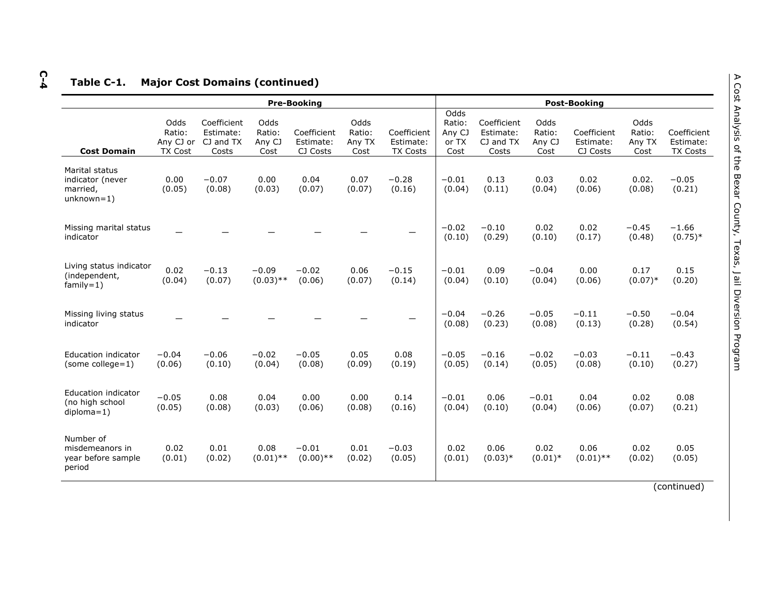# **C-4Table C-1. Major Cost Domains (continued)**

|                                                                |                                               |                                                |                                  | <b>Pre-Booking</b>                   |                                  | <b>Post-Booking</b>                         |                                           |                                                |                                  |                                      |                                  |                                      |
|----------------------------------------------------------------|-----------------------------------------------|------------------------------------------------|----------------------------------|--------------------------------------|----------------------------------|---------------------------------------------|-------------------------------------------|------------------------------------------------|----------------------------------|--------------------------------------|----------------------------------|--------------------------------------|
| <b>Cost Domain</b>                                             | Odds<br>Ratio:<br>Any CJ or<br><b>TX Cost</b> | Coefficient<br>Estimate:<br>CJ and TX<br>Costs | Odds<br>Ratio:<br>Any CJ<br>Cost | Coefficient<br>Estimate:<br>CJ Costs | Odds<br>Ratio:<br>Any TX<br>Cost | Coefficient<br>Estimate:<br><b>TX Costs</b> | Odds<br>Ratio:<br>Any CJ<br>or TX<br>Cost | Coefficient<br>Estimate:<br>CJ and TX<br>Costs | Odds<br>Ratio:<br>Any CJ<br>Cost | Coefficient<br>Estimate:<br>CJ Costs | Odds<br>Ratio:<br>Any TX<br>Cost | Coefficient<br>Estimate:<br>TX Costs |
| Marital status<br>indicator (never<br>married.<br>$unknown=1)$ | 0.00<br>(0.05)                                | $-0.07$<br>(0.08)                              | 0.00<br>(0.03)                   | 0.04<br>(0.07)                       | 0.07<br>(0.07)                   | $-0.28$<br>(0.16)                           | $-0.01$<br>(0.04)                         | 0.13<br>(0.11)                                 | 0.03<br>(0.04)                   | 0.02<br>(0.06)                       | 0.02.<br>(0.08)                  | $-0.05$<br>(0.21)                    |
| Missing marital status<br>indicator                            |                                               |                                                |                                  |                                      |                                  |                                             | $-0.02$<br>(0.10)                         | $-0.10$<br>(0.29)                              | 0.02<br>(0.10)                   | 0.02<br>(0.17)                       | $-0.45$<br>(0.48)                | $-1.66$<br>$(0.75)*$                 |
| Living status indicator<br>(independent,<br>$family=1)$        | 0.02<br>(0.04)                                | $-0.13$<br>(0.07)                              | $-0.09$<br>$(0.03)$ **           | $-0.02$<br>(0.06)                    | 0.06<br>(0.07)                   | $-0.15$<br>(0.14)                           | $-0.01$<br>(0.04)                         | 0.09<br>(0.10)                                 | $-0.04$<br>(0.04)                | 0.00<br>(0.06)                       | 0.17<br>$(0.07)*$                | 0.15<br>(0.20)                       |
| Missing living status<br>indicator                             |                                               |                                                |                                  |                                      |                                  |                                             | $-0.04$<br>(0.08)                         | $-0.26$<br>(0.23)                              | $-0.05$<br>(0.08)                | $-0.11$<br>(0.13)                    | $-0.50$<br>(0.28)                | $-0.04$<br>(0.54)                    |
| <b>Education indicator</b><br>(some college=1)                 | $-0.04$<br>(0.06)                             | $-0.06$<br>(0.10)                              | $-0.02$<br>(0.04)                | $-0.05$<br>(0.08)                    | 0.05<br>(0.09)                   | 0.08<br>(0.19)                              | $-0.05$<br>(0.05)                         | $-0.16$<br>(0.14)                              | $-0.02$<br>(0.05)                | $-0.03$<br>(0.08)                    | $-0.11$<br>(0.10)                | $-0.43$<br>(0.27)                    |
| Education indicator<br>(no high school<br>$diploma=1$ )        | $-0.05$<br>(0.05)                             | 0.08<br>(0.08)                                 | 0.04<br>(0.03)                   | 0.00<br>(0.06)                       | 0.00<br>(0.08)                   | 0.14<br>(0.16)                              | $-0.01$<br>(0.04)                         | 0.06<br>(0.10)                                 | $-0.01$<br>(0.04)                | 0.04<br>(0.06)                       | 0.02<br>(0.07)                   | 0.08<br>(0.21)                       |
| Number of<br>misdemeanors in<br>year before sample<br>period   | 0.02<br>(0.01)                                | 0.01<br>(0.02)                                 | 0.08<br>$(0.01)$ **              | $-0.01$<br>$(0.00)**$                | 0.01<br>(0.02)                   | $-0.03$<br>(0.05)                           | 0.02<br>(0.01)                            | 0.06<br>$(0.03)*$                              | 0.02<br>$(0.01)^*$               | 0.06<br>$(0.01)$ **                  | 0.02<br>(0.02)                   | 0.05<br>(0.05)                       |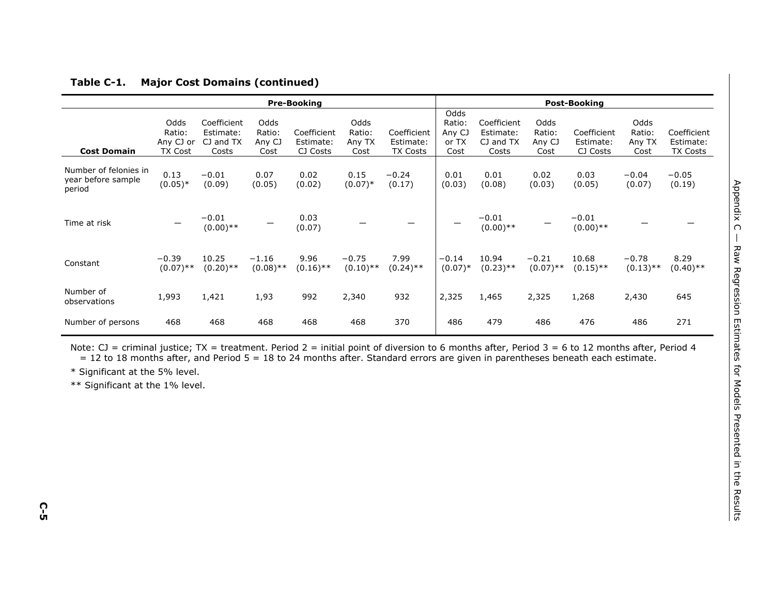|                                                       | <b>Pre-Booking</b>                            |                                                |                                  |                                      |                                  |                                             |                                           | <b>Post-Booking</b>                            |                                  |                                      |                                  |                                      |  |  |
|-------------------------------------------------------|-----------------------------------------------|------------------------------------------------|----------------------------------|--------------------------------------|----------------------------------|---------------------------------------------|-------------------------------------------|------------------------------------------------|----------------------------------|--------------------------------------|----------------------------------|--------------------------------------|--|--|
| <b>Cost Domain</b>                                    | Odds<br>Ratio:<br>Any CJ or<br><b>TX Cost</b> | Coefficient<br>Estimate:<br>CJ and TX<br>Costs | Odds<br>Ratio:<br>Any CJ<br>Cost | Coefficient<br>Estimate:<br>CJ Costs | Odds<br>Ratio:<br>Any TX<br>Cost | Coefficient<br>Estimate:<br><b>TX Costs</b> | Odds<br>Ratio:<br>Any CJ<br>or TX<br>Cost | Coefficient<br>Estimate:<br>CJ and TX<br>Costs | Odds<br>Ratio:<br>Any CJ<br>Cost | Coefficient<br>Estimate:<br>CJ Costs | Odds<br>Ratio:<br>Any TX<br>Cost | Coefficient<br>Estimate:<br>TX Costs |  |  |
| Number of felonies in<br>year before sample<br>period | 0.13<br>$(0.05)*$                             | $-0.01$<br>(0.09)                              | 0.07<br>(0.05)                   | 0.02<br>(0.02)                       | 0.15<br>$(0.07)*$                | $-0.24$<br>(0.17)                           | 0.01<br>(0.03)                            | 0.01<br>(0.08)                                 | 0.02<br>(0.03)                   | 0.03<br>(0.05)                       | $-0.04$<br>(0.07)                | $-0.05$<br>(0.19)                    |  |  |
| Time at risk                                          |                                               | $-0.01$<br>$(0.00)$ **                         |                                  | 0.03<br>(0.07)                       |                                  |                                             |                                           | $-0.01$<br>$(0.00)$ **                         |                                  | $-0.01$<br>$(0.00)$ **               |                                  |                                      |  |  |
| Constant                                              | $-0.39$<br>$(0.07)$ **                        | 10.25<br>$(0.20)$ **                           | $-1.16$<br>$(0.08)$ **           | 9.96<br>$(0.16)$ **                  | $-0.75$<br>$(0.10)$ **           | 7.99<br>$(0.24)$ **                         | $-0.14$<br>$(0.07)*$                      | 10.94<br>$(0.23)$ **                           | $-0.21$<br>$(0.07)$ **           | 10.68<br>$(0.15)$ **                 | $-0.78$<br>$(0.13)$ **           | 8.29<br>$(0.40)$ **                  |  |  |
| Number of<br>observations                             | 1,993                                         | 1,421                                          | 1,93                             | 992                                  | 2,340                            | 932                                         | 2,325                                     | 1,465                                          | 2,325                            | 1,268                                | 2,430                            | 645                                  |  |  |
| Number of persons                                     | 468                                           | 468                                            | 468                              | 468                                  | 468                              | 370                                         | 486                                       | 479                                            | 486                              | 476                                  | 486                              | 271                                  |  |  |

#### **Table C-1. Major Cost Domains (continued)**

Note: CJ = criminal justice; TX = treatment. Period 2 = initial point of diversion to 6 months after, Period 3 = 6 to 12 months after, Period 4 = 12 to 18 months after, and Period 5 = 18 to 24 months after. Standard errors are given in parentheses beneath each estimate.

\* Significant at the 5% level.

\*\* Significant at the 1% level.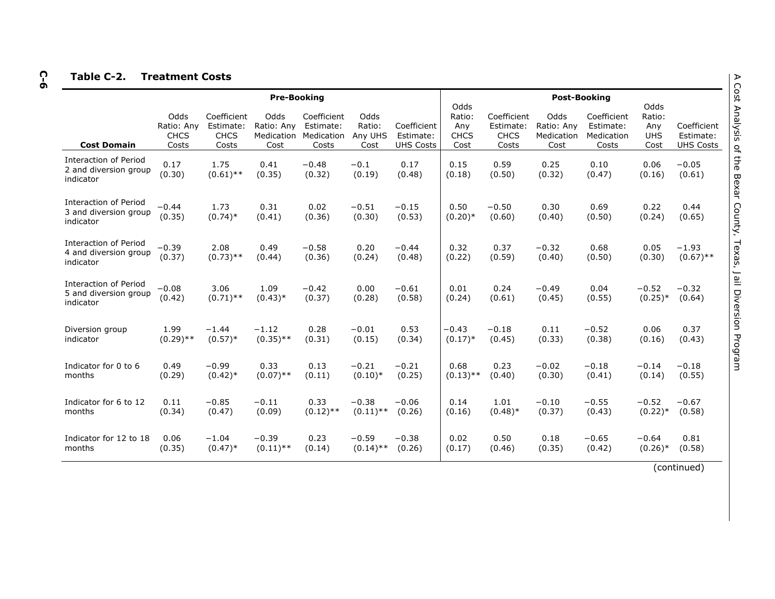# **C-6Table C-2. Treatment Costs**

|                                                                    | <b>Pre-Booking</b>                         |                                                  |                                          |                                                 |                                   |                                              |                                              |                                                  | <b>Post-Booking</b>                      |                                                 |                                             |                                              |  |  |
|--------------------------------------------------------------------|--------------------------------------------|--------------------------------------------------|------------------------------------------|-------------------------------------------------|-----------------------------------|----------------------------------------------|----------------------------------------------|--------------------------------------------------|------------------------------------------|-------------------------------------------------|---------------------------------------------|----------------------------------------------|--|--|
| <b>Cost Domain</b>                                                 | Odds<br>Ratio: Any<br><b>CHCS</b><br>Costs | Coefficient<br>Estimate:<br><b>CHCS</b><br>Costs | Odds<br>Ratio: Any<br>Medication<br>Cost | Coefficient<br>Estimate:<br>Medication<br>Costs | Odds<br>Ratio:<br>Any UHS<br>Cost | Coefficient<br>Estimate:<br><b>UHS Costs</b> | Odds<br>Ratio:<br>Any<br><b>CHCS</b><br>Cost | Coefficient<br>Estimate:<br><b>CHCS</b><br>Costs | Odds<br>Ratio: Any<br>Medication<br>Cost | Coefficient<br>Estimate:<br>Medication<br>Costs | Odds<br>Ratio:<br>Any<br><b>UHS</b><br>Cost | Coefficient<br>Estimate:<br><b>UHS Costs</b> |  |  |
| Interaction of Period<br>2 and diversion group<br>indicator        | 0.17<br>(0.30)                             | 1.75<br>$(0.61)$ **                              | 0.41<br>(0.35)                           | $-0.48$<br>(0.32)                               | $-0.1$<br>(0.19)                  | 0.17<br>(0.48)                               | 0.15<br>(0.18)                               | 0.59<br>(0.50)                                   | 0.25<br>(0.32)                           | 0.10<br>(0.47)                                  | 0.06<br>(0.16)                              | $-0.05$<br>(0.61)                            |  |  |
| Interaction of Period<br>3 and diversion group<br>indicator        | $-0.44$<br>(0.35)                          | 1.73<br>$(0.74)$ *                               | 0.31<br>(0.41)                           | 0.02<br>(0.36)                                  | $-0.51$<br>(0.30)                 | $-0.15$<br>(0.53)                            | 0.50<br>$(0.20)*$                            | $-0.50$<br>(0.60)                                | 0.30<br>(0.40)                           | 0.69<br>(0.50)                                  | 0.22<br>(0.24)                              | 0.44<br>(0.65)                               |  |  |
| Interaction of Period<br>4 and diversion group<br>indicator        | $-0.39$<br>(0.37)                          | 2.08<br>$(0.73)$ **                              | 0.49<br>(0.44)                           | $-0.58$<br>(0.36)                               | 0.20<br>(0.24)                    | $-0.44$<br>(0.48)                            | 0.32<br>(0.22)                               | 0.37<br>(0.59)                                   | $-0.32$<br>(0.40)                        | 0.68<br>(0.50)                                  | 0.05<br>(0.30)                              | $-1.93$<br>$(0.67)$ **                       |  |  |
| <b>Interaction of Period</b><br>5 and diversion group<br>indicator | $-0.08$<br>(0.42)                          | 3.06<br>$(0.71)$ **                              | 1.09<br>$(0.43)*$                        | $-0.42$<br>(0.37)                               | 0.00<br>(0.28)                    | $-0.61$<br>(0.58)                            | 0.01<br>(0.24)                               | 0.24<br>(0.61)                                   | $-0.49$<br>(0.45)                        | 0.04<br>(0.55)                                  | $-0.52$<br>$(0.25)*$                        | $-0.32$<br>(0.64)                            |  |  |
| Diversion group<br>indicator                                       | 1.99<br>$(0.29)$ **                        | $-1.44$<br>$(0.57)$ *                            | $-1.12$<br>$(0.35)$ **                   | 0.28<br>(0.31)                                  | $-0.01$<br>(0.15)                 | 0.53<br>(0.34)                               | $-0.43$<br>$(0.17)*$                         | $-0.18$<br>(0.45)                                | 0.11<br>(0.33)                           | $-0.52$<br>(0.38)                               | 0.06<br>(0.16)                              | 0.37<br>(0.43)                               |  |  |
| Indicator for 0 to 6<br>months                                     | 0.49<br>(0.29)                             | $-0.99$<br>$(0.42)$ *                            | 0.33<br>$(0.07)$ **                      | 0.13<br>(0.11)                                  | $-0.21$<br>$(0.10)*$              | $-0.21$<br>(0.25)                            | 0.68<br>$(0.13)$ **                          | 0.23<br>(0.40)                                   | $-0.02$<br>(0.30)                        | $-0.18$<br>(0.41)                               | $-0.14$<br>(0.14)                           | $-0.18$<br>(0.55)                            |  |  |
| Indicator for 6 to 12<br>months                                    | 0.11<br>(0.34)                             | $-0.85$<br>(0.47)                                | $-0.11$<br>(0.09)                        | 0.33<br>$(0.12)$ **                             | $-0.38$<br>$(0.11)$ **            | $-0.06$<br>(0.26)                            | 0.14<br>(0.16)                               | 1.01<br>$(0.48)$ *                               | $-0.10$<br>(0.37)                        | $-0.55$<br>(0.43)                               | $-0.52$<br>$(0.22)*$                        | $-0.67$<br>(0.58)                            |  |  |
| Indicator for 12 to 18<br>months                                   | 0.06<br>(0.35)                             | $-1.04$<br>$(0.47)$ *                            | $-0.39$<br>$(0.11)$ **                   | 0.23<br>(0.14)                                  | $-0.59$<br>$(0.14)$ **            | $-0.38$<br>(0.26)                            | 0.02<br>(0.17)                               | 0.50<br>(0.46)                                   | 0.18<br>(0.35)                           | $-0.65$<br>(0.42)                               | $-0.64$<br>$(0.26)$ *                       | 0.81<br>(0.58)                               |  |  |
|                                                                    |                                            |                                                  |                                          |                                                 |                                   |                                              |                                              |                                                  |                                          |                                                 |                                             | (continued)                                  |  |  |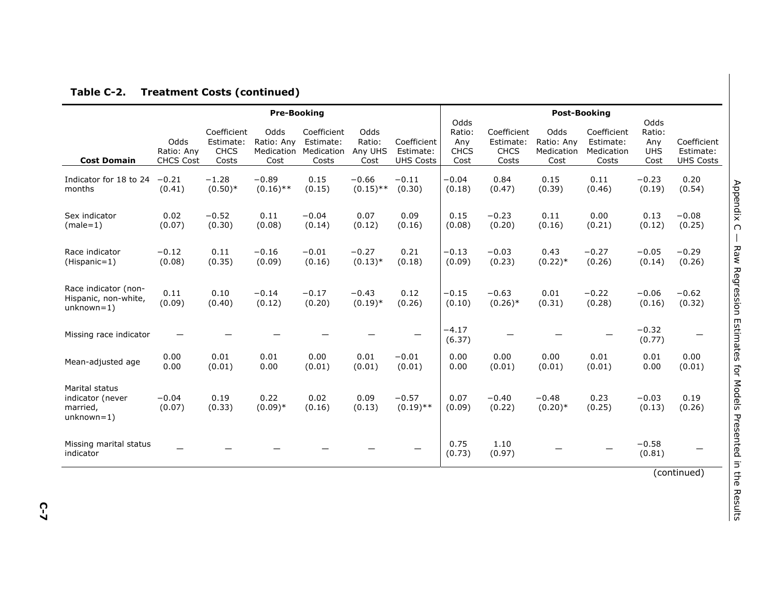|                                                                |                                        |                                                  | <b>Pre-Booking</b>         | <b>Post-Booking</b>                                        |                                   |                                              |                                              |                                                  |                                          |                                                 |                                             |                                              |
|----------------------------------------------------------------|----------------------------------------|--------------------------------------------------|----------------------------|------------------------------------------------------------|-----------------------------------|----------------------------------------------|----------------------------------------------|--------------------------------------------------|------------------------------------------|-------------------------------------------------|---------------------------------------------|----------------------------------------------|
| <b>Cost Domain</b>                                             | Odds<br>Ratio: Any<br><b>CHCS Cost</b> | Coefficient<br>Estimate:<br><b>CHCS</b><br>Costs | Odds<br>Ratio: Any<br>Cost | Coefficient<br>Estimate:<br>Medication Medication<br>Costs | Odds<br>Ratio:<br>Any UHS<br>Cost | Coefficient<br>Estimate:<br><b>UHS Costs</b> | Odds<br>Ratio:<br>Any<br><b>CHCS</b><br>Cost | Coefficient<br>Estimate:<br><b>CHCS</b><br>Costs | Odds<br>Ratio: Any<br>Medication<br>Cost | Coefficient<br>Estimate:<br>Medication<br>Costs | Odds<br>Ratio:<br>Any<br><b>UHS</b><br>Cost | Coefficient<br>Estimate:<br><b>UHS Costs</b> |
| Indicator for 18 to 24<br>months                               | $-0.21$<br>(0.41)                      | $-1.28$<br>$(0.50)*$                             | $-0.89$<br>$(0.16)$ **     | 0.15<br>(0.15)                                             | $-0.66$<br>$(0.15)$ **            | $-0.11$<br>(0.30)                            | $-0.04$<br>(0.18)                            | 0.84<br>(0.47)                                   | 0.15<br>(0.39)                           | 0.11<br>(0.46)                                  | $-0.23$<br>(0.19)                           | 0.20<br>(0.54)                               |
| Sex indicator<br>$(male=1)$                                    | 0.02<br>(0.07)                         | $-0.52$<br>(0.30)                                | 0.11<br>(0.08)             | $-0.04$<br>(0.14)                                          | 0.07<br>(0.12)                    | 0.09<br>(0.16)                               | 0.15<br>(0.08)                               | $-0.23$<br>(0.20)                                | 0.11<br>(0.16)                           | 0.00<br>(0.21)                                  | 0.13<br>(0.12)                              | $-0.08$<br>(0.25)                            |
| Race indicator<br>(Hispanic=1)                                 | $-0.12$<br>(0.08)                      | 0.11<br>(0.35)                                   | $-0.16$<br>(0.09)          | $-0.01$<br>(0.16)                                          | $-0.27$<br>$(0.13)*$              | 0.21<br>(0.18)                               | $-0.13$<br>(0.09)                            | $-0.03$<br>(0.23)                                | 0.43<br>$(0.22)*$                        | $-0.27$<br>(0.26)                               | $-0.05$<br>(0.14)                           | $-0.29$<br>(0.26)                            |
| Race indicator (non-<br>Hispanic, non-white,<br>$unknown=1)$   | 0.11<br>(0.09)                         | 0.10<br>(0.40)                                   | $-0.14$<br>(0.12)          | $-0.17$<br>(0.20)                                          | $-0.43$<br>$(0.19)*$              | 0.12<br>(0.26)                               | $-0.15$<br>(0.10)                            | $-0.63$<br>$(0.26)$ *                            | 0.01<br>(0.31)                           | $-0.22$<br>(0.28)                               | $-0.06$<br>(0.16)                           | $-0.62$<br>(0.32)                            |
| Missing race indicator                                         |                                        |                                                  |                            |                                                            |                                   |                                              | $-4.17$<br>(6.37)                            |                                                  |                                          |                                                 | $-0.32$<br>(0.77)                           |                                              |
| Mean-adjusted age                                              | 0.00<br>0.00                           | 0.01<br>(0.01)                                   | 0.01<br>0.00               | 0.00<br>(0.01)                                             | 0.01<br>(0.01)                    | $-0.01$<br>(0.01)                            | 0.00<br>0.00                                 | 0.00<br>(0.01)                                   | 0.00<br>(0.01)                           | 0.01<br>(0.01)                                  | 0.01<br>0.00                                | 0.00<br>(0.01)                               |
| Marital status<br>indicator (never<br>married,<br>$unknown=1)$ | $-0.04$<br>(0.07)                      | 0.19<br>(0.33)                                   | 0.22<br>$(0.09)*$          | 0.02<br>(0.16)                                             | 0.09<br>(0.13)                    | $-0.57$<br>$(0.19)$ **                       | 0.07<br>(0.09)                               | $-0.40$<br>(0.22)                                | $-0.48$<br>$(0.20)*$                     | 0.23<br>(0.25)                                  | $-0.03$<br>(0.13)                           | 0.19<br>(0.26)                               |
| Missing marital status<br>indicator                            |                                        |                                                  |                            |                                                            |                                   |                                              | 0.75<br>(0.73)                               | 1.10<br>(0.97)                                   |                                          |                                                 | $-0.58$<br>(0.81)                           | $\lambda$                                    |

#### **Table C-2. Treatment Costs (continued)**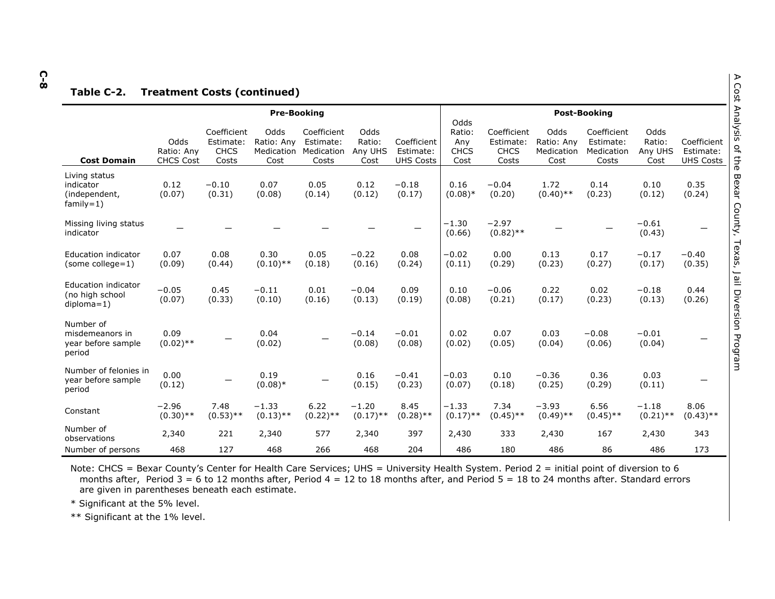# **C-8 Table C-2. Treatment Costs (continued)**

|                                                              |                                        |                                                  | <b>Pre-Booking</b>                       |                                                 |                                   | <b>Post-Booking</b><br>Odds                  |                                      |                                                  |                                          |                                                 |                                   |                                              |
|--------------------------------------------------------------|----------------------------------------|--------------------------------------------------|------------------------------------------|-------------------------------------------------|-----------------------------------|----------------------------------------------|--------------------------------------|--------------------------------------------------|------------------------------------------|-------------------------------------------------|-----------------------------------|----------------------------------------------|
| <b>Cost Domain</b>                                           | Odds<br>Ratio: Any<br><b>CHCS Cost</b> | Coefficient<br>Estimate:<br><b>CHCS</b><br>Costs | Odds<br>Ratio: Any<br>Medication<br>Cost | Coefficient<br>Estimate:<br>Medication<br>Costs | Odds<br>Ratio:<br>Any UHS<br>Cost | Coefficient<br>Estimate:<br><b>UHS Costs</b> | Ratio:<br>Any<br><b>CHCS</b><br>Cost | Coefficient<br>Estimate:<br><b>CHCS</b><br>Costs | Odds<br>Ratio: Any<br>Medication<br>Cost | Coefficient<br>Estimate:<br>Medication<br>Costs | Odds<br>Ratio:<br>Any UHS<br>Cost | Coefficient<br>Estimate:<br><b>UHS Costs</b> |
| Living status<br>indicator<br>(independent,<br>$family=1)$   | 0.12<br>(0.07)                         | $-0.10$<br>(0.31)                                | 0.07<br>(0.08)                           | 0.05<br>(0.14)                                  | 0.12<br>(0.12)                    | $-0.18$<br>(0.17)                            | 0.16<br>$(0.08)*$                    | $-0.04$<br>(0.20)                                | 1.72<br>$(0.40)$ **                      | 0.14<br>(0.23)                                  | 0.10<br>(0.12)                    | 0.35<br>(0.24)                               |
| Missing living status<br>indicator                           |                                        |                                                  |                                          |                                                 |                                   |                                              | $-1.30$<br>(0.66)                    | $-2.97$<br>$(0.82)$ **                           |                                          |                                                 | $-0.61$<br>(0.43)                 |                                              |
| Education indicator<br>(some college=1)                      | 0.07<br>(0.09)                         | 0.08<br>(0.44)                                   | 0.30<br>$(0.10)$ **                      | 0.05<br>(0.18)                                  | $-0.22$<br>(0.16)                 | 0.08<br>(0.24)                               | $-0.02$<br>(0.11)                    | 0.00<br>(0.29)                                   | 0.13<br>(0.23)                           | 0.17<br>(0.27)                                  | $-0.17$<br>(0.17)                 | $-0.40$<br>(0.35)                            |
| Education indicator<br>(no high school<br>$diploma=1)$       | $-0.05$<br>(0.07)                      | 0.45<br>(0.33)                                   | $-0.11$<br>(0.10)                        | 0.01<br>(0.16)                                  | $-0.04$<br>(0.13)                 | 0.09<br>(0.19)                               | 0.10<br>(0.08)                       | $-0.06$<br>(0.21)                                | 0.22<br>(0.17)                           | 0.02<br>(0.23)                                  | $-0.18$<br>(0.13)                 | 0.44<br>(0.26)                               |
| Number of<br>misdemeanors in<br>year before sample<br>period | 0.09<br>$(0.02)$ **                    |                                                  | 0.04<br>(0.02)                           |                                                 | $-0.14$<br>(0.08)                 | $-0.01$<br>(0.08)                            | 0.02<br>(0.02)                       | 0.07<br>(0.05)                                   | 0.03<br>(0.04)                           | $-0.08$<br>(0.06)                               | $-0.01$<br>(0.04)                 |                                              |
| Number of felonies in<br>year before sample<br>period        | 0.00<br>(0.12)                         | $\overline{\phantom{0}}$                         | 0.19<br>$(0.08)*$                        |                                                 | 0.16<br>(0.15)                    | $-0.41$<br>(0.23)                            | $-0.03$<br>(0.07)                    | 0.10<br>(0.18)                                   | $-0.36$<br>(0.25)                        | 0.36<br>(0.29)                                  | 0.03<br>(0.11)                    |                                              |
| Constant                                                     | $-2.96$<br>$(0.30)$ **                 | 7.48<br>$(0.53)$ **                              | $-1.33$<br>$(0.13)$ **                   | 6.22<br>$(0.22)$ **                             | $-1.20$<br>$(0.17)$ **            | 8.45<br>$(0.28)$ **                          | $-1.33$<br>$(0.17)$ **               | 7.34<br>$(0.45)$ **                              | $-3.93$<br>$(0.49)$ **                   | 6.56<br>$(0.45)$ **                             | $-1.18$<br>$(0.21)$ **            | 8.06<br>$(0.43)$ **                          |
| Number of<br>observations                                    | 2,340                                  | 221                                              | 2,340                                    | 577                                             | 2,340                             | 397                                          | 2,430                                | 333                                              | 2,430                                    | 167                                             | 2,430                             | 343                                          |
| Number of persons                                            | 468                                    | 127                                              | 468                                      | 266                                             | 468                               | 204                                          | 486                                  | 180                                              | 486                                      | 86                                              | 486                               | 173                                          |

Note: CHCS = Bexar County's Center for Health Care Services; UHS = University Health System. Period 2 = initial point of diversion to 6 months after, Period  $3 = 6$  to 12 months after, Period  $4 = 12$  to 18 months after, and Period  $5 = 18$  to 24 months after. Standard errors are given in parentheses beneath each estimate.

\* Significant at the 5% level.

\*\* Significant at the 1% level.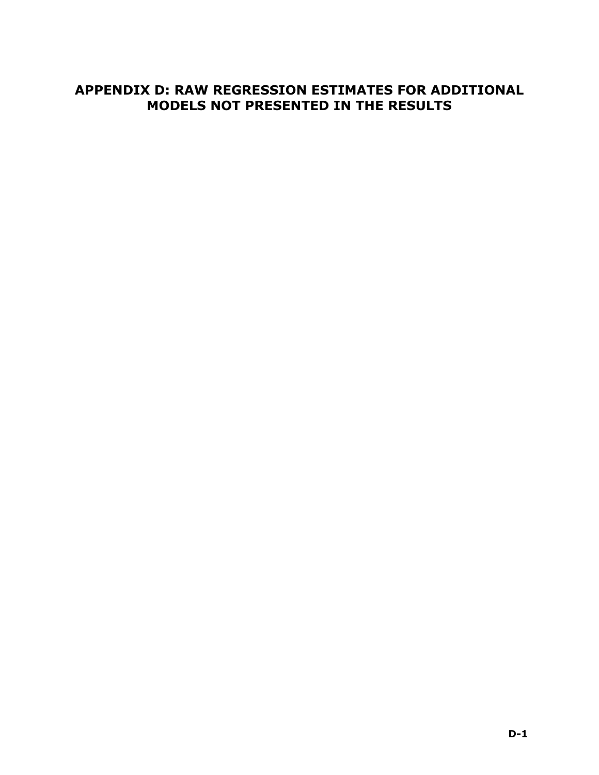#### **APPENDIX D: RAW REGRESSION ESTIMATES FOR ADDITIONAL MODELS NOT PRESENTED IN THE RESULTS**